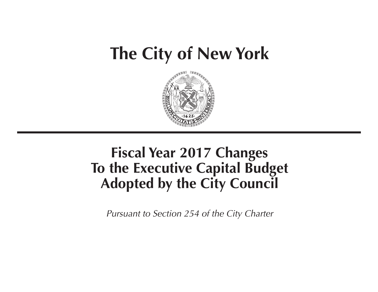# **The City of New York**



## **Fiscal Year 2017 Changes To the Executive Capital Budget Adopted by the City Council**

*Pursuant to Section 254 of the City Charter*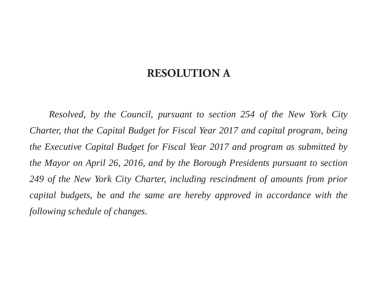### **RESOLUTION A**

*Resolved, by the Council, pursuant to section 254 of the New York City Charter, that the Capital Budget for Fiscal Year 2017 and capital program, being the Executive Capital Budget for Fiscal Year 2017 and program as submitted by the Mayor on April 26, 2016, and by the Borough Presidents pursuant to section 249 of the New York City Charter, including rescindment of amounts from prior capital budgets, be and the same are hereby approved in accordance with the following schedule of changes.*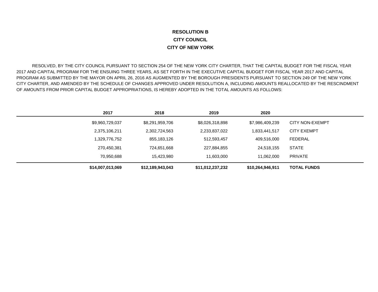#### **RESOLUTION BCITY COUNCILCITY OF NEW YORK**

 RESOLVED, BY THE CITY COUNCIL PURSUANT TO SECTION 254 OF THE NEW YORK CITY CHARTER, THAT THE CAPITAL BUDGET FOR THE FISCAL YEAR 2017 AND CAPITAL PROGRAM FOR THE ENSUING THREE YEARS, AS SET FORTH IN THE EXECUTIVE CAPITAL BUDGET FOR FISCAL YEAR 2017 AND CAPITAL PROGRAM AS SUBMITTED BY THE MAYOR ON APRIL 26, 2016 AS AUGMENTED BY THE BOROUGH PRESIDENTS PURSUANT TO SECTION 249 OF THE NEW YORK CITY CHARTER, AND AMENDED BY THE SCHEDULE OF CHANGES APPROVED UNDER RESOLUTION A, INCLUDING AMOUNTS REALLOCATED BY THE RESCINDMENT OF AMOUNTS FROM PRIOR CAPITAL BUDGET APPROPRIATIONS, IS HEREBY ADOPTED IN THE TOTAL AMOUNTS AS FOLLOWS:

| 2017             | 2018             | 2019             | 2020             |                        |
|------------------|------------------|------------------|------------------|------------------------|
| \$9,960,729,037  | \$8,291,959,706  | \$8,026,318,898  | \$7,986,409,239  | <b>CITY NON-EXEMPT</b> |
| 2,375,106,211    | 2,302,724,563    | 2,233,837,022    | 1,833,441,517    | <b>CITY EXEMPT</b>     |
| 1,329,776,752    | 855,183,126      | 512,593,457      | 409,516,000      | <b>FEDERAL</b>         |
| 270,450,381      | 724,651,668      | 227,884,855      | 24,518,155       | <b>STATE</b>           |
| 70,950,688       | 15,423,980       | 11,603,000       | 11,062,000       | <b>PRIVATE</b>         |
| \$14,007,013,069 | \$12,189,943,043 | \$11,012,237,232 | \$10,264,946,911 | <b>TOTAL FUNDS</b>     |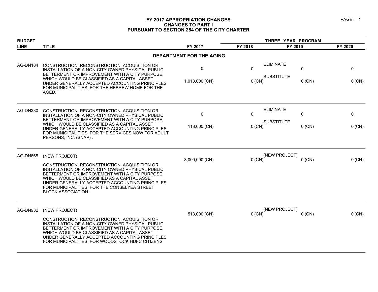#### **FY 2017 APPROPRIATION CHANGES PAGE: 1 CHANGES TO PART I PURSUANT TO SECTION 254 OF THE CITY CHARTER**

| <b>BUDGET</b>   |                                                                                                                                                                                                                                                                                                                                                    |                                 | THREE YEAR PROGRAM       |                                       |               |             |
|-----------------|----------------------------------------------------------------------------------------------------------------------------------------------------------------------------------------------------------------------------------------------------------------------------------------------------------------------------------------------------|---------------------------------|--------------------------|---------------------------------------|---------------|-------------|
| <b>LINE</b>     | <b>TITLE</b>                                                                                                                                                                                                                                                                                                                                       | FY 2017                         | FY 2018                  | FY 2019                               |               | FY 2020     |
|                 |                                                                                                                                                                                                                                                                                                                                                    | <b>DEPARTMENT FOR THE AGING</b> |                          |                                       |               |             |
| AG-DN184        | CONSTRUCTION, RECONSTRUCTION, ACQUISITION OR<br>INSTALLATION OF A NON-CITY OWNED PHYSICAL PUBLIC<br>BETTERMENT OR IMPROVEMENT WITH A CITY PURPOSE,<br>WHICH WOULD BE CLASSIFIED AS A CAPITAL ASSET<br>UNDER GENERALLY ACCEPTED ACCOUNTING PRINCIPLES<br>FOR MUNICIPALITIES; FOR THE HEBREW HOME FOR THE<br>AGED.                                   | 0<br>1,013,000 (CN)             | $\Omega$<br>$0$ (CN)     | <b>ELIMINATE</b><br><b>SUBSTITUTE</b> | 0<br>$0$ (CN) | 0<br>0 (CN) |
| <b>AG-DN380</b> | CONSTRUCTION, RECONSTRUCTION, ACQUISITION OR<br>INSTALLATION OF A NON-CITY OWNED PHYSICAL PUBLIC<br>BETTERMENT OR IMPROVEMENT WITH A CITY PURPOSE,<br>WHICH WOULD BE CLASSIFIED AS A CAPITAL ASSET<br>UNDER GENERALLY ACCEPTED ACCOUNTING PRINCIPLES<br>FOR MUNICIPALITIES; FOR THE SERVICES NOW FOR ADULT<br>PERSONS, INC. (SNAP).                | $\mathbf 0$<br>118,000 (CN)     | $\mathbf{0}$<br>$0$ (CN) | <b>ELIMINATE</b><br><b>SUBSTITUTE</b> | 0<br>$0$ (CN) | 0<br>0 (CN) |
| AG-DN865        | (NEW PROJECT)<br>CONSTRUCTION, RECONSTRUCTION, ACQUISITION OR<br>INSTALLATION OF A NON-CITY OWNED PHYSICAL PUBLIC<br>BETTERMENT OR IMPROVEMENT WITH A CITY PURPOSE.<br>WHICH WOULD BE CLASSIFIED AS A CAPITAL ASSET<br>UNDER GENERALLY ACCEPTED ACCOUNTING PRINCIPLES<br>FOR MUNICIPALITIES; FOR THE CONSELYEA STREET<br><b>BLOCK ASSOCIATION.</b> | 3,000,000 (CN)                  | $0$ (CN)                 | (NEW PROJECT)                         | $0$ (CN)      | 0 (CN)      |
| AG-DN932        | (NEW PROJECT)<br>CONSTRUCTION, RECONSTRUCTION, ACQUISITION OR<br>INSTALLATION OF A NON-CITY OWNED PHYSICAL PUBLIC<br>BETTERMENT OR IMPROVEMENT WITH A CITY PURPOSE.<br>WHICH WOULD BE CLASSIFIED AS A CAPITAL ASSET<br>UNDER GENERALLY ACCEPTED ACCOUNTING PRINCIPLES<br>FOR MUNICIPALITIES; FOR WOODSTOCK HDFC CITIZENS.                          | 513,000 (CN)                    | $0$ (CN)                 | (NEW PROJECT)                         | $0$ (CN)      | 0 (CN)      |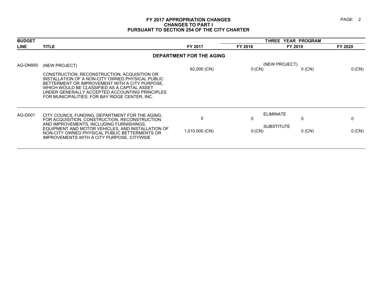#### **FY 2017 APPROPRIATION CHANGES PAGE: 2 CHANGES TO PART I PURSUANT TO SECTION 254 OF THE CITY CHARTER**

| <b>BUDGET</b> |                                                                                                                                                                                                                                                                                                        |                          |          | THREE YEAR PROGRAM            |          |  |
|---------------|--------------------------------------------------------------------------------------------------------------------------------------------------------------------------------------------------------------------------------------------------------------------------------------------------------|--------------------------|----------|-------------------------------|----------|--|
| <b>LINE</b>   | <b>TITLE</b>                                                                                                                                                                                                                                                                                           | FY 2017                  | FY 2018  | FY 2019                       | FY 2020  |  |
|               |                                                                                                                                                                                                                                                                                                        | DEPARTMENT FOR THE AGING |          |                               |          |  |
| AG-DN950      | (NEW PROJECT)                                                                                                                                                                                                                                                                                          |                          |          | (NEW PROJECT)                 |          |  |
|               | CONSTRUCTION, RECONSTRUCTION, ACQUISITION OR<br>INSTALLATION OF A NON-CITY OWNED PHYSICAL PUBLIC<br>BETTERMENT OR IMPROVEMENT WITH A CITY PURPOSE,<br>WHICH WOULD BE CLASSIFIED AS A CAPITAL ASSET<br>UNDER GENERALLY ACCEPTED ACCOUNTING PRINCIPLES<br>FOR MUNICIPALITIES: FOR BAY RIDGE CENTER. INC. | 62,000 (CN)              | 0(CN)    | $0$ (CN)                      | $0$ (CN) |  |
| AG-D001       | CITY COUNCIL FUNDING, DEPARTMENT FOR THE AGING,<br>FOR ACQUISITION, CONSTRUCTION, RECONSTRUCTION<br>AND IMPROVEMENTS, INCLUDING FURNISHINGS,                                                                                                                                                           | 0                        | 0        | <b>ELIMINATE</b><br>0         | 0        |  |
|               | EQUIPMENT AND MOTOR VEHICLES, AND INSTALLATION OF<br>NON-CITY OWNED PHYSICAL PUBLIC BETTERMENTS OR<br>IMPROVEMENTS WITH A CITY PURPOSE, CITYWIDE                                                                                                                                                       | 1,010,000 (CN)           | $0$ (CN) | <b>SUBSTITUTE</b><br>$0$ (CN) | 0 (CN)   |  |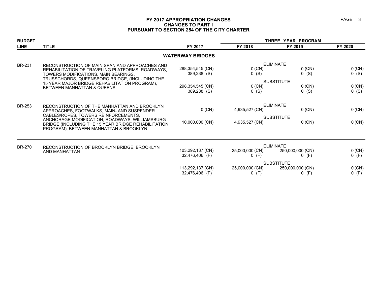#### **FY 2017 APPROPRIATION CHANGES PAGE: 3 CHANGES TO PART I PURSUANT TO SECTION 254 OF THE CITY CHARTER**

|                                                                                               |                                                                                                                                                                                                                                                                                                                                                    | THREE YEAR PROGRAM                                                             |                                        |                                                                                                                                                                    |
|-----------------------------------------------------------------------------------------------|----------------------------------------------------------------------------------------------------------------------------------------------------------------------------------------------------------------------------------------------------------------------------------------------------------------------------------------------------|--------------------------------------------------------------------------------|----------------------------------------|--------------------------------------------------------------------------------------------------------------------------------------------------------------------|
| <b>TITLE</b>                                                                                  | FY 2017                                                                                                                                                                                                                                                                                                                                            | FY 2018                                                                        | FY 2019                                | FY 2020                                                                                                                                                            |
|                                                                                               |                                                                                                                                                                                                                                                                                                                                                    |                                                                                |                                        |                                                                                                                                                                    |
| RECONSTRUCTION OF MAIN SPAN AND APPROACHES AND                                                |                                                                                                                                                                                                                                                                                                                                                    |                                                                                |                                        |                                                                                                                                                                    |
| REHABILITATION OF TRAVELING PLATFORMS, ROADWAYS,                                              |                                                                                                                                                                                                                                                                                                                                                    |                                                                                |                                        | 0 (CN)                                                                                                                                                             |
| TOWERS MODIFICATIONS, MAIN BEARINGS,                                                          |                                                                                                                                                                                                                                                                                                                                                    |                                                                                |                                        | $0$ (S)                                                                                                                                                            |
|                                                                                               |                                                                                                                                                                                                                                                                                                                                                    |                                                                                |                                        |                                                                                                                                                                    |
|                                                                                               | 298,354,545 (CN)                                                                                                                                                                                                                                                                                                                                   | $0$ (CN)                                                                       | $0$ (CN)                               | 0 (CN)                                                                                                                                                             |
|                                                                                               | 389,238 (S)                                                                                                                                                                                                                                                                                                                                        | $0$ (S)                                                                        | $0$ (S)                                | 0(S)                                                                                                                                                               |
|                                                                                               |                                                                                                                                                                                                                                                                                                                                                    |                                                                                |                                        |                                                                                                                                                                    |
| APPROACHES, FOOTWALKS, MAIN- AND SUSPENDER                                                    | $0$ (CN)                                                                                                                                                                                                                                                                                                                                           | 4,935,527 (CN)                                                                 | $0$ (CN)                               | 0 (CN)                                                                                                                                                             |
|                                                                                               |                                                                                                                                                                                                                                                                                                                                                    |                                                                                |                                        |                                                                                                                                                                    |
| BRIDGE (INCLUDING THE 15 YEAR BRIDGE REHABILITATION<br>PROGRAM), BETWEEN MANHATTAN & BROOKLYN | 10,000,000 (CN)                                                                                                                                                                                                                                                                                                                                    | 4,935,527 (CN)                                                                 | $0$ (CN)                               | 0 (CN)                                                                                                                                                             |
|                                                                                               |                                                                                                                                                                                                                                                                                                                                                    |                                                                                |                                        |                                                                                                                                                                    |
|                                                                                               |                                                                                                                                                                                                                                                                                                                                                    |                                                                                |                                        | 0 (CN)                                                                                                                                                             |
|                                                                                               | 32,476,406 (F)                                                                                                                                                                                                                                                                                                                                     | $0$ (F)                                                                        | $0$ (F)                                | $0$ (F)                                                                                                                                                            |
|                                                                                               |                                                                                                                                                                                                                                                                                                                                                    |                                                                                |                                        |                                                                                                                                                                    |
|                                                                                               | 113,292,137 (CN)                                                                                                                                                                                                                                                                                                                                   | 25,000,000 (CN)                                                                | 250,000,000 (CN)                       | 0 (CN)                                                                                                                                                             |
|                                                                                               | 32,476,406 (F)                                                                                                                                                                                                                                                                                                                                     | $0$ (F)                                                                        | $0$ (F)                                | $0$ (F)                                                                                                                                                            |
|                                                                                               | TRUSSCHORDS, QUEENSBORO BRIDGE, (INCLUDING THE<br>15 YEAR MAJOR BRIDGE REHABILITATION PROGRAM),<br><b>BETWEEN MANHATTAN &amp; QUEENS</b><br>RECONSTRUCTION OF THE MANHATTAN AND BROOKLYN<br>CABLES/ROPES, TOWERS REINFORCEMENTS,<br>ANCHORAGE MODIFICATION, ROADWAYS, WILLIAMSBURG<br>RECONSTRUCTION OF BROOKLYN BRIDGE, BROOKLYN<br>AND MANHATTAN | <b>WATERWAY BRIDGES</b><br>288,354,545 (CN)<br>389,238 (S)<br>103,292,137 (CN) | $0$ (CN)<br>$0$ (S)<br>25,000,000 (CN) | <b>ELIMINATE</b><br>$0$ (CN)<br>$0$ (S)<br><b>SUBSTITUTE</b><br><b>ELIMINATE</b><br><b>SUBSTITUTE</b><br><b>ELIMINATE</b><br>250,000,000 (CN)<br><b>SUBSTITUTE</b> |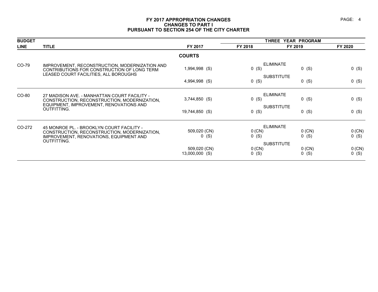#### **FY 2017 APPROPRIATION CHANGES PAGE: 4 CHANGES TO PART I PURSUANT TO SECTION 254 OF THE CITY CHARTER**

| <b>BUDGET</b> |                                                                                               |                                |                     | THREE YEAR PROGRAM           |                   |  |  |
|---------------|-----------------------------------------------------------------------------------------------|--------------------------------|---------------------|------------------------------|-------------------|--|--|
| <b>LINE</b>   | <b>TITLE</b>                                                                                  | FY 2017                        | FY 2018             | FY 2019                      | FY 2020           |  |  |
|               |                                                                                               | <b>COURTS</b>                  |                     |                              |                   |  |  |
| CO-79         | IMPROVEMENT, RECONSTRUCTION, MODERNIZATION AND<br>CONTRIBUTIONS FOR CONSTRUCTION OF LONG TERM | 1,994,998 (S)                  | $0$ (S)             | <b>ELIMINATE</b><br>$0$ (S)  | $0$ (S)           |  |  |
|               | LEASED COURT FACILITIES, ALL BOROUGHS                                                         | 4,994,998 (S)                  | $0$ (S)             | <b>SUBSTITUTE</b><br>$0$ (S) | $0$ (S)           |  |  |
| CO-80         | 27 MADISON AVE. - MANHATTAN COURT FACILITY -<br>CONSTRUCTION, RECONSTRUCTION, MODERNIZATION,  | $3,744,850$ (S)                | $0$ (S)             | <b>ELIMINATE</b><br>$0$ (S)  | $0$ (S)           |  |  |
|               | EQUIPMENT, IMPROVEMENT, RENOVATIONS AND<br>OUTFITTING.                                        | 19,744,850 (S)                 | $0$ (S)             | <b>SUBSTITUTE</b><br>$0$ (S) | $0$ (S)           |  |  |
| CO-272        | 45 MONROE PL. - BROOKLYN COURT FACILITY -                                                     |                                |                     | <b>ELIMINATE</b>             |                   |  |  |
|               | CONSTRUCTION, RECONSTRUCTION, MODERNIZATION,<br>IMPROVEMENT, RENOVATIONS, EQUIPMENT AND       | 509,020 (CN)<br>$0$ (S)        | 0 (CN)<br>$0$ (S)   | $0$ (CN)<br>$0$ (S)          | 0(CN)<br>0(S)     |  |  |
|               | <b>OUTFITTING.</b>                                                                            |                                |                     | <b>SUBSTITUTE</b>            |                   |  |  |
|               |                                                                                               | 509,020 (CN)<br>13,000,000 (S) | $0$ (CN)<br>$0$ (S) | $0$ (CN)<br>$0$ (S)          | 0 (CN)<br>$0$ (S) |  |  |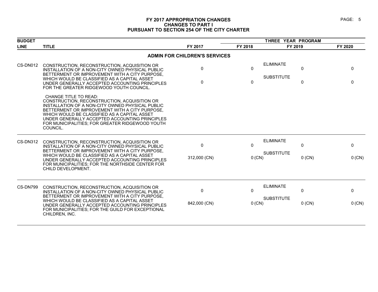#### **FY 2017 APPROPRIATION CHANGES PAGE: 5 CHANGES TO PART I PURSUANT TO SECTION 254 OF THE CITY CHARTER**

| <b>BUDGET</b> |                                                                                                                                                                                                                                                                                                                                              |                                      |              | THREE YEAR PROGRAM                    |              |              |
|---------------|----------------------------------------------------------------------------------------------------------------------------------------------------------------------------------------------------------------------------------------------------------------------------------------------------------------------------------------------|--------------------------------------|--------------|---------------------------------------|--------------|--------------|
| <b>LINE</b>   | <b>TITLE</b>                                                                                                                                                                                                                                                                                                                                 | FY 2017                              | FY 2018      | FY 2019                               |              | FY 2020      |
|               |                                                                                                                                                                                                                                                                                                                                              | <b>ADMIN FOR CHILDREN'S SERVICES</b> |              |                                       |              |              |
| CS-DN012      | CONSTRUCTION, RECONSTRUCTION, ACQUISITION OR<br>INSTALLATION OF A NON-CITY OWNED PHYSICAL PUBLIC<br>BETTERMENT OR IMPROVEMENT WITH A CITY PURPOSE.                                                                                                                                                                                           | $\Omega$                             | $\Omega$     | <b>ELIMINATE</b><br><b>SUBSTITUTE</b> | 0            | $\Omega$     |
|               | WHICH WOULD BE CLASSIFIED AS A CAPITAL ASSET<br>UNDER GENERALLY ACCEPTED ACCOUNTING PRINCIPLES<br>FOR THE GREATER RIDGEWOOD YOUTH COUNCIL.                                                                                                                                                                                                   | $\Omega$                             | 0            |                                       | 0            | $\Omega$     |
|               | CHANGE TITLE TO READ:<br>CONSTRUCTION, RECONSTRUCTION, ACQUISITION OR<br>INSTALLATION OF A NON-CITY OWNED PHYSICAL PUBLIC<br>BETTERMENT OR IMPROVEMENT WITH A CITY PURPOSE,<br>WHICH WOULD BE CLASSIFIED AS A CAPITAL ASSET<br>UNDER GENERALLY ACCEPTED ACCOUNTING PRINCIPLES<br>FOR MUNICIPALITIES; FOR GREATER RIDGEWOOD YOUTH<br>COUNCIL. |                                      |              |                                       |              |              |
| CS-DN312      | CONSTRUCTION, RECONSTRUCTION, ACQUISITION OR<br>INSTALLATION OF A NON-CITY OWNED PHYSICAL PUBLIC<br>BETTERMENT OR IMPROVEMENT WITH A CITY PURPOSE,                                                                                                                                                                                           | $\mathbf{0}$                         | $\mathbf{0}$ | <b>ELIMINATE</b>                      | 0            | $\mathbf 0$  |
|               | WHICH WOULD BE CLASSIFIED AS A CAPITAL ASSET<br>UNDER GENERALLY ACCEPTED ACCOUNTING PRINCIPLES<br>FOR MUNICIPALITIES; FOR THE NORTHSIDE CENTER FOR<br>CHILD DEVELOPMENT.                                                                                                                                                                     | 312,000 (CN)                         | 0 (CN)       | <b>SUBSTITUTE</b>                     | $0$ (CN)     | 0 (CN)       |
| CS-DN799      | CONSTRUCTION, RECONSTRUCTION, ACQUISITION OR<br>INSTALLATION OF A NON-CITY OWNED PHYSICAL PUBLIC<br>BETTERMENT OR IMPROVEMENT WITH A CITY PURPOSE.                                                                                                                                                                                           | $\mathbf{0}$                         | $\Omega$     | <b>ELIMINATE</b>                      | $\mathbf{0}$ | $\mathbf{0}$ |
|               | WHICH WOULD BE CLASSIFIED AS A CAPITAL ASSET<br>UNDER GENERALLY ACCEPTED ACCOUNTING PRINCIPLES<br>FOR MUNICIPALITIES: FOR THE GUILD FOR EXCEPTIONAL<br>CHILDREN, INC.                                                                                                                                                                        | 842,000 (CN)                         | $0$ (CN)     | <b>SUBSTITUTE</b>                     | $0$ (CN)     | 0 (CN)       |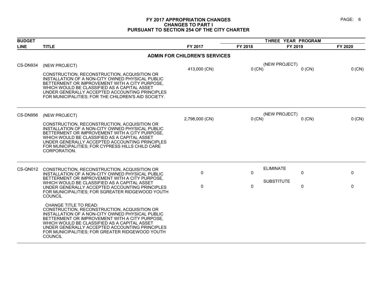#### **FY 2017 APPROPRIATION CHANGES PAGE: 6 CHANGES TO PART I PURSUANT TO SECTION 254 OF THE CITY CHARTER**

| <b>BUDGET</b> |                                                                                                                                                                                                                                                                                                                                                           |                                      |          | THREE YEAR PROGRAM        |         |
|---------------|-----------------------------------------------------------------------------------------------------------------------------------------------------------------------------------------------------------------------------------------------------------------------------------------------------------------------------------------------------------|--------------------------------------|----------|---------------------------|---------|
| <b>LINE</b>   | <b>TITLE</b>                                                                                                                                                                                                                                                                                                                                              | FY 2017                              | FY 2018  | FY 2019                   | FY 2020 |
|               |                                                                                                                                                                                                                                                                                                                                                           | <b>ADMIN FOR CHILDREN'S SERVICES</b> |          |                           |         |
| CS-DN934      | (NEW PROJECT)                                                                                                                                                                                                                                                                                                                                             | 413,000 (CN)                         | $0$ (CN) | (NEW PROJECT)<br>$0$ (CN) | 0 (CN)  |
|               | CONSTRUCTION, RECONSTRUCTION, ACQUISITION OR<br>INSTALLATION OF A NON-CITY OWNED PHYSICAL PUBLIC<br>BETTERMENT OR IMPROVEMENT WITH A CITY PURPOSE.<br>WHICH WOULD BE CLASSIFIED AS A CAPITAL ASSET<br>UNDER GENERALLY ACCEPTED ACCOUNTING PRINCIPLES<br>FOR MUNICIPALITIES; FOR THE CHILDREN'S AID SOCIETY.                                               |                                      |          |                           |         |
| CS-DN956      | (NEW PROJECT)                                                                                                                                                                                                                                                                                                                                             | 2,798,000 (CN)                       | 0 (CN)   | (NEW PROJECT)<br>$0$ (CN) | 0 (CN)  |
|               | CONSTRUCTION, RECONSTRUCTION, ACQUISITION OR<br>INSTALLATION OF A NON-CITY OWNED PHYSICAL PUBLIC<br>BETTERMENT OR IMPROVEMENT WITH A CITY PURPOSE,<br>WHICH WOULD BE CLASSIFIED AS A CAPITAL ASSET<br>UNDER GENERALLY ACCEPTED ACCOUNTING PRINCIPLES<br>FOR MUNICIPALITIES; FOR CYPRESS HILLS CHILD CARE<br>CORPORATION.                                  |                                      |          |                           |         |
| CS-QN012      | CONSTRUCTION, RECONSTRUCTION, ACQUISITION OR<br>INSTALLATION OF A NON-CITY OWNED PHYSICAL PUBLIC<br>BETTERMENT OR IMPROVEMENT WITH A CITY PURPOSE.                                                                                                                                                                                                        | 0                                    | 0        | <b>ELIMINATE</b><br>0     | 0       |
|               | WHICH WOULD BE CLASSIFIED AS A CAPITAL ASSET<br>UNDER GENERALLY ACCEPTED ACCOUNTING PRINCIPLES<br>FOR MUNICIPALITIES; FOR SGREATER RIDGEWOOD YOUTH<br><b>COUNCIL</b>                                                                                                                                                                                      | 0                                    | 0        | <b>SUBSTITUTE</b><br>0    | 0       |
|               | <b>CHANGE TITLE TO READ:</b><br>CONSTRUCTION, RECONSTRUCTION, ACQUISITION OR<br>INSTALLATION OF A NON-CITY OWNED PHYSICAL PUBLIC<br>BETTERMENT OR IMPROVEMENT WITH A CITY PURPOSE,<br>WHICH WOULD BE CLASSIFIED AS A CAPITAL ASSET<br>UNDER GENERALLY ACCEPTED ACCOUNTING PRINCIPLES<br>FOR MUNICIPALITIES; FOR GREATER RIDGEWOOD YOUTH<br><b>COUNCIL</b> |                                      |          |                           |         |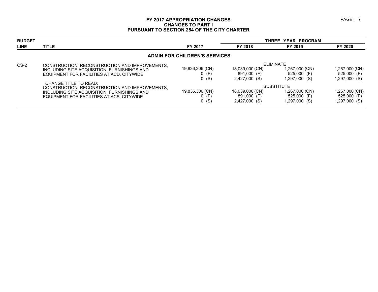#### **FY 2017 APPROPRIATION CHANGES PAGE: 7 CHANGES TO PART I PURSUANT TO SECTION 254 OF THE CITY CHARTER**

| <b>BUDGET</b> |                                                                         |                                      |                 | <b>THREE YEAR PROGRAM</b> |                |
|---------------|-------------------------------------------------------------------------|--------------------------------------|-----------------|---------------------------|----------------|
| <b>LINE</b>   | <b>TITLE</b>                                                            | FY 2017                              | FY 2018         | FY 2019                   | FY 2020        |
|               |                                                                         | <b>ADMIN FOR CHILDREN'S SERVICES</b> |                 |                           |                |
| $CS-2$        | CONSTRUCTION, RECONSTRUCTION AND IMPROVEMENTS,                          |                                      |                 | <b>ELIMINATE</b>          |                |
|               | INCLUDING SITE ACQUISITION, FURNISHINGS AND                             | 19,836,306 (CN)                      | 18,039,000 (CN) | 1,267,000 (CN)            | 1,267,000 (CN) |
|               | EQUIPMENT FOR FACILITIES AT ACD, CITYWIDE                               | $0$ (F)                              | 891,000 (F)     | 525,000 (F)               | 525,000 (F)    |
|               |                                                                         | $0$ (S)                              | 2,427,000 (S)   | 1,297,000 (S)             | 1,297,000 (S)  |
|               | CHANGE TITLE TO READ:<br>CONSTRUCTION, RECONSTRUCTION AND IMPROVEMENTS, |                                      |                 | <b>SUBSTITUTE</b>         |                |
|               | INCLUDING SITE ACQUISITION, FURNISHINGS AND                             | 19,836,306 (CN)                      | 18,039,000 (CN) | 1,267,000 (CN)            | 1,267,000 (CN) |
|               | EQUIPMENT FOR FACILITIES AT ACS, CITYWIDE                               | $0$ (F)                              | 891,000 (F)     | 525,000 (F)               | 525,000 (F)    |
|               |                                                                         | $0$ (S)                              | 2,427,000 (S)   | 1,297,000 (S)             | 1,297,000 (S)  |
|               |                                                                         |                                      |                 |                           |                |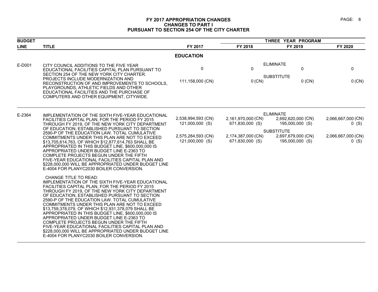#### **FY 2017 APPROPRIATION CHANGES PAGE: 8 CHANGES TO PART I PURSUANT TO SECTION 254 OF THE CITY CHARTER**

| <b>BUDGET</b> |                                                                                                                                                                                                                                                                                                                                                                                                                                                                                                                                                                                                                                                                                                                                                |                                                                                | THREE YEAR PROGRAM                                                             |                                                                                                                         |                                                                |  |
|---------------|------------------------------------------------------------------------------------------------------------------------------------------------------------------------------------------------------------------------------------------------------------------------------------------------------------------------------------------------------------------------------------------------------------------------------------------------------------------------------------------------------------------------------------------------------------------------------------------------------------------------------------------------------------------------------------------------------------------------------------------------|--------------------------------------------------------------------------------|--------------------------------------------------------------------------------|-------------------------------------------------------------------------------------------------------------------------|----------------------------------------------------------------|--|
| <b>LINE</b>   | <b>TITLE</b>                                                                                                                                                                                                                                                                                                                                                                                                                                                                                                                                                                                                                                                                                                                                   | FY 2017                                                                        | FY 2018                                                                        | FY 2019                                                                                                                 | FY 2020                                                        |  |
|               |                                                                                                                                                                                                                                                                                                                                                                                                                                                                                                                                                                                                                                                                                                                                                | <b>EDUCATION</b>                                                               |                                                                                |                                                                                                                         |                                                                |  |
| E-D001        | CITY COUNCIL ADDITIONS TO THE FIVE YEAR<br>EDUCATIONAL FACILITIES CAPITAL PLAN PURSUANT TO<br>SECTION 254 OF THE NEW YORK CITY CHARTER.<br>PROJECTS INCLUDE MODERNIZATION AND<br>RECONSTRUCTION OF AND IMPROVEMENTS TO SCHOOLS.<br>PLAYGROUNDS, ATHLETIC FIELDS AND OTHER<br>EDUCATIONAL FACILITIES AND THE PURCHASE OF<br>COMPUTERS AND OTHER EQUIPMENT, CITYWIDE.                                                                                                                                                                                                                                                                                                                                                                            | 0<br>111,158,000 (CN)                                                          | 0<br>$0$ (CN)                                                                  | <b>ELIMINATE</b><br>0<br><b>SUBSTITUTE</b><br>$0$ (CN)                                                                  | 0<br>0 (CN)                                                    |  |
| E-2364        | IMPLEMENTATION OF THE SIXTH FIVE-YEAR EDUCATIONAL<br>FACILITIES CAPITAL PLAN. FOR THE PERIOD FY 2015<br>THROUGH FY 2019, OF THE NEW YORK CITY DEPARTMENT<br>OF EDUCATION, ESTABLISHED PURSUANT TO SECTION<br>2590-P OF THE EDUCATION LAW. TOTAL CUMULATIVE<br>COMMITMENTS UNDER THIS PLAN ARE NOT TO EXCEED<br>\$13,705,614,763, OF WHICH \$12,877,614,763 SHALL BE<br>APPROPRIATED IN THIS BUDGET LINE, \$600,000,000 IS<br>APPROPRIATED UNDER BUDGET LINE E-2363 TO<br>COMPLETE PROJECTS BEGUN UNDER THE FIFTH<br>FIVE-YEAR EDUCATIONAL FACILITIES CAPITAL PLAN AND<br>\$228,000,000 WILL BE APPROPRIATED UNDER BUDGET LINE                                                                                                                  | 2,538,994,593 (CN)<br>121,000,000 (S)<br>2,575,284,593 (CN)<br>121,000,000 (S) | 2,161,970,000 (CN)<br>671,830,000 (S)<br>2,174,387,000 (CN)<br>671,830,000 (S) | <b>ELIMINATE</b><br>2,692,620,000 (CN)<br>195,000,000 (S)<br><b>SUBSTITUTE</b><br>2,697,679,000 (CN)<br>195,000,000 (S) | 2,066,667,000 (CN)<br>$0$ (S)<br>2,066,667,000 (CN)<br>$0$ (S) |  |
|               | E-4004 FOR PLANYC2030 BOILER CONVERSION.<br>CHANGE TITLE TO READ:<br>IMPLEMENTATION OF THE SIXTH FIVE-YEAR EDUCATIONAL<br>FACILITIES CAPITAL PLAN, FOR THE PERIOD FY 2015<br>THROUGH FY 2019, OF THE NEW YORK CITY DEPARTMENT<br>OF EDUCATION. ESTABLISHED PURSUANT TO SECTION<br>2590-P OF THE EDUCATION LAW. TOTAL CUMULATIVE<br>COMMITMENTS UNDER THIS PLAN ARE NOT TO EXCEED<br>\$13,759,378,079, OF WHICH \$12,931,378,079 SHALL BE<br>APPROPRIATED IN THIS BUDGET LINE, \$600,000,000 IS<br>APPROPRIATED UNDER BUDGET LINE E-2363 TO<br>COMPLETE PROJECTS BEGUN UNDER THE FIFTH<br>FIVE-YEAR EDUCATIONAL FACILITIES CAPITAL PLAN AND<br>\$228,000,000 WILL BE APPROPRIATED UNDER BUDGET LINE<br>E-4004 FOR PLANYC2030 BOILER CONVERSION. |                                                                                |                                                                                |                                                                                                                         |                                                                |  |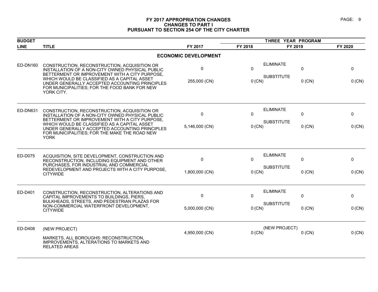#### **FY 2017 APPROPRIATION CHANGES PAGE: 9 CHANGES TO PART I PURSUANT TO SECTION 254 OF THE CITY CHARTER**

| <b>BUDGET</b>   |                                                                                                                                                                |                             | THREE YEAR PROGRAM            |                                       |          |         |
|-----------------|----------------------------------------------------------------------------------------------------------------------------------------------------------------|-----------------------------|-------------------------------|---------------------------------------|----------|---------|
| <b>LINE</b>     | <b>TITLE</b>                                                                                                                                                   | FY 2017                     | FY 2018                       | FY 2019                               |          | FY 2020 |
|                 |                                                                                                                                                                | <b>ECONOMIC DEVELOPMENT</b> |                               |                                       |          |         |
| <b>ED-DN160</b> | CONSTRUCTION, RECONSTRUCTION, ACQUISITION OR<br>INSTALLATION OF A NON-CITY OWNED PHYSICAL PUBLIC<br>BETTERMENT OR IMPROVEMENT WITH A CITY PURPOSE,             | 0                           | $\Omega$                      | <b>ELIMINATE</b><br><b>SUBSTITUTE</b> | 0        | 0       |
|                 | WHICH WOULD BE CLASSIFIED AS A CAPITAL ASSET<br>UNDER GENERALLY ACCEPTED ACCOUNTING PRINCIPLES<br>FOR MUNICIPALITIES; FOR THE FOOD BANK FOR NEW<br>YORK CITY.  | 255,000 (CN)                | $0$ (CN)                      |                                       | $0$ (CN) | 0 (CN)  |
| ED-DN631        | CONSTRUCTION, RECONSTRUCTION, ACQUISITION OR<br>INSTALLATION OF A NON-CITY OWNED PHYSICAL PUBLIC<br>BETTERMENT OR IMPROVEMENT WITH A CITY PURPOSE,             | 0                           | $\Omega$                      | <b>ELIMINATE</b>                      | $\Omega$ | 0       |
|                 | WHICH WOULD BE CLASSIFIED AS A CAPITAL ASSET<br>UNDER GENERALLY ACCEPTED ACCOUNTING PRINCIPLES<br>FOR MUNICIPALITIES; FOR THE MAKE THE ROAD NEW<br><b>YORK</b> | 5,146,000 (CN)              | <b>SUBSTITUTE</b><br>$0$ (CN) |                                       | $0$ (CN) | 0 (CN)  |
| ED-D075         | ACQUISITION, SITE DEVELOPMENT, CONSTRUCTION AND<br>RECONSTRUCTION, INCLUDING EQUIPMENT AND OTHER                                                               | 0                           | $\Omega$                      | <b>ELIMINATE</b>                      | 0        | 0       |
|                 | PURCHASES, FOR INDUSTRIAL AND COMMERCIAL<br>REDEVELOPMENT AND PROJECTS WITH A CITY PURPOSE,<br><b>CITYWIDE</b>                                                 | 1,800,000 (CN)              | $0$ (CN)                      | <b>SUBSTITUTE</b>                     | $0$ (CN) | 0 (CN)  |
| ED-D401         | CONSTRUCTION, RECONSTRUCTION, ALTERATIONS AND<br>CAPITAL IMPROVEMENTS TO BUILDINGS, PIERS,                                                                     | 0                           | $\Omega$                      | <b>ELIMINATE</b>                      | 0        | 0       |
|                 | BULKHEADS, STREETS, AND PEDESTRIAN PLAZAS FOR<br>NON-COMMERCIAL WATERFRONT DEVELOPMENT,<br><b>CITYWIDE</b>                                                     | 5,000,000 (CN)              | 0 (CN)                        | <b>SUBSTITUTE</b>                     | $0$ (CN) | 0 (CN)  |
| ED-D408         | (NEW PROJECT)                                                                                                                                                  | 4,950,000 (CN)              | $0$ (CN)                      | (NEW PROJECT)                         | $0$ (CN) | 0 (CN)  |
|                 | MARKETS, ALL BOROUGHS: RECONSTRUCTION,<br>IMPROVEMENTS, ALTERATIONS TO MARKETS AND<br><b>RELATED AREAS</b>                                                     |                             |                               |                                       |          |         |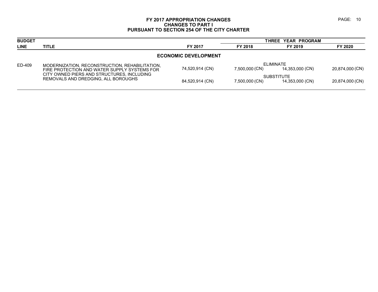#### **FY 2017 APPROPRIATION CHANGES PAGE: 10 CHANGES TO PART I PURSUANT TO SECTION 254 OF THE CITY CHARTER**

| <b>BUDGET</b> |                                                                                                |                             |                | THREE YEAR PROGRAM                   |                 |
|---------------|------------------------------------------------------------------------------------------------|-----------------------------|----------------|--------------------------------------|-----------------|
| <b>LINE</b>   | <b>TITLE</b>                                                                                   | FY 2017                     | FY 2018        | FY 2019                              | FY 2020         |
|               |                                                                                                | <b>ECONOMIC DEVELOPMENT</b> |                |                                      |                 |
| ED-409        | MODERNIZATION, RECONSTRUCTION, REHABILITATION,<br>FIRE PROTECTION AND WATER SUPPLY SYSTEMS FOR | 74,520,914 (CN)             | 7,500,000 (CN) | ELIMINATE<br>14,353,000 (CN)         | 20,874,000 (CN) |
|               | CITY OWNED PIERS AND STRUCTURES, INCLUDING<br>REMOVALS AND DREDGING, ALL BOROUGHS              | 84,520,914 (CN)             | 7,500,000 (CN) | <b>SUBSTITUTE</b><br>14,353,000 (CN) | 20,874,000 (CN) |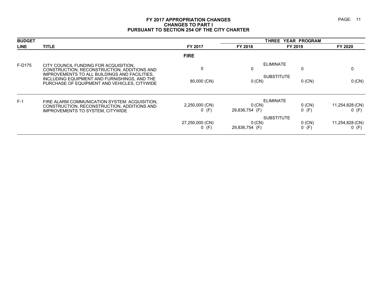#### **FY 2017 APPROPRIATION CHANGES PAGE: 11 CHANGES TO PART I PURSUANT TO SECTION 254 OF THE CITY CHARTER**

| <b>BUDGET</b> |                                                                                                                                               | THREE YEAR PROGRAM         |                               |                     |                            |
|---------------|-----------------------------------------------------------------------------------------------------------------------------------------------|----------------------------|-------------------------------|---------------------|----------------------------|
| <b>LINE</b>   | <b>TITLE</b>                                                                                                                                  | FY 2017                    | FY 2018                       | FY 2019             | FY 2020                    |
|               |                                                                                                                                               | <b>FIRE</b>                |                               |                     |                            |
| F-D175        | CITY COUNCIL FUNDING FOR ACQUISITION.<br>CONSTRUCTION, RECONSTRUCTION, ADDITIONS AND                                                          | $\mathbf{0}$               | <b>ELIMINATE</b><br>0         | 0                   | 0                          |
|               | IMPROVEMENTS TO ALL BUILDINGS AND FACILITIES,<br>INCLUDING EQUIPMENT AND FURNISHINGS, AND THE<br>PURCHASE OF EQUIPMENT AND VEHICLES, CITYWIDE | 80,000 (CN)                | <b>SUBSTITUTE</b><br>$0$ (CN) | $0$ (CN)            | 0 (CN)                     |
| $F-1$         | FIRE ALARM COMMUNICATION SYSTEM: ACQUISITION,                                                                                                 |                            | <b>ELIMINATE</b>              |                     |                            |
|               | CONSTRUCTION, RECONSTRUCTION, ADDITIONS AND<br><b>IMPROVEMENTS TO SYSTEM, CITYWIDE</b>                                                        | 2,250,000 (CN)<br>$0$ (F)  | $0$ (CN)<br>29,836,754 (F)    | $0$ (CN)<br>$0$ (F) | 11,254,828 (CN)<br>$0$ (F) |
|               |                                                                                                                                               |                            | <b>SUBSTITUTE</b>             |                     |                            |
|               |                                                                                                                                               | 27,250,000 (CN)<br>$0$ (F) | $0$ (CN)<br>29,836,754 (F)    | $0$ (CN)<br>$0$ (F) | 11,254,828 (CN)<br>$0$ (F) |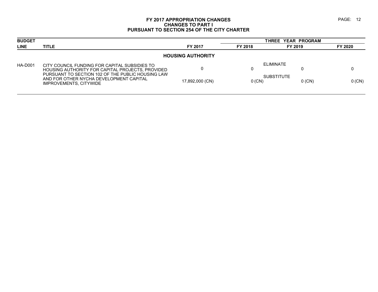#### **FY 2017 APPROPRIATION CHANGES PAGE:** 12 **CHANGES TO PART I PURSUANT TO SECTION 254 OF THE CITY CHARTER**

| <b>BUDGET</b>  |                                                                                                                        |                 |          | THREE YEAR PROGRAM            |          |  |  |  |  |
|----------------|------------------------------------------------------------------------------------------------------------------------|-----------------|----------|-------------------------------|----------|--|--|--|--|
| <b>LINE</b>    | <b>TITLE</b>                                                                                                           | FY 2017         | FY 2018  | FY 2019                       | FY 2020  |  |  |  |  |
|                | <b>HOUSING AUTHORITY</b>                                                                                               |                 |          |                               |          |  |  |  |  |
| <b>HA-D001</b> | CITY COUNCIL FUNDING FOR CAPITAL SUBSIDIES TO<br>HOUSING AUTHORITY FOR CAPITAL PROJECTS, PROVIDED                      |                 | υ        | ELIMINATE                     |          |  |  |  |  |
|                | PURSUANT TO SECTION 102 OF THE PUBLIC HOUSING LAW<br>AND FOR OTHER NYCHA DEVELOPMENT CAPITAL<br>IMPROVEMENTS, CITYWIDE | 17,892,000 (CN) | $0$ (CN) | <b>SUBSTITUTE</b><br>$0$ (CN) | $0$ (CN) |  |  |  |  |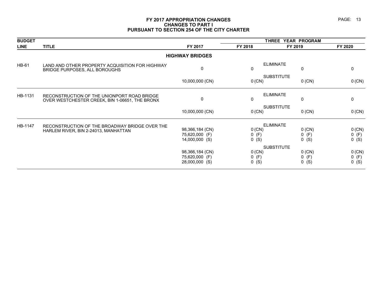#### **FY 2017 APPROPRIATION CHANGES PAGE: 13 CHANGES TO PART I PURSUANT TO SECTION 254 OF THE CITY CHARTER**

| <b>BUDGET</b> |                                                                                               |                                                     |                                | THREE YEAR PROGRAM             |                              |
|---------------|-----------------------------------------------------------------------------------------------|-----------------------------------------------------|--------------------------------|--------------------------------|------------------------------|
| <b>LINE</b>   | <b>TITLE</b>                                                                                  | FY 2017                                             | FY 2018                        | FY 2019                        | FY 2020                      |
|               |                                                                                               | <b>HIGHWAY BRIDGES</b>                              |                                |                                |                              |
| <b>HB-61</b>  | LAND AND OTHER PROPERTY ACQUISITION FOR HIGHWAY<br>BRIDGE PURPOSES, ALL BOROUGHS              | $\mathbf 0$                                         | 0                              | <b>ELIMINATE</b><br>0          | 0                            |
|               |                                                                                               | 10,000,000 (CN)                                     | 0 (CN)                         | <b>SUBSTITUTE</b><br>$0$ (CN)  | 0 (CN)                       |
| HB-1131       | RECONSTRUCTION OF THE UNIONPORT ROAD BRIDGE<br>OVER WESTCHESTER CREEK, BIN 1-06651, THE BRONX | 0                                                   | $\mathbf 0$                    | <b>ELIMINATE</b><br>0          | 0                            |
|               |                                                                                               | 10,000,000 (CN)                                     | $0$ (CN)                       | <b>SUBSTITUTE</b><br>$0$ (CN)  | 0 (CN)                       |
| HB-1147       | RECONSTRUCTION OF THE BROADWAY BRIDGE OVER THE                                                |                                                     |                                | <b>ELIMINATE</b>               |                              |
|               | HARLEM RIVER, BIN 2-24013, MANHATTAN                                                          | 98,366,184 (CN)<br>75,620,000 (F)<br>14,000,000 (S) | $0$ (CN)<br>0(F)<br>0(S)       | $0$ (CN)<br>$0$ (F)<br>$0$ (S) | 0 (CN)<br>$0$ (F)<br>$0$ (S) |
|               |                                                                                               |                                                     |                                | <b>SUBSTITUTE</b>              |                              |
|               |                                                                                               | 98,366,184 (CN)<br>75,620,000 (F)<br>28,000,000 (S) | $0$ (CN)<br>$0$ (F)<br>$0$ (S) | $0$ (CN)<br>$0$ (F)<br>$0$ (S) | 0 (CN)<br>$0$ (F)<br>$0($ S) |
|               |                                                                                               |                                                     |                                |                                |                              |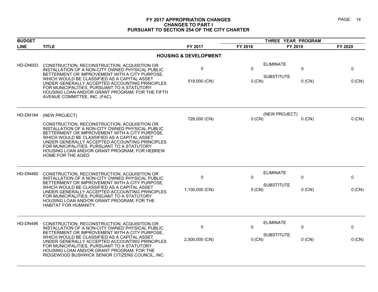#### **FY 2017 APPROPRIATION CHANGES PAGE: 14 CHANGES TO PART I PURSUANT TO SECTION 254 OF THE CITY CHARTER**

| <b>BUDGET</b>   |                                                                                                                                                                                                                                                                                                                                                                            |                                  |          | THREE YEAR PROGRAM                         |          |
|-----------------|----------------------------------------------------------------------------------------------------------------------------------------------------------------------------------------------------------------------------------------------------------------------------------------------------------------------------------------------------------------------------|----------------------------------|----------|--------------------------------------------|----------|
| <b>LINE</b>     | <b>TITLE</b>                                                                                                                                                                                                                                                                                                                                                               | FY 2017                          | FY 2018  | FY 2019                                    | FY 2020  |
|                 |                                                                                                                                                                                                                                                                                                                                                                            | <b>HOUSING &amp; DEVELOPMENT</b> |          |                                            |          |
| HD-DN003        | CONSTRUCTION, RECONSTRUCTION, ACQUISITION OR<br>INSTALLATION OF A NON-CITY OWNED PHYSICAL PUBLIC<br>BETTERMENT OR IMPROVEMENT WITH A CITY PURPOSE,                                                                                                                                                                                                                         | 0                                | $\Omega$ | <b>ELIMINATE</b><br>$\Omega$               | 0        |
|                 | WHICH WOULD BE CLASSIFIED AS A CAPITAL ASSET<br>UNDER GENERALLY ACCEPTED ACCOUNTING PRINCIPLES<br>FOR MUNICIPALITIES, PURSUANT TO A STATUTORY<br>HOUSING LOAN AND/OR GRANT PROGRAM; FOR THE FIFTH<br>AVENUE COMMITTEE, INC. (FAC).                                                                                                                                         | 518,000 (CN)                     | 0 (CN)   | <b>SUBSTITUTE</b><br>$0$ (CN)              | $0$ (CN) |
| HD-DN184        | (NEW PROJECT)                                                                                                                                                                                                                                                                                                                                                              | 728,000 (CN)                     | $0$ (CN) | (NEW PROJECT)<br>$0$ (CN)                  | 0 (CN)   |
|                 | CONSTRUCTION, RECONSTRUCTION, ACQUISITION OR<br>INSTALLATION OF A NON-CITY OWNED PHYSICAL PUBLIC<br>BETTERMENT OR IMPROVEMENT WITH A CITY PURPOSE,<br>WHICH WOULD BE CLASSIFIED AS A CAPITAL ASSET<br>UNDER GENERALLY ACCEPTED ACCOUNTING PRINCIPLES<br>FOR MUNICIPALITIES, PURSUANT TO A STATUTORY<br>HOUSING LOAN AND/OR GRANT PROGRAM; FOR HEBREW<br>HOME FOR THE AGED. |                                  |          |                                            |          |
| <b>HD-DN480</b> | CONSTRUCTION, RECONSTRUCTION, ACQUISITION OR<br>INSTALLATION OF A NON-CITY OWNED PHYSICAL PUBLIC<br>BETTERMENT OR IMPROVEMENT WITH A CITY PURPOSE,                                                                                                                                                                                                                         | 0                                | $\Omega$ | <b>ELIMINATE</b><br>0<br><b>SUBSTITUTE</b> | 0        |
|                 | WHICH WOULD BE CLASSIFIED AS A CAPITAL ASSET<br>UNDER GENERALLY ACCEPTED ACCOUNTING PRINCIPLES<br>FOR MUNICIPALITIES, PURSUANT TO A STATUTORY<br>HOUSING LOAN AND/OR GRANT PROGRAM; FOR THE<br>HABITAT FOR HUMANITY.                                                                                                                                                       | 1,100,000 (CN)                   | 0 (CN)   | $0$ (CN)                                   | 0 (CN)   |
| HD-DN496        | CONSTRUCTION, RECONSTRUCTION, ACQUISITION OR<br>INSTALLATION OF A NON-CITY OWNED PHYSICAL PUBLIC<br>BETTERMENT OR IMPROVEMENT WITH A CITY PURPOSE,                                                                                                                                                                                                                         | 0                                | $\Omega$ | <b>ELIMINATE</b><br>$\pmb{0}$              | 0        |
|                 | WHICH WOULD BE CLASSIFIED AS A CAPITAL ASSET<br>UNDER GENERALLY ACCEPTED ACCOUNTING PRINCIPLES<br>FOR MUNICIPALITIES, PURSUANT TO A STATUTORY<br>HOUSING LOAN AND/OR GRANT PROGRAM; FOR THE<br>RIDGEWOOD BUSHWICK SENIOR CITIZENS COUNCIL, INC.                                                                                                                            | 2,500,000 (CN)                   | 0 (CN)   | <b>SUBSTITUTE</b><br>$0$ (CN)              | 0 (CN)   |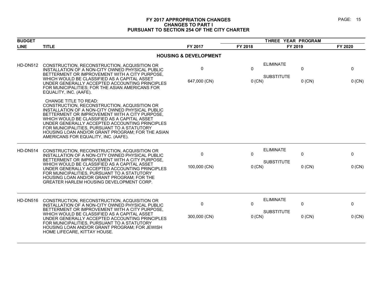#### **FY 2017 APPROPRIATION CHANGES PAGE: 15 CHANGES TO PART I PURSUANT TO SECTION 254 OF THE CITY CHARTER**

| <b>BUDGET</b>                    |                                                                                                                                                                                                                                                                                                                                                                                                                                 |                   | THREE YEAR PROGRAM       |                                       |               |               |  |  |  |
|----------------------------------|---------------------------------------------------------------------------------------------------------------------------------------------------------------------------------------------------------------------------------------------------------------------------------------------------------------------------------------------------------------------------------------------------------------------------------|-------------------|--------------------------|---------------------------------------|---------------|---------------|--|--|--|
| <b>LINE</b>                      | <b>TITLE</b>                                                                                                                                                                                                                                                                                                                                                                                                                    | FY 2017           | FY 2018                  | FY 2019                               |               | FY 2020       |  |  |  |
| <b>HOUSING &amp; DEVELOPMENT</b> |                                                                                                                                                                                                                                                                                                                                                                                                                                 |                   |                          |                                       |               |               |  |  |  |
| HD-DN512                         | CONSTRUCTION, RECONSTRUCTION, ACQUISITION OR<br>INSTALLATION OF A NON-CITY OWNED PHYSICAL PUBLIC<br>BETTERMENT OR IMPROVEMENT WITH A CITY PURPOSE.<br>WHICH WOULD BE CLASSIFIED AS A CAPITAL ASSET<br>UNDER GENERALLY ACCEPTED ACCOUNTING PRINCIPLES<br>FOR MUNICIPALITIES; FOR THE ASIAN AMERICANS FOR<br>EQUALITY, INC. (AAFE).                                                                                               | 0<br>647,000 (CN) | $\mathbf{0}$<br>$0$ (CN) | <b>ELIMINATE</b><br><b>SUBSTITUTE</b> | 0<br>$0$ (CN) | 0<br>0 (CN)   |  |  |  |
|                                  | <b>CHANGE TITLE TO READ:</b><br>CONSTRUCTION, RECONSTRUCTION, ACQUISITION OR<br>INSTALLATION OF A NON-CITY OWNED PHYSICAL PUBLIC<br>BETTERMENT OR IMPROVEMENT WITH A CITY PURPOSE.<br>WHICH WOULD BE CLASSIFIED AS A CAPITAL ASSET<br>UNDER GENERALLY ACCEPTED ACCOUNTING PRINCIPLES<br>FOR MUNICIPALITIES. PURSUANT TO A STATUTORY<br>HOUSING LOAN AND/OR GRANT PROGRAM; FOR THE ASIAN<br>AMERICANS FOR EQUALITY, INC. (AAFE). |                   |                          |                                       |               |               |  |  |  |
| HD-DN514                         | CONSTRUCTION, RECONSTRUCTION, ACQUISITION OR<br>INSTALLATION OF A NON-CITY OWNED PHYSICAL PUBLIC<br>BETTERMENT OR IMPROVEMENT WITH A CITY PURPOSE.<br>WHICH WOULD BE CLASSIFIED AS A CAPITAL ASSET<br>UNDER GENERALLY ACCEPTED ACCOUNTING PRINCIPLES<br>FOR MUNICIPALITIES, PURSUANT TO A STATUTORY<br>HOUSING LOAN AND/OR GRANT PROGRAM; FOR THE<br>GREATER HARLEM HOUSING DEVELOPMENT CORP.                                   | 0<br>100,000 (CN) | 0<br>$0$ (CN)            | <b>ELIMINATE</b><br><b>SUBSTITUTE</b> | 0<br>$0$ (CN) | 0<br>0 (CN)   |  |  |  |
| <b>HD-DN516</b>                  | CONSTRUCTION, RECONSTRUCTION, ACQUISITION OR<br>INSTALLATION OF A NON-CITY OWNED PHYSICAL PUBLIC<br>BETTERMENT OR IMPROVEMENT WITH A CITY PURPOSE.<br>WHICH WOULD BE CLASSIFIED AS A CAPITAL ASSET<br>UNDER GENERALLY ACCEPTED ACCOUNTING PRINCIPLES<br>FOR MUNICIPALITIES, PURSUANT TO A STATUTORY<br>HOUSING LOAN AND/OR GRANT PROGRAM; FOR JEWISH<br>HOME LIFECARE, KITTAY HOUSE.                                            | 0<br>300,000 (CN) | 0<br>$0$ (CN)            | <b>ELIMINATE</b><br><b>SUBSTITUTE</b> | 0<br>$0$ (CN) | 0<br>$0$ (CN) |  |  |  |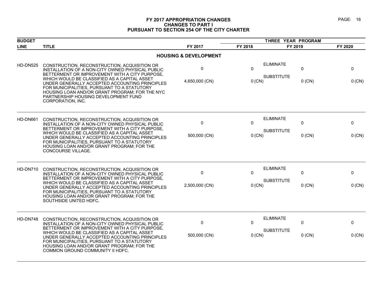#### **FY 2017 APPROPRIATION CHANGES PAGE: 16 CHANGES TO PART I PURSUANT TO SECTION 254 OF THE CITY CHARTER**

| <b>BUDGET</b>   |                                                                                                                                                                                                                                                                                                                                                                                                                    |                                  |                          | THREE YEAR PROGRAM                                     |               |
|-----------------|--------------------------------------------------------------------------------------------------------------------------------------------------------------------------------------------------------------------------------------------------------------------------------------------------------------------------------------------------------------------------------------------------------------------|----------------------------------|--------------------------|--------------------------------------------------------|---------------|
| <b>LINE</b>     | <b>TITLE</b>                                                                                                                                                                                                                                                                                                                                                                                                       | FY 2017                          | FY 2018                  | FY 2019                                                | FY 2020       |
|                 |                                                                                                                                                                                                                                                                                                                                                                                                                    | <b>HOUSING &amp; DEVELOPMENT</b> |                          |                                                        |               |
| <b>HD-DN525</b> | CONSTRUCTION, RECONSTRUCTION, ACQUISITION OR<br>INSTALLATION OF A NON-CITY OWNED PHYSICAL PUBLIC<br>BETTERMENT OR IMPROVEMENT WITH A CITY PURPOSE,<br>WHICH WOULD BE CLASSIFIED AS A CAPITAL ASSET<br>UNDER GENERALLY ACCEPTED ACCOUNTING PRINCIPLES<br>FOR MUNICIPALITIES, PURSUANT TO A STATUTORY<br>HOUSING LOAN AND/OR GRANT PROGRAM; FOR THE NYC<br>PARTNERSHIP HOUSING DEVELOPMENT FUND<br>CORPORATION, INC. | 0<br>4,650,000 (CN)              | $\Omega$<br>0(CN)        | <b>ELIMINATE</b><br>0<br><b>SUBSTITUTE</b><br>$0$ (CN) | 0<br>0 (CN)   |
| HD-DN661        | CONSTRUCTION, RECONSTRUCTION, ACQUISITION OR<br>INSTALLATION OF A NON-CITY OWNED PHYSICAL PUBLIC<br>BETTERMENT OR IMPROVEMENT WITH A CITY PURPOSE,<br>WHICH WOULD BE CLASSIFIED AS A CAPITAL ASSET<br>UNDER GENERALLY ACCEPTED ACCOUNTING PRINCIPLES<br>FOR MUNICIPALITIES, PURSUANT TO A STATUTORY<br>HOUSING LOAN AND/OR GRANT PROGRAM; FOR THE<br>CONCOURSE VILLAGE.                                            | 0<br>500,000 (CN)                | $\Omega$<br>$0$ (CN)     | <b>ELIMINATE</b><br>0<br><b>SUBSTITUTE</b><br>$0$ (CN) | 0<br>$0$ (CN) |
| HD-DN710        | CONSTRUCTION, RECONSTRUCTION, ACQUISITION OR<br>INSTALLATION OF A NON-CITY OWNED PHYSICAL PUBLIC<br>BETTERMENT OR IMPROVEMENT WITH A CITY PURPOSE,<br>WHICH WOULD BE CLASSIFIED AS A CAPITAL ASSET<br>UNDER GENERALLY ACCEPTED ACCOUNTING PRINCIPLES<br>FOR MUNICIPALITIES, PURSUANT TO A STATUTORY<br>HOUSING LOAN AND/OR GRANT PROGRAM; FOR THE<br>SOUTHSIDE UNITED HDFC.                                        | 0<br>2,500,000 (CN)              | $\mathbf{0}$<br>0(CN)    | <b>ELIMINATE</b><br>0<br><b>SUBSTITUTE</b><br>$0$ (CN) | 0<br>$0$ (CN) |
| HD-DN748        | CONSTRUCTION, RECONSTRUCTION, ACQUISITION OR<br>INSTALLATION OF A NON-CITY OWNED PHYSICAL PUBLIC<br>BETTERMENT OR IMPROVEMENT WITH A CITY PURPOSE,<br>WHICH WOULD BE CLASSIFIED AS A CAPITAL ASSET<br>UNDER GENERALLY ACCEPTED ACCOUNTING PRINCIPLES<br>FOR MUNICIPALITIES, PURSUANT TO A STATUTORY<br>HOUSING LOAN AND/OR GRANT PROGRAM; FOR THE<br>COMMON GROUND COMMUNITY II HDFC.                              | 0<br>500,000 (CN)                | $\mathbf{0}$<br>$0$ (CN) | <b>ELIMINATE</b><br>0<br><b>SUBSTITUTE</b><br>$0$ (CN) | 0<br>$0$ (CN) |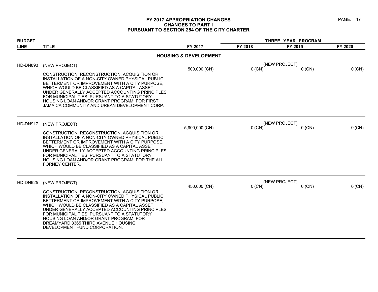#### **FY 2017 APPROPRIATION CHANGES PAGE: 17 CHANGES TO PART I PURSUANT TO SECTION 254 OF THE CITY CHARTER**

| <b>BUDGET</b>   |                                                                                                                                                                                                                                                                                                                                                                                                                       |                                  | THREE YEAR PROGRAM |                           |         |
|-----------------|-----------------------------------------------------------------------------------------------------------------------------------------------------------------------------------------------------------------------------------------------------------------------------------------------------------------------------------------------------------------------------------------------------------------------|----------------------------------|--------------------|---------------------------|---------|
| <b>LINE</b>     | <b>TITLE</b>                                                                                                                                                                                                                                                                                                                                                                                                          | FY 2017                          | FY 2018            | FY 2019                   | FY 2020 |
|                 |                                                                                                                                                                                                                                                                                                                                                                                                                       | <b>HOUSING &amp; DEVELOPMENT</b> |                    |                           |         |
| <b>HD-DN893</b> | (NEW PROJECT)                                                                                                                                                                                                                                                                                                                                                                                                         | 500,000 (CN)                     | $0$ (CN)           | (NEW PROJECT)<br>$0$ (CN) | 0 (CN)  |
|                 | CONSTRUCTION, RECONSTRUCTION, ACQUISITION OR<br>INSTALLATION OF A NON-CITY OWNED PHYSICAL PUBLIC<br>BETTERMENT OR IMPROVEMENT WITH A CITY PURPOSE.<br>WHICH WOULD BE CLASSIFIED AS A CAPITAL ASSET<br>UNDER GENERALLY ACCEPTED ACCOUNTING PRINCIPLES<br>FOR MUNICIPALITIES, PURSUANT TO A STATUTORY<br>HOUSING LOAN AND/OR GRANT PROGRAM; FOR FIRST<br>JAMAICA COMMUNITY AND URBAN DEVELOPMENT CORP.                  |                                  |                    |                           |         |
| HD-DN917        | (NEW PROJECT)                                                                                                                                                                                                                                                                                                                                                                                                         | 5,900,000 (CN)                   | $0$ (CN)           | (NEW PROJECT)<br>$0$ (CN) | 0 (CN)  |
|                 | CONSTRUCTION, RECONSTRUCTION, ACQUISITION OR<br>INSTALLATION OF A NON-CITY OWNED PHYSICAL PUBLIC<br>BETTERMENT OR IMPROVEMENT WITH A CITY PURPOSE,<br>WHICH WOULD BE CLASSIFIED AS A CAPITAL ASSET<br>UNDER GENERALLY ACCEPTED ACCOUNTING PRINCIPLES<br>FOR MUNICIPALITIES, PURSUANT TO A STATUTORY<br>HOUSING LOAN AND/OR GRANT PROGRAM; FOR THE ALI<br><b>FORNEY CENTER.</b>                                        |                                  |                    |                           |         |
| HD-DN925        | (NEW PROJECT)                                                                                                                                                                                                                                                                                                                                                                                                         |                                  |                    | (NEW PROJECT)             |         |
|                 | CONSTRUCTION, RECONSTRUCTION, ACQUISITION OR<br>INSTALLATION OF A NON-CITY OWNED PHYSICAL PUBLIC<br>BETTERMENT OR IMPROVEMENT WITH A CITY PURPOSE.<br>WHICH WOULD BE CLASSIFIED AS A CAPITAL ASSET<br>UNDER GENERALLY ACCEPTED ACCOUNTING PRINCIPLES<br>FOR MUNICIPALITIES, PURSUANT TO A STATUTORY<br>HOUSING LOAN AND/OR GRANT PROGRAM; FOR<br>DREAMYARD 3365 THIRD AVENUE HOUSING<br>DEVELOPMENT FUND CORPORATION. | 450,000 (CN)                     | $0$ (CN)           | $0$ (CN)                  | 0 (CN)  |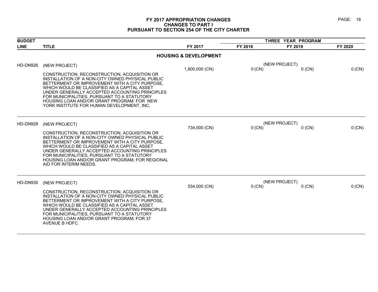#### **FY 2017 APPROPRIATION CHANGES PAGE: 18 CHANGES TO PART I PURSUANT TO SECTION 254 OF THE CITY CHARTER**

| <b>BUDGET</b> |                                                                                                                                                                                                                                                                                                                                                                                                 |                                  | THREE YEAR PROGRAM |                           |         |
|---------------|-------------------------------------------------------------------------------------------------------------------------------------------------------------------------------------------------------------------------------------------------------------------------------------------------------------------------------------------------------------------------------------------------|----------------------------------|--------------------|---------------------------|---------|
| <b>LINE</b>   | <b>TITLE</b>                                                                                                                                                                                                                                                                                                                                                                                    | FY 2017                          | FY 2018            | FY 2019                   | FY 2020 |
|               |                                                                                                                                                                                                                                                                                                                                                                                                 | <b>HOUSING &amp; DEVELOPMENT</b> |                    |                           |         |
| HD-DN926      | (NEW PROJECT)                                                                                                                                                                                                                                                                                                                                                                                   | 1,800,000 (CN)                   | 0 (CN)             | (NEW PROJECT)<br>$0$ (CN) | 0 (CN)  |
|               | CONSTRUCTION, RECONSTRUCTION, ACQUISITION OR<br>INSTALLATION OF A NON-CITY OWNED PHYSICAL PUBLIC<br>BETTERMENT OR IMPROVEMENT WITH A CITY PURPOSE,<br>WHICH WOULD BE CLASSIFIED AS A CAPITAL ASSET<br>UNDER GENERALLY ACCEPTED ACCOUNTING PRINCIPLES<br>FOR MUNICIPALITIES, PURSUANT TO A STATUTORY<br>HOUSING LOAN AND/OR GRANT PROGRAM: FOR NEW<br>YORK INSTITUTE FOR HUMAN DEVELOPMENT. INC. |                                  |                    |                           |         |
| HD-DN928      | (NEW PROJECT)                                                                                                                                                                                                                                                                                                                                                                                   | 734,000 (CN)                     | $0$ (CN)           | (NEW PROJECT)<br>$0$ (CN) | 0 (CN)  |
|               | CONSTRUCTION, RECONSTRUCTION, ACQUISITION OR<br>INSTALLATION OF A NON-CITY OWNED PHYSICAL PUBLIC<br>BETTERMENT OR IMPROVEMENT WITH A CITY PURPOSE.<br>WHICH WOULD BE CLASSIFIED AS A CAPITAL ASSET<br>UNDER GENERALLY ACCEPTED ACCOUNTING PRINCIPLES<br>FOR MUNICIPALITIES, PURSUANT TO A STATUTORY<br>HOUSING LOAN AND/OR GRANT PROGRAM; FOR REGIONAL<br>AID FOR INTERIM NEEDS.                |                                  |                    |                           |         |
| HD-DN930      | (NEW PROJECT)                                                                                                                                                                                                                                                                                                                                                                                   | 534,000 (CN)                     | $0$ (CN)           | (NEW PROJECT)<br>$0$ (CN) | 0 (CN)  |
|               | CONSTRUCTION, RECONSTRUCTION, ACQUISITION OR<br>INSTALLATION OF A NON-CITY OWNED PHYSICAL PUBLIC<br>BETTERMENT OR IMPROVEMENT WITH A CITY PURPOSE.<br>WHICH WOULD BE CLASSIFIED AS A CAPITAL ASSET<br>UNDER GENERALLY ACCEPTED ACCOUNTING PRINCIPLES<br>FOR MUNICIPALITIES, PURSUANT TO A STATUTORY<br>HOUSING LOAN AND/OR GRANT PROGRAM; FOR 37<br>AVENUE B HDFC.                              |                                  |                    |                           |         |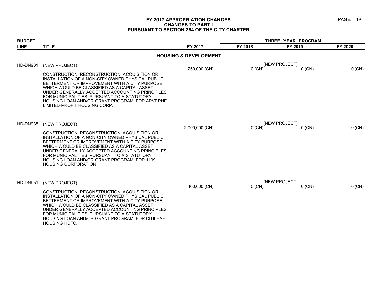#### **FY 2017 APPROPRIATION CHANGES PAGE: 19 CHANGES TO PART I PURSUANT TO SECTION 254 OF THE CITY CHARTER**

| <b>BUDGET</b> |                                                                                                                                                                                                                                                                                                                                                                                                        |                                  |          | THREE YEAR PROGRAM        |          |  |
|---------------|--------------------------------------------------------------------------------------------------------------------------------------------------------------------------------------------------------------------------------------------------------------------------------------------------------------------------------------------------------------------------------------------------------|----------------------------------|----------|---------------------------|----------|--|
| <b>LINE</b>   | <b>TITLE</b>                                                                                                                                                                                                                                                                                                                                                                                           | FY 2017                          | FY 2018  | FY 2019                   | FY 2020  |  |
|               |                                                                                                                                                                                                                                                                                                                                                                                                        | <b>HOUSING &amp; DEVELOPMENT</b> |          |                           |          |  |
| HD-DN931      | (NEW PROJECT)<br>CONSTRUCTION, RECONSTRUCTION, ACQUISITION OR<br>INSTALLATION OF A NON-CITY OWNED PHYSICAL PUBLIC<br>BETTERMENT OR IMPROVEMENT WITH A CITY PURPOSE,<br>WHICH WOULD BE CLASSIFIED AS A CAPITAL ASSET<br>UNDER GENERALLY ACCEPTED ACCOUNTING PRINCIPLES<br>FOR MUNICIPALITIES, PURSUANT TO A STATUTORY<br>HOUSING LOAN AND/OR GRANT PROGRAM; FOR ARVERNE<br>LIMITED-PROFIT HOUSING CORP. | 250,000 (CN)                     | $0$ (CN) | (NEW PROJECT)<br>$0$ (CN) | 0 (CN)   |  |
| HD-DN935      | (NEW PROJECT)<br>CONSTRUCTION, RECONSTRUCTION, ACQUISITION OR<br>INSTALLATION OF A NON-CITY OWNED PHYSICAL PUBLIC<br>BETTERMENT OR IMPROVEMENT WITH A CITY PURPOSE,<br>WHICH WOULD BE CLASSIFIED AS A CAPITAL ASSET<br>UNDER GENERALLY ACCEPTED ACCOUNTING PRINCIPLES<br>FOR MUNICIPALITIES, PURSUANT TO A STATUTORY<br>HOUSING LOAN AND/OR GRANT PROGRAM; FOR 1199<br><b>HOUSING CORPORATION.</b>     | 2,000,000 (CN)                   | $0$ (CN) | (NEW PROJECT)<br>$0$ (CN) | 0 (CN)   |  |
| HD-DN951      | (NEW PROJECT)<br>CONSTRUCTION, RECONSTRUCTION, ACQUISITION OR<br>INSTALLATION OF A NON-CITY OWNED PHYSICAL PUBLIC<br>BETTERMENT OR IMPROVEMENT WITH A CITY PURPOSE,<br>WHICH WOULD BE CLASSIFIED AS A CAPITAL ASSET<br>UNDER GENERALLY ACCEPTED ACCOUNTING PRINCIPLES<br>FOR MUNICIPALITIES, PURSUANT TO A STATUTORY<br>HOUSING LOAN AND/OR GRANT PROGRAM; FOR CITILEAF<br>HOUSING HDFC.               | 400,000 (CN)                     | $0$ (CN) | (NEW PROJECT)<br>$0$ (CN) | $0$ (CN) |  |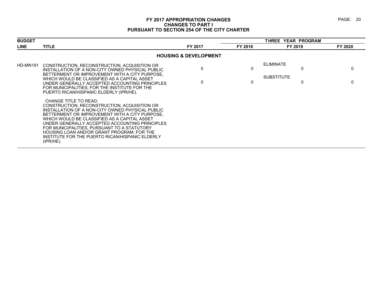#### **FY 2017 APPROPRIATION CHANGES PAGE: 20 CHANGES TO PART I PURSUANT TO SECTION 254 OF THE CITY CHARTER**

| <b>BUDGET</b> |                                                                                                                                                                                                                                                                                                                                                                                                                                               |                                  |         | THREE YEAR PROGRAM                    |         |  |  |
|---------------|-----------------------------------------------------------------------------------------------------------------------------------------------------------------------------------------------------------------------------------------------------------------------------------------------------------------------------------------------------------------------------------------------------------------------------------------------|----------------------------------|---------|---------------------------------------|---------|--|--|
| <b>LINE</b>   | <b>TITLE</b>                                                                                                                                                                                                                                                                                                                                                                                                                                  | FY 2017                          | FY 2018 | FY 2019                               | FY 2020 |  |  |
|               |                                                                                                                                                                                                                                                                                                                                                                                                                                               | <b>HOUSING &amp; DEVELOPMENT</b> |         |                                       |         |  |  |
| HD-MN191      | CONSTRUCTION, RECONSTRUCTION, ACQUISITION OR<br>INSTALLATION OF A NON-CITY OWNED PHYSICAL PUBLIC<br>BETTERMENT OR IMPROVEMENT WITH A CITY PURPOSE.<br>WHICH WOULD BE CLASSIFIED AS A CAPITAL ASSET<br>UNDER GENERALLY ACCEPTED ACCOUNTING PRINCIPLES<br>FOR MUNICIPALITIES; FOR THE INSTITUTE FOR THE<br>PUERTO RICAN/HISPANIC ELDERLY (IPR/HE).                                                                                              | 0<br>$\Omega$                    | 0<br>0  | <b>ELIMINATE</b><br><b>SUBSTITUTE</b> | 0<br>0  |  |  |
|               | CHANGE TITLE TO READ:<br>CONSTRUCTION, RECONSTRUCTION, ACQUISITION OR<br>INSTALLATION OF A NON-CITY OWNED PHYSICAL PUBLIC<br>BETTERMENT OR IMPROVEMENT WITH A CITY PURPOSE.<br>WHICH WOULD BE CLASSIFIED AS A CAPITAL ASSET<br>UNDER GENERALLY ACCEPTED ACCOUNTING PRINCIPLES<br>FOR MUNICIPALITIES, PURSUANT TO A STATUTORY<br>HOUSING LOAN AND/OR GRANT PROGRAM; FOR THE<br>INSTITUTE FOR THE PUERTO RICAN/HISPANIC ELDERLY<br>$(IPR/HE)$ . |                                  |         |                                       |         |  |  |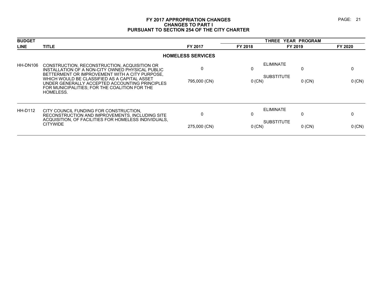#### **FY 2017 APPROPRIATION CHANGES PAGE: 21 CHANGES TO PART I PURSUANT TO SECTION 254 OF THE CITY CHARTER**

| <b>BUDGET</b> |                                                                                                                                                                                                                                                                                                                    |                          |               | THREE YEAR PROGRAM                                     |         |
|---------------|--------------------------------------------------------------------------------------------------------------------------------------------------------------------------------------------------------------------------------------------------------------------------------------------------------------------|--------------------------|---------------|--------------------------------------------------------|---------|
| <b>LINE</b>   | <b>TITLE</b>                                                                                                                                                                                                                                                                                                       | FY 2017                  | FY 2018       | FY 2019                                                | FY 2020 |
|               |                                                                                                                                                                                                                                                                                                                    | <b>HOMELESS SERVICES</b> |               |                                                        |         |
| HH-DN106      | CONSTRUCTION, RECONSTRUCTION, ACQUISITION OR<br>INSTALLATION OF A NON-CITY OWNED PHYSICAL PUBLIC<br>BETTERMENT OR IMPROVEMENT WITH A CITY PURPOSE,<br>WHICH WOULD BE CLASSIFIED AS A CAPITAL ASSET<br>UNDER GENERALLY ACCEPTED ACCOUNTING PRINCIPLES<br>FOR MUNICIPALITIES; FOR THE COALITION FOR THE<br>HOMELESS. | 0<br>795,000 (CN)        | 0<br>$0$ (CN) | <b>ELIMINATE</b><br>0<br><b>SUBSTITUTE</b><br>$0$ (CN) | 0 (CN)  |
| HH-D112       | CITY COUNCIL FUNDING FOR CONSTRUCTION.<br>RECONSTRUCTION AND IMPROVEMENTS. INCLUDING SITE<br>ACQUISITION, OF FACILITIES FOR HOMELESS INDIVIDUALS,<br><b>CITYWIDE</b>                                                                                                                                               | $\Omega$<br>275,000 (CN) | $0$ (CN)      | <b>ELIMINATE</b><br><b>SUBSTITUTE</b><br>$0$ (CN)      | 0 (CN)  |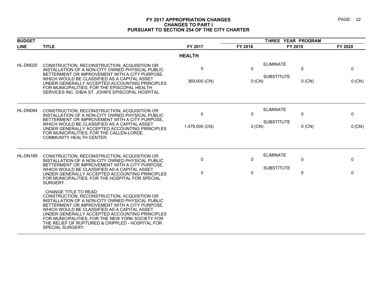#### **FY 2017 APPROPRIATION CHANGES PAGE: 22 CHANGES TO PART I PURSUANT TO SECTION 254 OF THE CITY CHARTER**

| <b>BUDGET</b> |                                                                                                                                                                                                                                                                                                                                                                                                                  |                               |                        | THREE YEAR PROGRAM                    |               |               |
|---------------|------------------------------------------------------------------------------------------------------------------------------------------------------------------------------------------------------------------------------------------------------------------------------------------------------------------------------------------------------------------------------------------------------------------|-------------------------------|------------------------|---------------------------------------|---------------|---------------|
| <b>LINE</b>   | <b>TITLE</b>                                                                                                                                                                                                                                                                                                                                                                                                     | FY 2017                       | FY 2018                | FY 2019                               |               | FY 2020       |
|               |                                                                                                                                                                                                                                                                                                                                                                                                                  | <b>HEALTH</b>                 |                        |                                       |               |               |
| HL-DN025      | CONSTRUCTION, RECONSTRUCTION, ACQUISITION OR<br>INSTALLATION OF A NON-CITY OWNED PHYSICAL PUBLIC<br>BETTERMENT OR IMPROVEMENT WITH A CITY PURPOSE.<br>WHICH WOULD BE CLASSIFIED AS A CAPITAL ASSET<br>UNDER GENERALLY ACCEPTED ACCOUNTING PRINCIPLES<br>FOR MUNICIPALITIES; FOR THE EPISCOPAL HEALTH<br>SERVICES INC. D/B/A ST. JOHN'S EPISCOPAL HOSPITAL.                                                       | $\mathbf 0$<br>369,000 (CN)   | $\mathbf{0}$<br>0 (CN) | <b>ELIMINATE</b><br><b>SUBSTITUTE</b> | 0<br>$0$ (CN) | 0<br>0 (CN)   |
| HL-DN084      | CONSTRUCTION, RECONSTRUCTION, ACQUISITION OR<br>INSTALLATION OF A NON-CITY OWNED PHYSICAL PUBLIC<br>BETTERMENT OR IMPROVEMENT WITH A CITY PURPOSE.<br>WHICH WOULD BE CLASSIFIED AS A CAPITAL ASSET<br>UNDER GENERALLY ACCEPTED ACCOUNTING PRINCIPLES<br>FOR MUNICIPALITIES; FOR THE CALLEN-LORDE<br><b>COMMUNITY HEALTH CENTER.</b>                                                                              | $\mathbf 0$<br>1,479,000 (CN) | $\Omega$<br>$0$ (CN)   | <b>ELIMINATE</b><br><b>SUBSTITUTE</b> | 0<br>$0$ (CN) | 0<br>$0$ (CN) |
| HL-DN189      | CONSTRUCTION, RECONSTRUCTION, ACQUISITION OR<br>INSTALLATION OF A NON-CITY OWNED PHYSICAL PUBLIC<br>BETTERMENT OR IMPROVEMENT WITH A CITY PURPOSE.<br>WHICH WOULD BE CLASSIFIED AS A CAPITAL ASSET<br>UNDER GENERALLY ACCEPTED ACCOUNTING PRINCIPLES<br>FOR MUNICIPALITIES; FOR THE HOSPITAL FOR SPECIAL<br>SURGERY.                                                                                             | $\Omega$<br>$\Omega$          | $\Omega$<br>$\Omega$   | <b>ELIMINATE</b><br><b>SUBSTITUTE</b> | 0<br>0        | $\Omega$<br>0 |
|               | <b>CHANGE TITLE TO READ:</b><br>CONSTRUCTION, RECONSTRUCTION, ACQUISITION OR<br>INSTALLATION OF A NON-CITY OWNED PHYSICAL PUBLIC<br>BETTERMENT OR IMPROVEMENT WITH A CITY PURPOSE.<br>WHICH WOULD BE CLASSIFIED AS A CAPITAL ASSET<br>UNDER GENERALLY ACCEPTED ACCOUNTING PRINCIPLES<br>FOR MUNICIPALITIES; FOR THE NEW YORK SOCIETY FOR<br>THE RELIEF OF RUPTURED & CRIPPLED - HOSPITAL FOR<br>SPECIAL SURGERY. |                               |                        |                                       |               |               |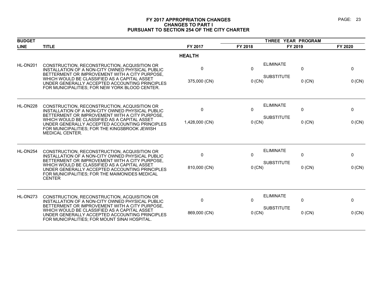#### **FY 2017 APPROPRIATION CHANGES PAGE: 23 CHANGES TO PART I PURSUANT TO SECTION 254 OF THE CITY CHARTER**

| <b>BUDGET</b> |                                                                                                                                                                                                   |                |              | THREE YEAR PROGRAM                                    |              |
|---------------|---------------------------------------------------------------------------------------------------------------------------------------------------------------------------------------------------|----------------|--------------|-------------------------------------------------------|--------------|
| <b>LINE</b>   | <b>TITLE</b>                                                                                                                                                                                      | FY 2017        | FY 2018      | FY 2019                                               | FY 2020      |
|               |                                                                                                                                                                                                   | <b>HEALTH</b>  |              |                                                       |              |
| HL-DN201      | CONSTRUCTION, RECONSTRUCTION, ACQUISITION OR<br>INSTALLATION OF A NON-CITY OWNED PHYSICAL PUBLIC<br>BETTERMENT OR IMPROVEMENT WITH A CITY PURPOSE,                                                | 0              | $\Omega$     | <b>ELIMINATE</b><br>$\mathbf{0}$                      | 0            |
|               | WHICH WOULD BE CLASSIFIED AS A CAPITAL ASSET<br>UNDER GENERALLY ACCEPTED ACCOUNTING PRINCIPLES<br>FOR MUNICIPALITIES; FOR NEW YORK BLOOD CENTER.                                                  | 375,000 (CN)   | $0$ (CN)     | <b>SUBSTITUTE</b><br>$0$ (CN)                         | $0$ (CN)     |
| HL-DN228      | CONSTRUCTION, RECONSTRUCTION, ACQUISITION OR<br>INSTALLATION OF A NON-CITY OWNED PHYSICAL PUBLIC<br>BETTERMENT OR IMPROVEMENT WITH A CITY PURPOSE.                                                | 0              | $\mathbf{0}$ | <b>ELIMINATE</b><br>$\mathbf{0}$                      | $\mathbf{0}$ |
|               | WHICH WOULD BE CLASSIFIED AS A CAPITAL ASSET<br>UNDER GENERALLY ACCEPTED ACCOUNTING PRINCIPLES<br>FOR MUNICIPALITIES; FOR THE KINGSBROOK JEWISH<br><b>MEDICAL CENTER.</b>                         | 1,428,000 (CN) | 0 (CN)       | <b>SUBSTITUTE</b><br>$0$ (CN)                         | $0$ (CN)     |
| HL-DN254      | CONSTRUCTION, RECONSTRUCTION, ACQUISITION OR<br>INSTALLATION OF A NON-CITY OWNED PHYSICAL PUBLIC<br>BETTERMENT OR IMPROVEMENT WITH A CITY PURPOSE,                                                | 0              | $\Omega$     | <b>ELIMINATE</b><br>$\mathbf{0}$<br><b>SUBSTITUTE</b> | 0            |
|               | WHICH WOULD BE CLASSIFIED AS A CAPITAL ASSET<br>UNDER GENERALLY ACCEPTED ACCOUNTING PRINCIPLES<br>FOR MUNICIPALITIES; FOR THE MAIMONIDES MEDICAL<br><b>CENTER</b>                                 | 810,000 (CN)   | $0$ (CN)     | $0$ (CN)                                              | 0 (CN)       |
| HL-DN273      | CONSTRUCTION, RECONSTRUCTION, ACQUISITION OR<br>INSTALLATION OF A NON-CITY OWNED PHYSICAL PUBLIC                                                                                                  | 0              | $\mathbf{0}$ | <b>ELIMINATE</b><br>$\mathbf{0}$                      | 0            |
|               | BETTERMENT OR IMPROVEMENT WITH A CITY PURPOSE,<br>WHICH WOULD BE CLASSIFIED AS A CAPITAL ASSET<br>UNDER GENERALLY ACCEPTED ACCOUNTING PRINCIPLES<br>FOR MUNICIPALITIES; FOR MOUNT SINAI HOSPITAL. | 869,000 (CN)   | $0$ (CN)     | <b>SUBSTITUTE</b><br>$0$ (CN)                         | $0$ (CN)     |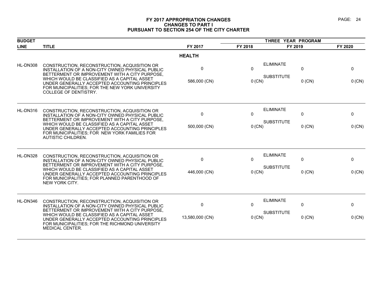#### **FY 2017 APPROPRIATION CHANGES PAGE: 24 CHANGES TO PART I PURSUANT TO SECTION 254 OF THE CITY CHARTER**

| <b>BUDGET</b> |                                                                                                                                                                                                                                                                                                                                  |                              | THREE YEAR PROGRAM |                                       |               |             |
|---------------|----------------------------------------------------------------------------------------------------------------------------------------------------------------------------------------------------------------------------------------------------------------------------------------------------------------------------------|------------------------------|--------------------|---------------------------------------|---------------|-------------|
| <b>LINE</b>   | <b>TITLE</b>                                                                                                                                                                                                                                                                                                                     | FY 2017                      | FY 2018            | FY 2019                               |               | FY 2020     |
|               |                                                                                                                                                                                                                                                                                                                                  | <b>HEALTH</b>                |                    |                                       |               |             |
| HL-DN308      | CONSTRUCTION, RECONSTRUCTION, ACQUISITION OR<br>INSTALLATION OF A NON-CITY OWNED PHYSICAL PUBLIC<br>BETTERMENT OR IMPROVEMENT WITH A CITY PURPOSE,<br>WHICH WOULD BE CLASSIFIED AS A CAPITAL ASSET<br>UNDER GENERALLY ACCEPTED ACCOUNTING PRINCIPLES<br>FOR MUNICIPALITIES; FOR THE NEW YORK UNIVERSITY<br>COLLEGE OF DENTISTRY. | 0<br>586,000 (CN)            | 0<br>$0$ (CN)      | <b>ELIMINATE</b><br><b>SUBSTITUTE</b> | 0<br>$0$ (CN) | 0<br>0 (CN) |
| HL-DN316      | CONSTRUCTION, RECONSTRUCTION, ACQUISITION OR<br>INSTALLATION OF A NON-CITY OWNED PHYSICAL PUBLIC<br>BETTERMENT OR IMPROVEMENT WITH A CITY PURPOSE,<br>WHICH WOULD BE CLASSIFIED AS A CAPITAL ASSET<br>UNDER GENERALLY ACCEPTED ACCOUNTING PRINCIPLES<br>FOR MUNICIPALITIES; FOR NEW YORK FAMILIES FOR<br>AUTISTIC CHILDREN.      | $\pmb{0}$<br>500,000 (CN)    | 0<br>0 (CN)        | <b>ELIMINATE</b><br><b>SUBSTITUTE</b> | 0<br>$0$ (CN) | 0<br>0 (CN) |
| HL-DN328      | CONSTRUCTION, RECONSTRUCTION, ACQUISITION OR<br>INSTALLATION OF A NON-CITY OWNED PHYSICAL PUBLIC<br>BETTERMENT OR IMPROVEMENT WITH A CITY PURPOSE,<br>WHICH WOULD BE CLASSIFIED AS A CAPITAL ASSET<br>UNDER GENERALLY ACCEPTED ACCOUNTING PRINCIPLES<br>FOR MUNICIPALITIES; FOR PLANNED PARENTHOOD OF<br>NEW YORK CITY.          | $\mathbf{0}$<br>446,000 (CN) | 0<br>0 (CN)        | <b>ELIMINATE</b><br><b>SUBSTITUTE</b> | 0<br>$0$ (CN) | 0<br>0 (CN) |
| HL-DN346      | CONSTRUCTION, RECONSTRUCTION, ACQUISITION OR<br>INSTALLATION OF A NON-CITY OWNED PHYSICAL PUBLIC<br>BETTERMENT OR IMPROVEMENT WITH A CITY PURPOSE,<br>WHICH WOULD BE CLASSIFIED AS A CAPITAL ASSET<br>UNDER GENERALLY ACCEPTED ACCOUNTING PRINCIPLES<br>FOR MUNICIPALITIES; FOR THE RICHMOND UNIVERSITY<br>MEDICAL CENTER.       | 0<br>13,580,000 (CN)         | 0<br>0 (CN)        | <b>ELIMINATE</b><br><b>SUBSTITUTE</b> | 0<br>$0$ (CN) | 0<br>0 (CN) |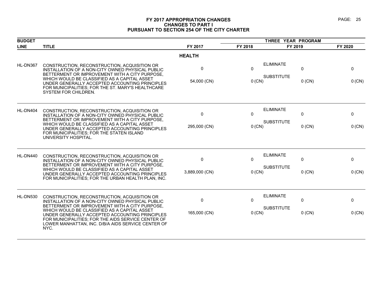#### **FY 2017 APPROPRIATION CHANGES PAGE: 25 CHANGES TO PART I PURSUANT TO SECTION 254 OF THE CITY CHARTER**

| <b>BUDGET</b> |                                                                                                                                                                                                                                                                                                           |                  | THREE YEAR PROGRAM       |                                       |               |                         |
|---------------|-----------------------------------------------------------------------------------------------------------------------------------------------------------------------------------------------------------------------------------------------------------------------------------------------------------|------------------|--------------------------|---------------------------------------|---------------|-------------------------|
| <b>LINE</b>   | <b>TITLE</b>                                                                                                                                                                                                                                                                                              | FY 2017          | FY 2018                  | FY 2019                               |               | FY 2020                 |
|               |                                                                                                                                                                                                                                                                                                           | <b>HEALTH</b>    |                          |                                       |               |                         |
| HL-DN367      | CONSTRUCTION, RECONSTRUCTION, ACQUISITION OR<br>INSTALLATION OF A NON-CITY OWNED PHYSICAL PUBLIC<br>BETTERMENT OR IMPROVEMENT WITH A CITY PURPOSE,<br>WHICH WOULD BE CLASSIFIED AS A CAPITAL ASSET<br>UNDER GENERALLY ACCEPTED ACCOUNTING PRINCIPLES<br>FOR MUNICIPALITIES; FOR THE ST. MARY'S HEALTHCARE | 0<br>54,000 (CN) | $\mathbf{0}$<br>$0$ (CN) | <b>ELIMINATE</b><br><b>SUBSTITUTE</b> | 0<br>$0$ (CN) | $\mathbf 0$<br>$0$ (CN) |
|               | SYSTEM FOR CHILDREN.                                                                                                                                                                                                                                                                                      |                  |                          |                                       |               |                         |
| HL-DN404      | CONSTRUCTION, RECONSTRUCTION, ACQUISITION OR<br>INSTALLATION OF A NON-CITY OWNED PHYSICAL PUBLIC<br>BETTERMENT OR IMPROVEMENT WITH A CITY PURPOSE,                                                                                                                                                        | 0                | $\mathbf{0}$             | <b>ELIMINATE</b>                      | $\mathbf{0}$  | $\mathbf 0$             |
|               | WHICH WOULD BE CLASSIFIED AS A CAPITAL ASSET<br>UNDER GENERALLY ACCEPTED ACCOUNTING PRINCIPLES<br>FOR MUNICIPALITIES; FOR THE STATEN ISLAND<br>UNIVERSITY HOSPITAL.                                                                                                                                       | 295,000 (CN)     | $0$ (CN)                 | <b>SUBSTITUTE</b>                     | $0$ (CN)      | $0$ (CN)                |
| HL-DN440      | CONSTRUCTION, RECONSTRUCTION, ACQUISITION OR<br>INSTALLATION OF A NON-CITY OWNED PHYSICAL PUBLIC<br>BETTERMENT OR IMPROVEMENT WITH A CITY PURPOSE,                                                                                                                                                        | 0                | 0                        | <b>ELIMINATE</b>                      | 0             | 0                       |
|               | WHICH WOULD BE CLASSIFIED AS A CAPITAL ASSET<br>UNDER GENERALLY ACCEPTED ACCOUNTING PRINCIPLES<br>FOR MUNICIPALITIES; FOR THE URBAN HEALTH PLAN, INC.                                                                                                                                                     | 3,889,000 (CN)   | 0 (CN)                   | <b>SUBSTITUTE</b>                     | $0$ (CN)      | $0$ (CN)                |
| HL-DN530      | CONSTRUCTION, RECONSTRUCTION, ACQUISITION OR<br>INSTALLATION OF A NON-CITY OWNED PHYSICAL PUBLIC                                                                                                                                                                                                          | 0                | $\Omega$                 | <b>ELIMINATE</b>                      | $\mathbf{0}$  | 0                       |
|               | BETTERMENT OR IMPROVEMENT WITH A CITY PURPOSE,<br>WHICH WOULD BE CLASSIFIED AS A CAPITAL ASSET<br>UNDER GENERALLY ACCEPTED ACCOUNTING PRINCIPLES<br>FOR MUNICIPALITIES; FOR THE AIDS SERVICE CENTER OF<br>LOWER MANHATTAN, INC. D/B/A AIDS SERVICE CENTER OF<br>NYC.                                      | 165,000 (CN)     | $0$ (CN)                 | <b>SUBSTITUTE</b>                     | $0$ (CN)      | $0$ (CN)                |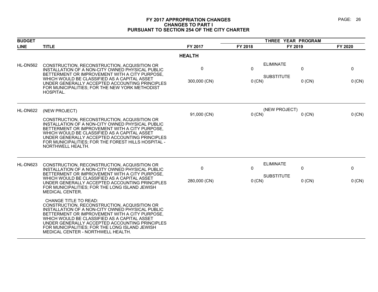#### **FY 2017 APPROPRIATION CHANGES PAGE: 26 CHANGES TO PART I PURSUANT TO SECTION 254 OF THE CITY CHARTER**

| <b>BUDGET</b> |                                                                                                                                                                                                                                                                                                                                                                                                                                                                                                                                                                                                                                                                                                                  |                             | THREE YEAR PROGRAM   |                                                        |             |  |
|---------------|------------------------------------------------------------------------------------------------------------------------------------------------------------------------------------------------------------------------------------------------------------------------------------------------------------------------------------------------------------------------------------------------------------------------------------------------------------------------------------------------------------------------------------------------------------------------------------------------------------------------------------------------------------------------------------------------------------------|-----------------------------|----------------------|--------------------------------------------------------|-------------|--|
| <b>LINE</b>   | <b>TITLE</b>                                                                                                                                                                                                                                                                                                                                                                                                                                                                                                                                                                                                                                                                                                     | FY 2017                     | FY 2018              | FY 2019                                                | FY 2020     |  |
|               |                                                                                                                                                                                                                                                                                                                                                                                                                                                                                                                                                                                                                                                                                                                  | <b>HEALTH</b>               |                      |                                                        |             |  |
| HL-DN562      | CONSTRUCTION, RECONSTRUCTION, ACQUISITION OR<br>INSTALLATION OF A NON-CITY OWNED PHYSICAL PUBLIC<br>BETTERMENT OR IMPROVEMENT WITH A CITY PURPOSE,<br>WHICH WOULD BE CLASSIFIED AS A CAPITAL ASSET<br>UNDER GENERALLY ACCEPTED ACCOUNTING PRINCIPLES<br>FOR MUNICIPALITIES; FOR THE NEW YORK METHODIST<br>HOSPITAL.                                                                                                                                                                                                                                                                                                                                                                                              | 0<br>300,000 (CN)           | $\Omega$<br>$0$ (CN) | <b>ELIMINATE</b><br>0<br><b>SUBSTITUTE</b><br>$0$ (CN) | 0<br>0 (CN) |  |
| HL-DN622      | (NEW PROJECT)<br>CONSTRUCTION, RECONSTRUCTION, ACQUISITION OR<br>INSTALLATION OF A NON-CITY OWNED PHYSICAL PUBLIC<br>BETTERMENT OR IMPROVEMENT WITH A CITY PURPOSE,<br>WHICH WOULD BE CLASSIFIED AS A CAPITAL ASSET<br>UNDER GENERALLY ACCEPTED ACCOUNTING PRINCIPLES<br>FOR MUNICIPALITIES; FOR THE FOREST HILLS HOSPITAL -<br>NORTHWELL HEALTH.                                                                                                                                                                                                                                                                                                                                                                | 91,000 (CN)                 | $0$ (CN)             | (NEW PROJECT)<br>$0$ (CN)                              | 0 (CN)      |  |
| HL-DN623      | CONSTRUCTION, RECONSTRUCTION, ACQUISITION OR<br>INSTALLATION OF A NON-CITY OWNED PHYSICAL PUBLIC<br>BETTERMENT OR IMPROVEMENT WITH A CITY PURPOSE,<br>WHICH WOULD BE CLASSIFIED AS A CAPITAL ASSET<br>UNDER GENERALLY ACCEPTED ACCOUNTING PRINCIPLES<br>FOR MUNICIPALITIES; FOR THE LONG ISLAND JEWISH<br><b>MEDICAL CENTER.</b><br><b>CHANGE TITLE TO READ:</b><br>CONSTRUCTION, RECONSTRUCTION, ACQUISITION OR<br>INSTALLATION OF A NON-CITY OWNED PHYSICAL PUBLIC<br>BETTERMENT OR IMPROVEMENT WITH A CITY PURPOSE.<br>WHICH WOULD BE CLASSIFIED AS A CAPITAL ASSET<br>UNDER GENERALLY ACCEPTED ACCOUNTING PRINCIPLES<br>FOR MUNICIPALITIES; FOR THE LONG ISLAND JEWISH<br>MEDICAL CENTER - NORTHWELL HEALTH. | $\mathbf 0$<br>280,000 (CN) | 0<br>$0$ (CN)        | <b>ELIMINATE</b><br>0<br><b>SUBSTITUTE</b><br>$0$ (CN) | 0<br>0 (CN) |  |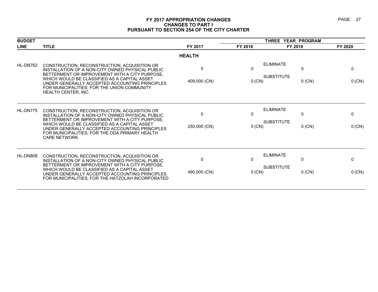#### **FY 2017 APPROPRIATION CHANGES PAGE: 27 CHANGES TO PART I PURSUANT TO SECTION 254 OF THE CITY CHARTER**

| <b>BUDGET</b> |                                                                                                                                                                                                                                                                                                                                   |                              | THREE YEAR PROGRAM |                                                                  |                        |  |
|---------------|-----------------------------------------------------------------------------------------------------------------------------------------------------------------------------------------------------------------------------------------------------------------------------------------------------------------------------------|------------------------------|--------------------|------------------------------------------------------------------|------------------------|--|
| <b>LINE</b>   | <b>TITLE</b>                                                                                                                                                                                                                                                                                                                      | FY 2017                      | FY 2018            | FY 2019                                                          | FY 2020                |  |
|               |                                                                                                                                                                                                                                                                                                                                   | <b>HEALTH</b>                |                    |                                                                  |                        |  |
| HL-DN762      | CONSTRUCTION, RECONSTRUCTION, ACQUISITION OR<br>INSTALLATION OF A NON-CITY OWNED PHYSICAL PUBLIC<br>BETTERMENT OR IMPROVEMENT WITH A CITY PURPOSE,<br>WHICH WOULD BE CLASSIFIED AS A CAPITAL ASSET<br>UNDER GENERALLY ACCEPTED ACCOUNTING PRINCIPLES<br>FOR MUNICIPALITIES; FOR THE UNION COMMUNITY<br><b>HEALTH CENTER. INC.</b> | $\Omega$<br>409,000 (CN)     | 0<br>0 (CN)        | <b>ELIMINATE</b><br>$\mathbf 0$<br><b>SUBSTITUTE</b><br>$0$ (CN) | 0<br>0 (CN)            |  |
| HL-DN775      | CONSTRUCTION, RECONSTRUCTION, ACQUISITION OR<br>INSTALLATION OF A NON-CITY OWNED PHYSICAL PUBLIC<br>BETTERMENT OR IMPROVEMENT WITH A CITY PURPOSE,<br>WHICH WOULD BE CLASSIFIED AS A CAPITAL ASSET<br>UNDER GENERALLY ACCEPTED ACCOUNTING PRINCIPLES<br>FOR MUNICIPALITIES: FOR THE ODA PRIMARY HEALTH<br>CARE NETWORK.           | $\mathbf{0}$<br>250,000 (CN) | 0<br>0 (CN)        | <b>ELIMINATE</b><br>$\Omega$<br><b>SUBSTITUTE</b><br>$0$ (CN)    | $\mathbf{0}$<br>0 (CN) |  |
| HL-DN808      | CONSTRUCTION, RECONSTRUCTION, ACQUISITION OR<br>INSTALLATION OF A NON-CITY OWNED PHYSICAL PUBLIC<br>BETTERMENT OR IMPROVEMENT WITH A CITY PURPOSE,<br>WHICH WOULD BE CLASSIFIED AS A CAPITAL ASSET<br>UNDER GENERALLY ACCEPTED ACCOUNTING PRINCIPLES<br>FOR MUNICIPALITIES; FOR THE HATZOLAH INCORPORATED                         | $\mathbf{0}$<br>490,000 (CN) | 0<br>0 (CN)        | <b>ELIMINATE</b><br>0<br><b>SUBSTITUTE</b><br>$0$ (CN)           | 0<br>0 (CN)            |  |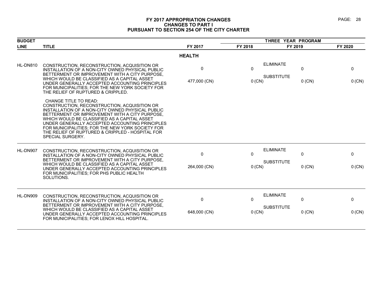#### **FY 2017 APPROPRIATION CHANGES PAGE: 28 CHANGES TO PART I PURSUANT TO SECTION 254 OF THE CITY CHARTER**

| <b>BUDGET</b> |                                                                                                                                                                                                                                                                                                                                                                                                                  |                   |             | THREE YEAR PROGRAM                    |               |             |
|---------------|------------------------------------------------------------------------------------------------------------------------------------------------------------------------------------------------------------------------------------------------------------------------------------------------------------------------------------------------------------------------------------------------------------------|-------------------|-------------|---------------------------------------|---------------|-------------|
| <b>LINE</b>   | <b>TITLE</b>                                                                                                                                                                                                                                                                                                                                                                                                     | FY 2017           | FY 2018     | FY 2019                               |               | FY 2020     |
|               |                                                                                                                                                                                                                                                                                                                                                                                                                  | <b>HEALTH</b>     |             |                                       |               |             |
| HL-DN810      | CONSTRUCTION, RECONSTRUCTION, ACQUISITION OR<br>INSTALLATION OF A NON-CITY OWNED PHYSICAL PUBLIC<br>BETTERMENT OR IMPROVEMENT WITH A CITY PURPOSE,                                                                                                                                                                                                                                                               | $\mathbf{0}$      | 0           | <b>ELIMINATE</b><br><b>SUBSTITUTE</b> | 0             | 0           |
|               | WHICH WOULD BE CLASSIFIED AS A CAPITAL ASSET<br>UNDER GENERALLY ACCEPTED ACCOUNTING PRINCIPLES<br>FOR MUNICIPALITIES: FOR THE NEW YORK SOCIETY FOR<br>THE RELIEF OF RUPTURED & CRIPPLED.                                                                                                                                                                                                                         | 477,000 (CN)      | 0 (CN)      |                                       | $0$ (CN)      | 0 (CN)      |
|               | <b>CHANGE TITLE TO READ:</b><br>CONSTRUCTION, RECONSTRUCTION, ACQUISITION OR<br>INSTALLATION OF A NON-CITY OWNED PHYSICAL PUBLIC<br>BETTERMENT OR IMPROVEMENT WITH A CITY PURPOSE,<br>WHICH WOULD BE CLASSIFIED AS A CAPITAL ASSET<br>UNDER GENERALLY ACCEPTED ACCOUNTING PRINCIPLES<br>FOR MUNICIPALITIES: FOR THE NEW YORK SOCIETY FOR<br>THE RELIEF OF RUPTURED & CRIPPLED - HOSPITAL FOR<br>SPECIAL SURGERY. |                   |             |                                       |               |             |
| HL-DN907      | CONSTRUCTION, RECONSTRUCTION, ACQUISITION OR<br>INSTALLATION OF A NON-CITY OWNED PHYSICAL PUBLIC<br>BETTERMENT OR IMPROVEMENT WITH A CITY PURPOSE,<br>WHICH WOULD BE CLASSIFIED AS A CAPITAL ASSET<br>UNDER GENERALLY ACCEPTED ACCOUNTING PRINCIPLES                                                                                                                                                             | 0<br>264,000 (CN) | 0<br>0 (CN) | <b>ELIMINATE</b><br><b>SUBSTITUTE</b> | 0<br>$0$ (CN) | 0<br>0 (CN) |
|               | FOR MUNICIPALITIES; FOR PHS PUBLIC HEALTH<br>SOLUTIONS.                                                                                                                                                                                                                                                                                                                                                          |                   |             |                                       |               |             |
| HL-DN909      | CONSTRUCTION, RECONSTRUCTION, ACQUISITION OR<br>INSTALLATION OF A NON-CITY OWNED PHYSICAL PUBLIC<br>BETTERMENT OR IMPROVEMENT WITH A CITY PURPOSE,                                                                                                                                                                                                                                                               | 0                 | 0           | <b>ELIMINATE</b>                      | 0             | 0           |
|               | WHICH WOULD BE CLASSIFIED AS A CAPITAL ASSET<br>UNDER GENERALLY ACCEPTED ACCOUNTING PRINCIPLES<br>FOR MUNICIPALITIES; FOR LENOX HILL HOSPITAL.                                                                                                                                                                                                                                                                   | 648,000 (CN)      | 0 (CN)      | <b>SUBSTITUTE</b>                     | $0$ (CN)      | 0 (CN)      |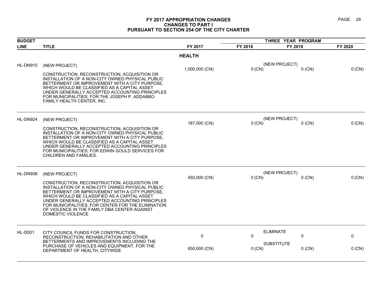#### **FY 2017 APPROPRIATION CHANGES PAGE: 29 CHANGES TO PART I PURSUANT TO SECTION 254 OF THE CITY CHARTER**

| <b>BUDGET</b>  |                                                                                                                                                                                                                                                                                                                                                                                 |                | THREE YEAR PROGRAM |                               |          |  |
|----------------|---------------------------------------------------------------------------------------------------------------------------------------------------------------------------------------------------------------------------------------------------------------------------------------------------------------------------------------------------------------------------------|----------------|--------------------|-------------------------------|----------|--|
| <b>LINE</b>    | <b>TITLE</b>                                                                                                                                                                                                                                                                                                                                                                    | FY 2017        | FY 2018            | FY 2019                       | FY 2020  |  |
|                |                                                                                                                                                                                                                                                                                                                                                                                 | <b>HEALTH</b>  |                    |                               |          |  |
| HL-DN915       | (NEW PROJECT)                                                                                                                                                                                                                                                                                                                                                                   | 1,000,000 (CN) | $0$ (CN)           | (NEW PROJECT)<br>$0$ (CN)     | 0 (CN)   |  |
|                | CONSTRUCTION, RECONSTRUCTION, ACQUISITION OR<br>INSTALLATION OF A NON-CITY OWNED PHYSICAL PUBLIC<br>BETTERMENT OR IMPROVEMENT WITH A CITY PURPOSE,<br>WHICH WOULD BE CLASSIFIED AS A CAPITAL ASSET<br>UNDER GENERALLY ACCEPTED ACCOUNTING PRINCIPLES<br>FOR MUNICIPALITIES; FOR THE JOSEPH P. ADDABBO<br>FAMILY HEALTH CENTER, INC.                                             |                |                    |                               |          |  |
| HL-DN924       | (NEW PROJECT)                                                                                                                                                                                                                                                                                                                                                                   |                | $0$ (CN)           | (NEW PROJECT)<br>$0$ (CN)     | 0 (CN)   |  |
|                | CONSTRUCTION, RECONSTRUCTION, ACQUISITION OR<br>INSTALLATION OF A NON-CITY OWNED PHYSICAL PUBLIC<br>BETTERMENT OR IMPROVEMENT WITH A CITY PURPOSE,<br>WHICH WOULD BE CLASSIFIED AS A CAPITAL ASSET<br>UNDER GENERALLY ACCEPTED ACCOUNTING PRINCIPLES<br>FOR MUNICIPALITIES: FOR EDWIN GOULD SERVICES FOR<br>CHILDREN AND FAMILIES.                                              | 187,000 (CN)   |                    |                               |          |  |
| HL-DN938       | (NEW PROJECT)                                                                                                                                                                                                                                                                                                                                                                   | 450,000 (CN)   | $0$ (CN)           | (NEW PROJECT)<br>$0$ (CN)     | $0$ (CN) |  |
|                | CONSTRUCTION, RECONSTRUCTION, ACQUISITION OR<br>INSTALLATION OF A NON-CITY OWNED PHYSICAL PUBLIC<br>BETTERMENT OR IMPROVEMENT WITH A CITY PURPOSE,<br>WHICH WOULD BE CLASSIFIED AS A CAPITAL ASSET<br>UNDER GENERALLY ACCEPTED ACCOUNTING PRINCIPLES<br>FOR MUNICIPALITIES; FOR CENTER FOR THE ELIMINATION<br>OF VIOLENCE IN THE FAMILY DBA CENTER AGAINST<br>DOMESTIC VIOLENCE |                |                    |                               |          |  |
| <b>HL-D001</b> | CITY COUNCIL FUNDS FOR CONSTRUCTION,<br>RECONSTRUCTION, REHABILITATION AND OTHER                                                                                                                                                                                                                                                                                                | $\mathbf 0$    | 0                  | <b>ELIMINATE</b><br>0         | 0        |  |
|                | BETTERMENTS AND IMPROVEMENTS INCLUDING THE<br>PURCHASE OF VEHICLES AND EQUIPMENT, FOR THE<br>DEPARTMENT OF HEALTH, CITYWIDE                                                                                                                                                                                                                                                     | 650,000 (CN)   | $0$ (CN)           | <b>SUBSTITUTE</b><br>$0$ (CN) | $0$ (CN) |  |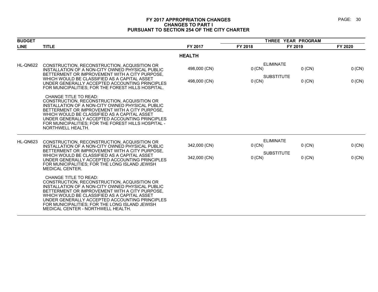#### **FY 2017 APPROPRIATION CHANGES PAGE: 30 CHANGES TO PART I PURSUANT TO SECTION 254 OF THE CITY CHARTER**

| <b>BUDGET</b> |                                                                                                                                                                                                                                                                                                                                                                       |                              | THREE YEAR PROGRAM |                                                               |                  |  |
|---------------|-----------------------------------------------------------------------------------------------------------------------------------------------------------------------------------------------------------------------------------------------------------------------------------------------------------------------------------------------------------------------|------------------------------|--------------------|---------------------------------------------------------------|------------------|--|
| <b>LINE</b>   | <b>TITLE</b>                                                                                                                                                                                                                                                                                                                                                          | FY 2017                      | FY 2018            | FY 2019                                                       | FY 2020          |  |
|               |                                                                                                                                                                                                                                                                                                                                                                       | <b>HEALTH</b>                |                    |                                                               |                  |  |
| HL-QN622      | CONSTRUCTION, RECONSTRUCTION, ACQUISITION OR<br>INSTALLATION OF A NON-CITY OWNED PHYSICAL PUBLIC<br>BETTERMENT OR IMPROVEMENT WITH A CITY PURPOSE,<br>WHICH WOULD BE CLASSIFIED AS A CAPITAL ASSET<br>UNDER GENERALLY ACCEPTED ACCOUNTING PRINCIPLES<br>FOR MUNICIPALITIES; FOR THE FOREST HILLS HOSPITAL.                                                            | 498,000 (CN)<br>498,000 (CN) | 0 (CN)<br>0 (CN)   | <b>ELIMINATE</b><br>$0$ (CN)<br><b>SUBSTITUTE</b><br>$0$ (CN) | 0 (CN)<br>0 (CN) |  |
|               | <b>CHANGE TITLE TO READ:</b><br>CONSTRUCTION, RECONSTRUCTION, ACQUISITION OR<br>INSTALLATION OF A NON-CITY OWNED PHYSICAL PUBLIC<br>BETTERMENT OR IMPROVEMENT WITH A CITY PURPOSE,<br>WHICH WOULD BE CLASSIFIED AS A CAPITAL ASSET<br>UNDER GENERALLY ACCEPTED ACCOUNTING PRINCIPLES<br>FOR MUNICIPALITIES: FOR THE FOREST HILLS HOSPITAL -<br>NORTHWELL HEALTH.      |                              |                    |                                                               |                  |  |
| HL-QN623      | CONSTRUCTION, RECONSTRUCTION, ACQUISITION OR<br>INSTALLATION OF A NON-CITY OWNED PHYSICAL PUBLIC<br>BETTERMENT OR IMPROVEMENT WITH A CITY PURPOSE,<br>WHICH WOULD BE CLASSIFIED AS A CAPITAL ASSET<br>UNDER GENERALLY ACCEPTED ACCOUNTING PRINCIPLES<br>FOR MUNICIPALITIES; FOR THE LONG ISLAND JEWISH<br><b>MEDICAL CENTER.</b>                                      | 342,000 (CN)<br>342,000 (CN) | $0$ (CN)<br>0 (CN) | <b>ELIMINATE</b><br>$0$ (CN)<br><b>SUBSTITUTE</b><br>$0$ (CN) | 0 (CN)<br>0 (CN) |  |
|               | CHANGE TITLE TO READ:<br>CONSTRUCTION, RECONSTRUCTION, ACQUISITION OR<br>INSTALLATION OF A NON-CITY OWNED PHYSICAL PUBLIC<br>BETTERMENT OR IMPROVEMENT WITH A CITY PURPOSE,<br>WHICH WOULD BE CLASSIFIED AS A CAPITAL ASSET<br>UNDER GENERALLY ACCEPTED ACCOUNTING PRINCIPLES<br>FOR MUNICIPALITIES: FOR THE LONG ISLAND JEWISH<br>MEDICAL CENTER - NORTHWELL HEALTH. |                              |                    |                                                               |                  |  |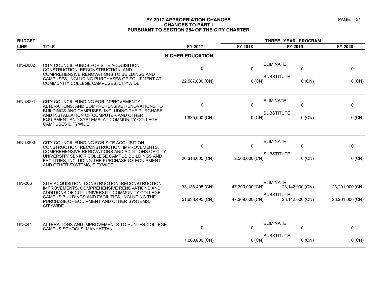#### **FY 2017 APPROPRIATION CHANGES PAGE: 31 CHANGES TO PART I PURSUANT TO SECTION 254 OF THE CITY CHARTER**

| <b>BUDGET</b>  |                                                                                                                                                                 |                         |                 | THREE YEAR PROGRAM                         |                 |
|----------------|-----------------------------------------------------------------------------------------------------------------------------------------------------------------|-------------------------|-----------------|--------------------------------------------|-----------------|
| <b>LINE</b>    | <b>TITLE</b>                                                                                                                                                    | FY 2017                 | FY 2018         | FY 2019                                    | FY 2020         |
|                |                                                                                                                                                                 | <b>HIGHER EDUCATION</b> |                 |                                            |                 |
| <b>HN-D002</b> | CITY COUNCIL FUNDS FOR SITE ACQUISITION,<br>CONSTRUCTION, RECONSTRUCTION, AND<br>COMPREHENSIVE RENOVATIONS TO BUILDINGS AND                                     | $\pmb{0}$               | $\Omega$        | <b>ELIMINATE</b><br>0<br><b>SUBSTITUTE</b> | 0               |
|                | CAMPUSES, INCLUDING PURCHASES OF EQUIPMENT AT<br>COMMUNITY COLLEGE CAMPUSES, CITYWIDE                                                                           | 22,587,000 (CN)         | $0$ (CN)        | $0$ (CN)                                   | $0$ (CN)        |
| <b>HN-D004</b> | CITY COUNCIL FUNDING FOR IMPROVEMENTS,                                                                                                                          |                         |                 | <b>ELIMINATE</b>                           |                 |
|                | ALTERATIONS, AND COMPREHENSIVE RENOVATIONS TO                                                                                                                   | 0                       | 0               | 0                                          | 0               |
|                | BUILDINGS AND CAMPUSES, INCLUDING THE PURCHASE<br>AND INSTALLATION OF COMPUTER AND OTHER<br>EQUIPMENT AND SYSTEMS, AT COMMUNITY COLLEGE<br>CAMPUSES CITYWIDE.   | 1,835,000 (CN)          | $0$ (CN)        | <b>SUBSTITUTE</b><br>$0$ (CN)              | 0 (CN)          |
|                |                                                                                                                                                                 |                         |                 |                                            |                 |
| <b>HN-D300</b> | CITY COUNCIL FUNDING FOR SITE ACQUISITION,                                                                                                                      | 0                       | $\Omega$        | <b>ELIMINATE</b><br>$\mathbf{0}$           | $\mathbf{0}$    |
|                | CONSTRUCTION, RECONSTRUCTION, IMPROVEMENTS.<br>COMPREHENSIVE RENOVATIONS AND ADDITIONS OF CITY                                                                  |                         |                 | <b>SUBSTITUTE</b>                          |                 |
|                | UNIVERSITY SENIOR COLLEGE CAMPUS BUILDINGS AND<br>FACILITIES, INCLUDING THE PURCHASE OF EQUIPMENT<br>AND OTHER SYSTEMS, CITYWIDE.                               | 26,316,000 (CN)         | 2,500,000 (CN)  | $0$ (CN)                                   | $0$ (CN)        |
| HN-206         | SITE ACQUISITION, CONSTRUCTION, RECONSTRUCTION,                                                                                                                 |                         |                 | <b>ELIMINATE</b>                           |                 |
|                | IMPROVEMENTS, COMPREHENSIVE RENOVATIONS AND                                                                                                                     | 33,138,495 (CN)         | 47,309,000 (CN) | 23,142,000 (CN)                            | 23,201,000 (CN) |
|                | ADDITIONS OF CITY UNIVERSITY COMMUNITY COLLEGE<br>CAMPUS BUILDINGS AND FACILITIES, INCLUDING THE<br>PURCHASE OF EQUIPMENT AND OTHER SYSTEMS,<br><b>CITYWIDE</b> | 51,638,495 (CN)         | 47,309,000 (CN) | <b>SUBSTITUTE</b><br>23,142,000 (CN)       | 23,201,000 (CN) |
|                |                                                                                                                                                                 |                         |                 |                                            |                 |
| <b>HN-244</b>  | ALTERATIONS AND IMPROVEMENTS TO HUNTER COLLEGE                                                                                                                  | 0                       | $\Omega$        | <b>ELIMINATE</b><br>0                      | 0               |
|                | CAMPUS SCHOOLS, MANHATTAN.                                                                                                                                      |                         |                 |                                            |                 |
|                |                                                                                                                                                                 | 7,000,000 (CN)          | $0$ (CN)        | <b>SUBSTITUTE</b><br>$0$ (CN)              | $0$ (CN)        |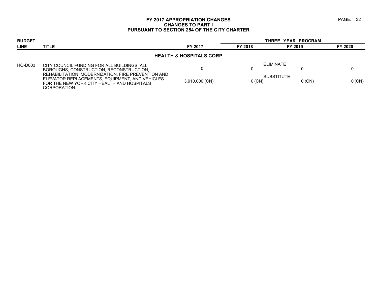#### **FY 2017 APPROPRIATION CHANGES PAGE: 32 CHANGES TO PART I PURSUANT TO SECTION 254 OF THE CITY CHARTER**

| <b>TITLE</b>                                                                                                                                                       | FY 2017        | FY 2018  | FY 2019  | FY 2020                                                     |  |  |  |  |
|--------------------------------------------------------------------------------------------------------------------------------------------------------------------|----------------|----------|----------|-------------------------------------------------------------|--|--|--|--|
| <b>HEALTH &amp; HOSPITALS CORP.</b>                                                                                                                                |                |          |          |                                                             |  |  |  |  |
| CITY COUNCIL FUNDING FOR ALL BUILDINGS, ALL<br>BOROUGHS, CONSTRUCTION, RECONSTRUCTION,                                                                             |                |          |          |                                                             |  |  |  |  |
| REHABILITATION, MODERNIZATION, FIRE PREVENTION AND<br>ELEVATOR REPLACEMENTS, EQUIPMENT, AND VEHICLES<br>FOR THE NEW YORK CITY HEALTH AND HOSPITALS<br>CORPORATION. | 3,910,000 (CN) | $0$ (CN) | $0$ (CN) | $0$ (CN)                                                    |  |  |  |  |
|                                                                                                                                                                    |                |          |          | <b>THREE YEAR PROGRAM</b><br>ELIMINATE<br><b>SUBSTITUTE</b> |  |  |  |  |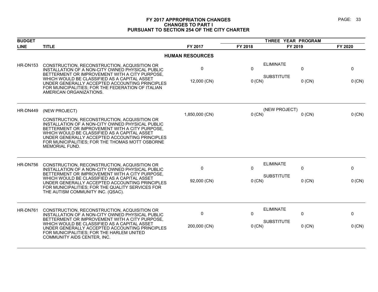#### **FY 2017 APPROPRIATION CHANGES PAGE: 33 CHANGES TO PART I PURSUANT TO SECTION 254 OF THE CITY CHARTER**

| <b>BUDGET</b>   |                                                                                                                                                                                                                                                                                                                           |                        | THREE YEAR PROGRAM |                                                        |             |
|-----------------|---------------------------------------------------------------------------------------------------------------------------------------------------------------------------------------------------------------------------------------------------------------------------------------------------------------------------|------------------------|--------------------|--------------------------------------------------------|-------------|
| <b>LINE</b>     | <b>TITLE</b>                                                                                                                                                                                                                                                                                                              | FY 2017                | FY 2018            | FY 2019                                                | FY 2020     |
|                 |                                                                                                                                                                                                                                                                                                                           | <b>HUMAN RESOURCES</b> |                    |                                                        |             |
| <b>HR-DN153</b> | CONSTRUCTION, RECONSTRUCTION, ACQUISITION OR<br>INSTALLATION OF A NON-CITY OWNED PHYSICAL PUBLIC<br>BETTERMENT OR IMPROVEMENT WITH A CITY PURPOSE,<br>WHICH WOULD BE CLASSIFIED AS A CAPITAL ASSET                                                                                                                        | 0<br>12,000 (CN)       | 0<br>$0$ (CN)      | <b>ELIMINATE</b><br>0<br><b>SUBSTITUTE</b><br>$0$ (CN) | 0<br>0 (CN) |
|                 | UNDER GENERALLY ACCEPTED ACCOUNTING PRINCIPLES<br>FOR MUNICIPALITIES; FOR THE FEDERATION OF ITALIAN<br>AMERICAN ORGANIZATIONS.                                                                                                                                                                                            |                        |                    |                                                        |             |
| HR-DN449        | (NEW PROJECT)                                                                                                                                                                                                                                                                                                             |                        |                    | (NEW PROJECT)                                          |             |
|                 |                                                                                                                                                                                                                                                                                                                           | 1,850,000 (CN)         | $0$ (CN)           | $0$ (CN)                                               | 0 (CN)      |
|                 | CONSTRUCTION, RECONSTRUCTION, ACQUISITION OR<br>INSTALLATION OF A NON-CITY OWNED PHYSICAL PUBLIC<br>BETTERMENT OR IMPROVEMENT WITH A CITY PURPOSE,<br>WHICH WOULD BE CLASSIFIED AS A CAPITAL ASSET<br>UNDER GENERALLY ACCEPTED ACCOUNTING PRINCIPLES<br>FOR MUNICIPALITIES; FOR THE THOMAS MOTT OSBORNE<br>MEMORIAL FUND. |                        |                    |                                                        |             |
| HR-DN756        | CONSTRUCTION, RECONSTRUCTION, ACQUISITION OR                                                                                                                                                                                                                                                                              | 0                      | $\mathbf{0}$       | <b>ELIMINATE</b><br>0                                  |             |
|                 | INSTALLATION OF A NON-CITY OWNED PHYSICAL PUBLIC<br>BETTERMENT OR IMPROVEMENT WITH A CITY PURPOSE,                                                                                                                                                                                                                        |                        |                    |                                                        | 0           |
|                 | WHICH WOULD BE CLASSIFIED AS A CAPITAL ASSET<br>UNDER GENERALLY ACCEPTED ACCOUNTING PRINCIPLES<br>FOR MUNICIPALITIES; FOR THE QUALITY SERVICES FOR<br>THE AUTISM COMMUNITY INC. (QSAC).                                                                                                                                   | 92,000 (CN)            | $0$ (CN)           | <b>SUBSTITUTE</b><br>$0$ (CN)                          | $0$ (CN)    |
| HR-DN761        | CONSTRUCTION, RECONSTRUCTION, ACQUISITION OR                                                                                                                                                                                                                                                                              | $\mathbf 0$            | $\mathbf{0}$       | <b>ELIMINATE</b><br>0                                  | $\mathbf 0$ |
|                 | INSTALLATION OF A NON-CITY OWNED PHYSICAL PUBLIC<br>BETTERMENT OR IMPROVEMENT WITH A CITY PURPOSE,                                                                                                                                                                                                                        |                        |                    |                                                        |             |
|                 | WHICH WOULD BE CLASSIFIED AS A CAPITAL ASSET<br>UNDER GENERALLY ACCEPTED ACCOUNTING PRINCIPLES<br>FOR MUNICIPALITIES; FOR THE HARLEM UNITED<br>COMMUNITY AIDS CENTER, INC.                                                                                                                                                | 200,000 (CN)           | $0$ (CN)           | <b>SUBSTITUTE</b><br>$0$ (CN)                          | 0 (CN)      |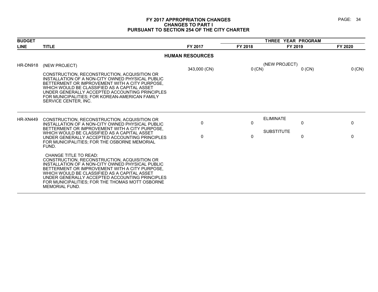# **FY 2017 APPROPRIATION CHANGES PAGE: 34 CHANGES TO PART I PURSUANT TO SECTION 254 OF THE CITY CHARTER**

| <b>BUDGET</b>   |                                                                                                                                                                                                                                                                                                                                                           |                        |              | THREE YEAR PROGRAM                         |         |  |  |
|-----------------|-----------------------------------------------------------------------------------------------------------------------------------------------------------------------------------------------------------------------------------------------------------------------------------------------------------------------------------------------------------|------------------------|--------------|--------------------------------------------|---------|--|--|
| <b>LINE</b>     | <b>TITLE</b>                                                                                                                                                                                                                                                                                                                                              | FY 2017                | FY 2018      | FY 2019                                    | FY 2020 |  |  |
|                 |                                                                                                                                                                                                                                                                                                                                                           | <b>HUMAN RESOURCES</b> |              |                                            |         |  |  |
| HR-DN918        | (NEW PROJECT)                                                                                                                                                                                                                                                                                                                                             |                        |              | (NEW PROJECT)                              |         |  |  |
|                 | CONSTRUCTION, RECONSTRUCTION, ACQUISITION OR<br>INSTALLATION OF A NON-CITY OWNED PHYSICAL PUBLIC<br>BETTERMENT OR IMPROVEMENT WITH A CITY PURPOSE,<br>WHICH WOULD BE CLASSIFIED AS A CAPITAL ASSET<br>UNDER GENERALLY ACCEPTED ACCOUNTING PRINCIPLES<br>FOR MUNICIPALITIES; FOR KOREAN-AMERICAN FAMILY<br>SERVICE CENTER. INC.                            | 343,000 (CN)           | 0 (CN)       | $0$ (CN)                                   | 0 (CN)  |  |  |
| <b>HR-XN449</b> | CONSTRUCTION, RECONSTRUCTION, ACQUISITION OR<br>INSTALLATION OF A NON-CITY OWNED PHYSICAL PUBLIC<br>BETTERMENT OR IMPROVEMENT WITH A CITY PURPOSE.                                                                                                                                                                                                        | 0                      | 0            | <b>ELIMINATE</b><br>0<br><b>SUBSTITUTE</b> | 0       |  |  |
|                 | WHICH WOULD BE CLASSIFIED AS A CAPITAL ASSET<br>UNDER GENERALLY ACCEPTED ACCOUNTING PRINCIPLES<br>FOR MUNICIPALITIES; FOR THE OSBORNE MEMORIAL<br>FUND.                                                                                                                                                                                                   | $\Omega$               | $\mathbf{0}$ | 0                                          | 0       |  |  |
|                 | CHANGE TITLE TO READ:<br>CONSTRUCTION, RECONSTRUCTION, ACQUISITION OR<br>INSTALLATION OF A NON-CITY OWNED PHYSICAL PUBLIC<br>BETTERMENT OR IMPROVEMENT WITH A CITY PURPOSE.<br>WHICH WOULD BE CLASSIFIED AS A CAPITAL ASSET<br>UNDER GENERALLY ACCEPTED ACCOUNTING PRINCIPLES<br>FOR MUNICIPALITIES; FOR THE THOMAS MOTT OSBORNE<br><b>MEMORIAL FUND.</b> |                        |              |                                            |         |  |  |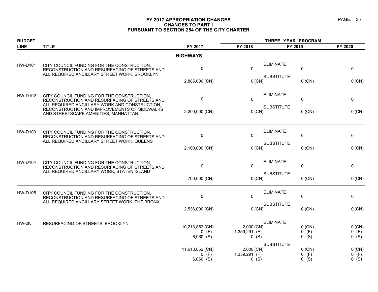# **FY 2017 APPROPRIATION CHANGES PAGE: 35 CHANGES TO PART I PURSUANT TO SECTION 254 OF THE CITY CHARTER**

|                                                                                                                                              |                                                                                                | THREE YEAR PROGRAM            |                   |                                                                                                                                                                                                 |                               |
|----------------------------------------------------------------------------------------------------------------------------------------------|------------------------------------------------------------------------------------------------|-------------------------------|-------------------|-------------------------------------------------------------------------------------------------------------------------------------------------------------------------------------------------|-------------------------------|
| <b>TITLE</b>                                                                                                                                 | FY 2017                                                                                        | FY 2018                       |                   |                                                                                                                                                                                                 | FY 2020                       |
|                                                                                                                                              | <b>HIGHWAYS</b>                                                                                |                               |                   |                                                                                                                                                                                                 |                               |
| CITY COUNCIL FUNDING FOR THE CONSTRUCTION,<br>RECONSTRUCTION AND RESURFACING OF STREETS AND                                                  | 0                                                                                              | $\mathbf{0}$                  | <b>ELIMINATE</b>  | 0                                                                                                                                                                                               | 0                             |
|                                                                                                                                              | 2,885,000 (CN)                                                                                 |                               |                   | $0$ (CN)                                                                                                                                                                                        | 0 (CN)                        |
| CITY COUNCIL FUNDING FOR THE CONSTRUCTION,<br>RECONSTRUCTION AND RESURFACING OF STREETS AND                                                  | 0                                                                                              | $\mathbf{0}$                  | <b>ELIMINATE</b>  | 0                                                                                                                                                                                               | 0                             |
| RECONSTRUCTION AND IMPROVEMENTS OF SIDEWALKS<br>AND STREETSCAPE AMENITIES, MANHATTAN.                                                        | 2,200,000 (CN)                                                                                 |                               |                   | $0$ (CN)                                                                                                                                                                                        | $0$ (CN)                      |
| CITY COUNCIL FUNDING FOR THE CONSTRUCTION,<br>RECONSTRUCTION AND RESURFACING OF STREETS AND<br>ALL REQUIRED ANCILLARY STREET WORK, QUEENS    | 0                                                                                              | $\mathbf{0}$                  | <b>ELIMINATE</b>  |                                                                                                                                                                                                 | 0                             |
|                                                                                                                                              | 2,100,000 (CN)                                                                                 |                               | <b>SUBSTITUTE</b> | $0$ (CN)                                                                                                                                                                                        | 0 (CN)                        |
| CITY COUNCIL FUNDING FOR THE CONSTRUCTION,<br>RECONSTRUCTION AND RESURFACING OF STREETS AND<br>ALL REQUIRED ANCILLARY WORK, STATEN ISLAND    | 0                                                                                              | $\Omega$                      | <b>ELIMINATE</b>  |                                                                                                                                                                                                 | 0                             |
|                                                                                                                                              | 700,000 (CN)                                                                                   | <b>SUBSTITUTE</b><br>$0$ (CN) |                   | $0$ (CN)                                                                                                                                                                                        | 0 (CN)                        |
| CITY COUNCIL FUNDING FOR THE CONSTRUCTION,<br>RECONSTRUCTION AND RESURFACING OF STREETS AND<br>ALL REQUIRED ANCILLARY STREET WORK, THE BRONX | 0                                                                                              | 0                             | <b>ELIMINATE</b>  | 0                                                                                                                                                                                               | 0                             |
|                                                                                                                                              | 2,536,000 (CN)                                                                                 |                               |                   | $0$ (CN)                                                                                                                                                                                        | 0 (CN)                        |
| RESURFACING OF STREETS, BROOKLYN                                                                                                             |                                                                                                |                               | <b>ELIMINATE</b>  |                                                                                                                                                                                                 | $0$ (CN)                      |
|                                                                                                                                              | $0$ (F)<br>$6,060$ (S)                                                                         |                               |                   | $0$ (F)<br>$0$ (S)                                                                                                                                                                              | $0$ (F)<br>$0$ (S)            |
|                                                                                                                                              | 11,613,852 (CN)<br>$0$ (F)<br>$6,060$ (S)                                                      |                               | <b>SUBSTITUTE</b> | $0$ (CN)<br>(F)<br>0<br>$0$ (S)                                                                                                                                                                 | 0 (CN)<br>$0$ (F)<br>$0$ (S)  |
|                                                                                                                                              | ALL REQUIRED ANCILLARY STREET WORK, BROOKLYN.<br>ALL REQUIRED ANCILLARY WORK AND CONSTRUCTION, | 10,213,852 (CN)               |                   | <b>SUBSTITUTE</b><br>$0$ (CN)<br><b>SUBSTITUTE</b><br>$0$ (CN)<br>$0$ (CN)<br><b>SUBSTITUTE</b><br>$0$ (CN)<br>2,000 (CN)<br>1,359,291 (F)<br>$0$ (S)<br>2,000 (CN)<br>1,359,291 (F)<br>$0($ S) | FY 2019<br>0<br>0<br>$0$ (CN) |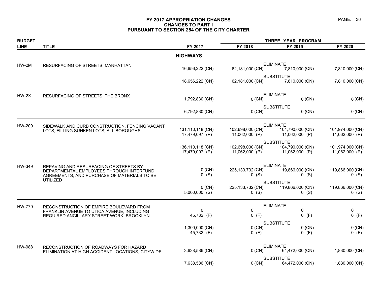# **FY 2017 APPROPRIATION CHANGES PAGE: 36 CHANGES TO PART I PURSUANT TO SECTION 254 OF THE CITY CHARTER**

| <b>BUDGET</b> |                                                   |                                    | THREE YEAR PROGRAM                 |                                    |                                    |  |
|---------------|---------------------------------------------------|------------------------------------|------------------------------------|------------------------------------|------------------------------------|--|
| <b>LINE</b>   | <b>TITLE</b>                                      | FY 2017                            | FY 2018                            | FY 2019                            | FY 2020                            |  |
|               |                                                   | <b>HIGHWAYS</b>                    |                                    |                                    |                                    |  |
| $HW-2M$       | RESURFACING OF STREETS, MANHATTAN                 |                                    |                                    | <b>ELIMINATE</b>                   |                                    |  |
|               |                                                   | 16,656,222 (CN)                    | 62,181,000 (CN)                    | 7,810,000 (CN)                     | 7,810,000 (CN)                     |  |
|               |                                                   |                                    |                                    | <b>SUBSTITUTE</b>                  |                                    |  |
|               |                                                   | 18,656,222 (CN)                    | 62,181,000 (CN)                    | 7,810,000 (CN)                     | 7,810,000 (CN)                     |  |
| $HW-2X$       | RESURFACING OF STREETS, THE BRONX                 |                                    |                                    | <b>ELIMINATE</b>                   |                                    |  |
|               |                                                   | 1,792,830 (CN)                     | 0 (CN)                             | $0$ (CN)                           | 0 (CN)                             |  |
|               |                                                   |                                    |                                    | <b>SUBSTITUTE</b>                  |                                    |  |
|               |                                                   | 6,792,830 (CN)                     | 0 (CN)                             | $0$ (CN)                           | 0 (CN)                             |  |
| HW-200        | SIDEWALK AND CURB CONSTRUCTION, FENCING VACANT    |                                    |                                    | <b>ELIMINATE</b>                   |                                    |  |
|               | LOTS, FILLING SUNKEN LOTS, ALL BOROUGHS           | 131,110,118 (CN)                   | 102,698,000 (CN)                   | 104,790,000 (CN)                   | 101,974,000 (CN)                   |  |
|               |                                                   | 17,479,097 (P)                     | 11,062,000 (P)                     | 11,062,000 (P)                     | 11,062,000 (P)                     |  |
|               |                                                   |                                    |                                    | <b>SUBSTITUTE</b>                  |                                    |  |
|               |                                                   | 136,110,118 (CN)<br>17,479,097 (P) | 102,698,000 (CN)<br>11,062,000 (P) | 104,790,000 (CN)<br>11,062,000 (P) | 101,974,000 (CN)<br>11,062,000 (P) |  |
|               |                                                   |                                    |                                    |                                    |                                    |  |
| HW-349        | REPAVING AND RESURFACING OF STREETS BY            |                                    |                                    | <b>ELIMINATE</b>                   |                                    |  |
|               | DEPARTMENTAL EMPLOYEES THROUGH INTERFUND          | $0$ (CN)                           | 225,133,732 (CN)                   | 119,866,000 (CN)                   | 119,866,000 (CN)                   |  |
|               | AGREEMENTS, AND PURCHASE OF MATERIALS TO BE       | $0$ (S)                            | $0$ (S)                            | $0$ (S)                            | $0$ (S)                            |  |
|               | <b>UTILIZED</b>                                   |                                    |                                    | <b>SUBSTITUTE</b>                  |                                    |  |
|               |                                                   | $0$ (CN)                           | 225,133,732 (CN)                   | 119,866,000 (CN)                   | 119,866,000 (CN)                   |  |
|               |                                                   | $5,000,000$ (S)                    | $0$ (S)                            | $0$ (S)                            | $0$ (S)                            |  |
| HW-779        | RECONSTRUCTION OF EMPIRE BOULEVARD FROM           |                                    |                                    | <b>ELIMINATE</b>                   |                                    |  |
|               | FRANKLIN AVENUE TO UTICA AVENUE, INCLUDING        | 0                                  | 0                                  | 0                                  | 0                                  |  |
|               | REQUIRED ANCILLARY STREET WORK, BROOKLYN          | 45,732 (F)                         | $0$ (F)                            | $0$ (F)                            | $0$ (F)                            |  |
|               |                                                   |                                    |                                    | <b>SUBSTITUTE</b>                  |                                    |  |
|               |                                                   | 1,300,000 (CN)                     | $0$ (CN)                           | $0$ (CN)                           | $0$ (CN)                           |  |
|               |                                                   | 45,732 (F)                         | $0$ (F)                            | $0$ (F)                            | $0$ (F)                            |  |
| HW-988        | RECONSTRUCTION OF ROADWAYS FOR HAZARD             |                                    |                                    | <b>ELIMINATE</b>                   |                                    |  |
|               | ELIMINATION AT HIGH ACCIDENT LOCATIONS, CITYWIDE. | 3,638,586 (CN)                     | 0 (CN)                             | 64,472,000 (CN)                    | 1,830,000 (CN)                     |  |
|               |                                                   |                                    |                                    | <b>SUBSTITUTE</b>                  |                                    |  |
|               |                                                   | 7,638,586 (CN)                     | 0 (CN)                             | 64,472,000 (CN)                    | 1,830,000 (CN)                     |  |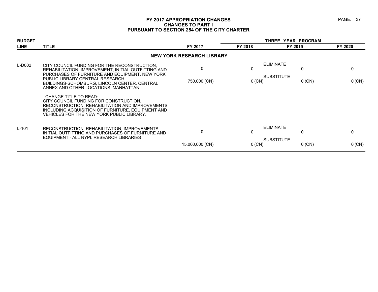# **FY 2017 APPROPRIATION CHANGES PAGE: 37 CHANGES TO PART I PURSUANT TO SECTION 254 OF THE CITY CHARTER**

| <b>BUDGET</b> |                                                                                                                                                                                                                              |                                  |          | THREE YEAR PROGRAM                         |              |  |
|---------------|------------------------------------------------------------------------------------------------------------------------------------------------------------------------------------------------------------------------------|----------------------------------|----------|--------------------------------------------|--------------|--|
| <b>LINE</b>   | <b>TITLE</b>                                                                                                                                                                                                                 | FY 2017                          | FY 2018  | FY 2019                                    | FY 2020      |  |
|               |                                                                                                                                                                                                                              | <b>NEW YORK RESEARCH LIBRARY</b> |          |                                            |              |  |
| L-D002        | CITY COUNCIL FUNDING FOR THE RECONSTRUCTION.<br>REHABILITATION, IMPROVEMENT, INITIAL OUTFITTING AND<br>PURCHASES OF FURNITURE AND EQUIPMENT, NEW YORK                                                                        | $\Omega$                         | 0        | <b>ELIMINATE</b><br>0<br><b>SUBSTITUTE</b> | 0            |  |
|               | PUBLIC LIBRARY CENTRAL RESEARCH<br>BUILDINGS-SCHOMBURG, LINCOLN CENTER, CENTRAL<br>ANNEX AND OTHER LOCATIONS, MANHATTAN.                                                                                                     | 750,000 (CN)                     | $0$ (CN) | $0$ (CN)                                   | 0 (CN)       |  |
|               | <b>CHANGE TITLE TO READ:</b><br>CITY COUNCIL FUNDING FOR CONSTRUCTION.<br>RECONSTRUCTION, REHABILITATION AND IMPROVEMENTS,<br>INCLUDING ACQUISITION OF FURNITURE, EQUIPMENT AND<br>VEHICLES FOR THE NEW YORK PUBLIC LIBRARY. |                                  |          |                                            |              |  |
| $L - 101$     | RECONSTRUCTION, REHABILITATION, IMPROVEMENTS,<br>INITIAL OUTFITTING AND PURCHASES OF FURNITURE AND<br>EQUIPMENT - ALL NYPL RESEARCH LIBRARIES                                                                                | 0                                | 0        | <b>ELIMINATE</b><br>$\mathbf{0}$           | $\mathbf{0}$ |  |
|               |                                                                                                                                                                                                                              | 15,000,000 (CN)                  | $0$ (CN) | <b>SUBSTITUTE</b><br>$0$ (CN)              | $0$ (CN)     |  |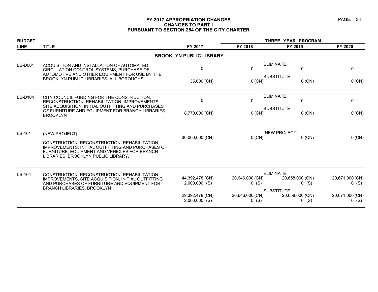# **FY 2017 APPROPRIATION CHANGES PAGE: 38 CHANGES TO PART I PURSUANT TO SECTION 254 OF THE CITY CHARTER**

| <b>BUDGET</b> |                                                                                                                                                                                           |                                    |                            | THREE YEAR PROGRAM                              |                            |  |  |
|---------------|-------------------------------------------------------------------------------------------------------------------------------------------------------------------------------------------|------------------------------------|----------------------------|-------------------------------------------------|----------------------------|--|--|
| <b>LINE</b>   | <b>TITLE</b>                                                                                                                                                                              | FY 2017                            | FY 2018                    | FY 2019                                         | FY 2020                    |  |  |
|               |                                                                                                                                                                                           | <b>BROOKLYN PUBLIC LIBRARY</b>     |                            |                                                 |                            |  |  |
| LB-D001       | ACQUISITION AND INSTALLATION OF AUTOMATED<br>CIRCULATION CONTROL SYSTEMS, PURCHASE OF<br>AUTOMOTIVE AND OTHER EQUIPMENT FOR USE BY THE                                                    | 0                                  | $\mathbf 0$                | <b>ELIMINATE</b><br>0                           | $\mathbf 0$                |  |  |
|               | BROOKLYN PUBLIC LIBRARIES, ALL BOROUGHS                                                                                                                                                   | 35,000 (CN)                        | 0 (CN)                     | <b>SUBSTITUTE</b><br>$0$ (CN)                   | $0$ (CN)                   |  |  |
| LB-D104       | CITY COUNCIL FUNDING FOR THE CONSTRUCTION.                                                                                                                                                | 0                                  | $\mathbf 0$                | <b>ELIMINATE</b><br>0                           | $\mathbf 0$                |  |  |
|               | RECONSTRUCTION, REHABILITATION, IMPROVEMENTS,<br>SITE ACQUISITION, INITIAL OUTFITTING AND PURCHASES                                                                                       |                                    |                            |                                                 |                            |  |  |
|               | OF FURNITURE AND EQUIPMENT FOR BRANCH LIBRARIES,<br><b>BROOKLYN</b>                                                                                                                       | 8,770,000 (CN)                     | $0$ (CN)                   | <b>SUBSTITUTE</b><br>$0$ (CN)                   | $0$ (CN)                   |  |  |
| LB-101        | (NEW PROJECT)                                                                                                                                                                             |                                    | (NEW PROJECT)              |                                                 |                            |  |  |
|               | CONSTRUCTION, RECONSTRUCTION, REHABILITATION,<br>IMPROVEMENTS, INITIAL OUTFITTING AND PURCHASES OF<br>FURNITURE, EQUIPMENT AND VEHICLES FOR BRANCH<br>LIBRARIES, BROOKLYN PUBLIC LIBRARY. | 30,000,000 (CN)                    | $0$ (CN)                   | $0$ (CN)                                        | 0 (CN)                     |  |  |
| LB-104        |                                                                                                                                                                                           |                                    |                            | <b>ELIMINATE</b>                                |                            |  |  |
|               | CONSTRUCTION, RECONSTRUCTION, REHABILITATION,<br>IMPROVEMENTS, SITE ACQUISITION, INITIAL OUTFITTING<br>AND PURCHASES OF FURNITURE AND EQUIPMENT FOR                                       | 44,392,478 (CN)<br>$2,000,000$ (S) | 20,646,000 (CN)<br>0(S)    | 20,658,000 (CN)<br>$0$ (S)                      | 20,671,000 (CN)<br>0(S)    |  |  |
|               | <b>BRANCH LIBRARIES, BROOKLYN</b>                                                                                                                                                         | 29,392,478 (CN)<br>$2,000,000$ (S) | 20,646,000 (CN)<br>$0$ (S) | <b>SUBSTITUTE</b><br>20,658,000 (CN)<br>$0$ (S) | 20,671,000 (CN)<br>$0$ (S) |  |  |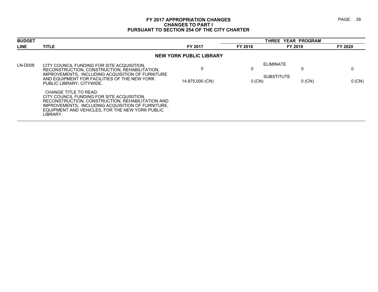# **FY 2017 APPROPRIATION CHANGES PAGE: 39 CHANGES TO PART I PURSUANT TO SECTION 254 OF THE CITY CHARTER**

| <b>BUDGET</b> |                                                                                                                                                                                                                                             |                                |               | THREE YEAR PROGRAM                         |               |
|---------------|---------------------------------------------------------------------------------------------------------------------------------------------------------------------------------------------------------------------------------------------|--------------------------------|---------------|--------------------------------------------|---------------|
| <b>LINE</b>   | <b>TITLE</b>                                                                                                                                                                                                                                | FY 2017                        | FY 2018       | FY 2019                                    | FY 2020       |
|               |                                                                                                                                                                                                                                             | <b>NEW YORK PUBLIC LIBRARY</b> |               |                                            |               |
| LN-D008       | CITY COUNCIL FUNDING FOR SITE ACQUISITION.<br>RECONSTRUCTION, CONSTRUCTION, REHABILITATION,<br>IMPROVEMENTS, INCLUDING ACQUISITION OF FURNITURE<br>AND EQUIPMENT FOR FACILITIES OF THE NEW YORK<br>PUBLIC LIBRARY, CITYWIDE.                | 14,875,000 (CN)                | U<br>$0$ (CN) | ELIMINATE<br><b>SUBSTITUTE</b><br>$0$ (CN) | 0<br>$0$ (CN) |
|               | CHANGE TITLE TO READ:<br>CITY COUNCIL FUNDING FOR SITE ACQUISITION.<br>RECONSTRUCTION, CONSTRUCTION, REHABILITATION AND<br>IMPROVEMENTS, INCLUDING ACQUISITION OF FURNITURE,<br>EQUIPMENT AND VEHICLES. FOR THE NEW YORK PUBLIC<br>LIBRARY. |                                |               |                                            |               |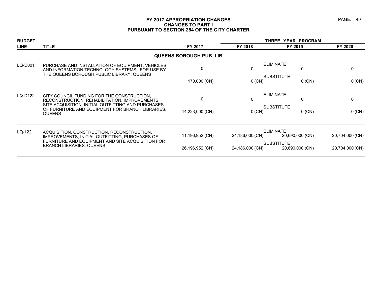# **FY 2017 APPROPRIATION CHANGES PAGE: 40 CHANGES TO PART I PURSUANT TO SECTION 254 OF THE CITY CHARTER**

| <b>BUDGET</b> |                                                                                                                                                   |                          |                 | THREE YEAR PROGRAM                   |                 |  |
|---------------|---------------------------------------------------------------------------------------------------------------------------------------------------|--------------------------|-----------------|--------------------------------------|-----------------|--|
| <b>LINE</b>   | <b>TITLE</b>                                                                                                                                      | FY 2017                  | FY 2018         | FY 2019                              | FY 2020         |  |
|               |                                                                                                                                                   | QUEENS BOROUGH PUB. LIB. |                 |                                      |                 |  |
| LQ-D001       | PURCHASE AND INSTALLATION OF EQUIPMENT, VEHICLES<br>AND INFORMATION TECHNOLOGY SYSTEMS. FOR USE BY<br>THE QUEENS BOROUGH PUBLIC LIBRARY, QUEENS   | 0                        | 0               | <b>ELIMINATE</b><br>0                | 0               |  |
|               |                                                                                                                                                   | 170,000 (CN)             | $0$ (CN)        | <b>SUBSTITUTE</b><br>$0$ (CN)        | 0 (CN)          |  |
| LQ-D122       | CITY COUNCIL FUNDING FOR THE CONSTRUCTION.<br>RECONSTRUCTION, REHABILITATION, IMPROVEMENTS,<br>SITE ACQUISITION, INITIAL OUTFITTING AND PURCHASES | 0                        | 0               | <b>ELIMINATE</b><br>$\mathbf{0}$     | 0               |  |
|               | OF FURNITURE AND EQUIPMENT FOR BRANCH LIBRARIES.<br><b>QUEENS</b>                                                                                 | 14,223,000 (CN)          | 0 (CN)          | <b>SUBSTITUTE</b><br>$0$ (CN)        | 0 (CN)          |  |
| LQ-122        | ACQUISITION, CONSTRUCTION, RECONSTRUCTION,<br>IMPROVEMENTS, INITIAL OUTFITTING, PURCHASES OF                                                      | 11,196,952 (CN)          | 24,186,000 (CN) | <b>ELIMINATE</b><br>20,690,000 (CN)  | 20,704,000 (CN) |  |
|               | FURNITURE AND EQUIPMENT AND SITE ACQUISITION FOR<br><b>BRANCH LIBRARIES, QUEENS</b>                                                               | 26,196,952 (CN)          | 24,186,000 (CN) | <b>SUBSTITUTE</b><br>20,690,000 (CN) | 20,704,000 (CN) |  |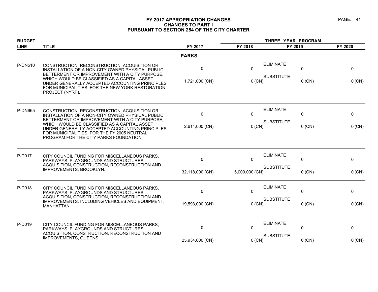# **FY 2017 APPROPRIATION CHANGES PAGE: 41 CHANGES TO PART I PURSUANT TO SECTION 254 OF THE CITY CHARTER**

| <b>BUDGET</b>  |                                                                                                                                                                                                    |                      |                     | THREE YEAR PROGRAM                    |               |             |
|----------------|----------------------------------------------------------------------------------------------------------------------------------------------------------------------------------------------------|----------------------|---------------------|---------------------------------------|---------------|-------------|
| <b>LINE</b>    | <b>TITLE</b>                                                                                                                                                                                       | FY 2017              | FY 2018             | FY 2019                               |               | FY 2020     |
|                |                                                                                                                                                                                                    | <b>PARKS</b>         |                     |                                       |               |             |
| P-DN510        | CONSTRUCTION, RECONSTRUCTION, ACQUISITION OR<br>INSTALLATION OF A NON-CITY OWNED PHYSICAL PUBLIC<br>BETTERMENT OR IMPROVEMENT WITH A CITY PURPOSE,<br>WHICH WOULD BE CLASSIFIED AS A CAPITAL ASSET | $\Omega$             | $\Omega$            | <b>ELIMINATE</b><br><b>SUBSTITUTE</b> | 0             | 0           |
|                | UNDER GENERALLY ACCEPTED ACCOUNTING PRINCIPLES<br>FOR MUNICIPALITIES; FOR THE NEW YORK RESTORATION<br>PROJECT (NYRP).                                                                              | 1,721,000 (CN)       | 0 (CN)              |                                       | $0$ (CN)      | 0 (CN)      |
| <b>P-DN665</b> | CONSTRUCTION, RECONSTRUCTION, ACQUISITION OR                                                                                                                                                       | $\mathbf{0}$         | $\Omega$            | <b>ELIMINATE</b>                      | 0             | 0           |
|                | INSTALLATION OF A NON-CITY OWNED PHYSICAL PUBLIC<br>BETTERMENT OR IMPROVEMENT WITH A CITY PURPOSE,                                                                                                 |                      |                     |                                       |               |             |
|                | WHICH WOULD BE CLASSIFIED AS A CAPITAL ASSET<br>UNDER GENERALLY ACCEPTED ACCOUNTING PRINCIPLES<br>FOR MUNICIPALITIES; FOR THE FY 2005 NEUTRAL<br>PROGRAM FOR THE CITY PARKS FOUNDATION.            | 2,614,000 (CN)       | 0 (CN)              | <b>SUBSTITUTE</b>                     | $0$ (CN)      | 0 (CN)      |
| P-D017         | CITY COUNCIL FUNDING FOR MISCELLANEOUS PARKS,<br>PARKWAYS, PLAYGROUNDS AND STRUCTURES:<br>ACQUISITION, CONSTRUCTION, RECONSTRUCTION AND<br>IMPROVEMENTS, BROOKLYN.                                 | 0<br>32,118,000 (CN) | 0<br>5,000,000 (CN) | <b>ELIMINATE</b><br><b>SUBSTITUTE</b> | 0<br>$0$ (CN) | 0<br>0 (CN) |
|                |                                                                                                                                                                                                    |                      |                     |                                       |               |             |
| P-D018         | CITY COUNCIL FUNDING FOR MISCELLANEOUS PARKS,<br><b>PARKWAYS, PLAYGROUNDS AND STRUCTURES:</b><br>ACQUISITION, CONSTRUCTION, RECONSTRUCTION AND                                                     | $\mathbf{0}$         | 0                   | <b>ELIMINATE</b>                      | 0             | 0           |
|                | IMPROVEMENTS, INCLUDING VEHICLES AND EQUIPMENT,<br><b>MANHATTAN</b>                                                                                                                                | 19,593,000 (CN)      | 0 (CN)              | <b>SUBSTITUTE</b>                     | $0$ (CN)      | 0 (CN)      |
|                |                                                                                                                                                                                                    |                      |                     |                                       |               |             |
| P-D019         | CITY COUNCIL FUNDING FOR MISCELLANEOUS PARKS,<br>PARKWAYS, PLAYGROUNDS AND STRUCTURES:<br>ACQUISITION, CONSTRUCTION, RECONSTRUCTION AND                                                            | 0                    | 0                   | <b>ELIMINATE</b>                      | 0             | 0           |
|                | <b>IMPROVEMENTS, QUEENS</b>                                                                                                                                                                        | 25,934,000 (CN)      | 0 (CN)              | <b>SUBSTITUTE</b>                     | $0$ (CN)      | 0 (CN)      |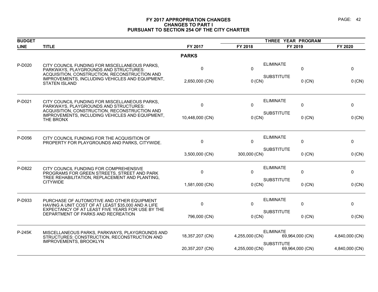# **FY 2017 APPROPRIATION CHANGES PAGE: 42 CHANGES TO PART I PURSUANT TO SECTION 254 OF THE CITY CHARTER**

| <b>BUDGET</b> |                                                                                                                                         |                 |                | THREE YEAR PROGRAM |                 |                |  |
|---------------|-----------------------------------------------------------------------------------------------------------------------------------------|-----------------|----------------|--------------------|-----------------|----------------|--|
| <b>LINE</b>   | <b>TITLE</b>                                                                                                                            | FY 2017         | FY 2018        | FY 2019            |                 | FY 2020        |  |
|               |                                                                                                                                         | <b>PARKS</b>    |                |                    |                 |                |  |
| P-D020        | CITY COUNCIL FUNDING FOR MISCELLANEOUS PARKS,<br>PARKWAYS, PLAYGROUNDS AND STRUCTURES:<br>ACQUISITION, CONSTRUCTION, RECONSTRUCTION AND | 0               | $\Omega$       | <b>ELIMINATE</b>   | 0               | 0              |  |
|               | IMPROVEMENTS, INCLUDING VEHICLES AND EQUIPMENT,<br><b>STATEN ISLAND</b>                                                                 | 2,650,000 (CN)  | 0 (CN)         | <b>SUBSTITUTE</b>  | $0$ (CN)        | 0 (CN)         |  |
| P-D021        | CITY COUNCIL FUNDING FOR MISCELLANEOUS PARKS,<br>PARKWAYS, PLAYGROUNDS AND STRUCTURES:                                                  | $\Omega$        | $\Omega$       | <b>ELIMINATE</b>   | $\Omega$        | $\mathbf{0}$   |  |
|               | ACQUISITION, CONSTRUCTION, RECONSTRUCTION AND<br>IMPROVEMENTS, INCLUDING VEHICLES AND EQUIPMENT,<br>THE BRONX                           | 10,448,000 (CN) | 0 (CN)         | <b>SUBSTITUTE</b>  | $0$ (CN)        | $0$ (CN)       |  |
| P-D056        | CITY COUNCIL FUNDING FOR THE ACQUISITION OF<br>PROPERTY FOR PLAYGROUNDS AND PARKS. CITYWIDE.                                            | 0               | 0              | <b>ELIMINATE</b>   | 0               | 0              |  |
|               |                                                                                                                                         | 3,500,000 (CN)  | 300,000 (CN)   | <b>SUBSTITUTE</b>  | $0$ (CN)        | 0 (CN)         |  |
| P-D822        | CITY COUNCIL FUNDING FOR COMPREHENSIVE<br>PROGRAMS FOR GREEN STREETS, STREET AND PARK                                                   | 0               | $\Omega$       | <b>ELIMINATE</b>   | 0               | $\mathbf{0}$   |  |
|               | TREE REHABILITATION, REPLACEMENT AND PLANTING.<br><b>CITYWIDE</b>                                                                       | 1,581,000 (CN)  | 0 (CN)         | <b>SUBSTITUTE</b>  | $0$ (CN)        | $0$ (CN)       |  |
| P-D933        | PURCHASE OF AUTOMOTIVE AND OTHER EQUIPMENT<br>HAVING A UNIT COST OF AT LEAST \$35,000 AND A LIFE                                        | $\Omega$        | $\Omega$       | <b>ELIMINATE</b>   | $\Omega$        | $\mathbf{0}$   |  |
|               | EXPECTANCY OF AT LEAST FIVE YEARS FOR USE BY THE<br>DEPARTMENT OF PARKS AND RECREATION                                                  | 796,000 (CN)    | 0 (CN)         | <b>SUBSTITUTE</b>  | $0$ (CN)        | $0$ (CN)       |  |
| P-245K        | MISCELLANEOUS PARKS, PARKWAYS, PLAYGROUNDS AND<br>STRUCTURES: CONSTRUCTION, RECONSTRUCTION AND                                          | 18,357,207 (CN) | 4,255,000 (CN) | <b>ELIMINATE</b>   | 69,964,000 (CN) | 4,840,000 (CN) |  |
|               | <b>IMPROVEMENTS, BROOKLYN</b>                                                                                                           | 20,357,207 (CN) | 4,255,000 (CN) | <b>SUBSTITUTE</b>  | 69,964,000 (CN) | 4,840,000 (CN) |  |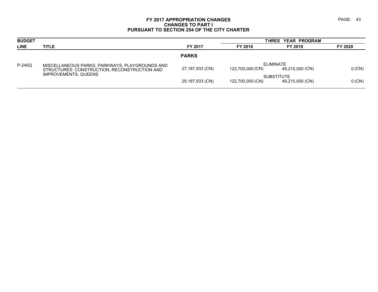# **FY 2017 APPROPRIATION CHANGES PAGE: 43 CHANGES TO PART I PURSUANT TO SECTION 254 OF THE CITY CHARTER**

| <b>BUDGET</b> |                                                                                                |                 |                  | THREE YEAR PROGRAM                   |          |
|---------------|------------------------------------------------------------------------------------------------|-----------------|------------------|--------------------------------------|----------|
| <b>LINE</b>   | <b>TITLE</b>                                                                                   | FY 2017         | FY 2018          | FY 2019                              | FY 2020  |
|               |                                                                                                | <b>PARKS</b>    |                  |                                      |          |
| $P-245Q$      | MISCELLANEOUS PARKS, PARKWAYS, PLAYGROUNDS AND<br>STRUCTURES: CONSTRUCTION, RECONSTRUCTION AND | 27,187,933 (CN) | 122,700,000 (CN) | ELIMINATE<br>49,215,000 (CN)         | $0$ (CN) |
|               | <b>IMPROVEMENTS, QUEENS</b>                                                                    | 29,187,933 (CN) | 122,700,000 (CN) | <b>SUBSTITUTE</b><br>49,215,000 (CN) | $0$ (CN) |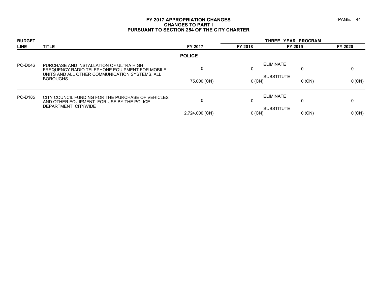# **FY 2017 APPROPRIATION CHANGES PAGE: 44 CHANGES TO PART I PURSUANT TO SECTION 254 OF THE CITY CHARTER**

| <b>BUDGET</b> |                                                                                                                                             |                |          | THREE YEAR PROGRAM            |         |
|---------------|---------------------------------------------------------------------------------------------------------------------------------------------|----------------|----------|-------------------------------|---------|
| <b>LINE</b>   | <b>TITLE</b>                                                                                                                                | FY 2017        | FY 2018  | FY 2019                       | FY 2020 |
|               |                                                                                                                                             | <b>POLICE</b>  |          |                               |         |
| PO-D046       | PURCHASE AND INSTALLATION OF ULTRA HIGH<br>FREQUENCY RADIO TELEPHONE EQUIPMENT FOR MOBILE<br>UNITS AND ALL OTHER COMMUNICATION SYSTEMS, ALL | 0              | υ        | ELIMINATE<br>0                |         |
|               | <b>BOROUGHS</b>                                                                                                                             | 75,000 (CN)    | $0$ (CN) | <b>SUBSTITUTE</b><br>$0$ (CN) | 0 (CN)  |
| PO-D185       | CITY COUNCIL FUNDING FOR THE PURCHASE OF VEHICLES<br>AND OTHER EQUIPMENT FOR USE BY THE POLICE                                              | 0              | 0        | ELIMINATE<br>0                | 0       |
|               | DEPARTMENT, CITYWIDE                                                                                                                        | 2,724,000 (CN) | $0$ (CN) | <b>SUBSTITUTE</b><br>$0$ (CN) | 0 (CN)  |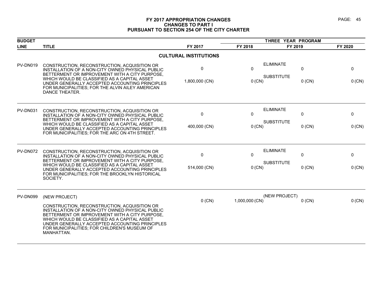# **FY 2017 APPROPRIATION CHANGES PAGE: 45 CHANGES TO PART I PURSUANT TO SECTION 254 OF THE CITY CHARTER**

| <b>BUDGET</b> |                                                                                                                                                                                                                                                                                                                    |                              |                          | THREE YEAR PROGRAM                                     |             |  |
|---------------|--------------------------------------------------------------------------------------------------------------------------------------------------------------------------------------------------------------------------------------------------------------------------------------------------------------------|------------------------------|--------------------------|--------------------------------------------------------|-------------|--|
| <b>LINE</b>   | <b>TITLE</b>                                                                                                                                                                                                                                                                                                       | FY 2017                      | FY 2018                  | FY 2019                                                | FY 2020     |  |
|               |                                                                                                                                                                                                                                                                                                                    | <b>CULTURAL INSTITUTIONS</b> |                          |                                                        |             |  |
| PV-DN019      | CONSTRUCTION, RECONSTRUCTION, ACQUISITION OR<br>INSTALLATION OF A NON-CITY OWNED PHYSICAL PUBLIC<br>BETTERMENT OR IMPROVEMENT WITH A CITY PURPOSE,<br>WHICH WOULD BE CLASSIFIED AS A CAPITAL ASSET<br>UNDER GENERALLY ACCEPTED ACCOUNTING PRINCIPLES                                                               | 0<br>1,800,000 (CN)          | $\mathbf{0}$<br>$0$ (CN) | <b>ELIMINATE</b><br>0<br><b>SUBSTITUTE</b><br>$0$ (CN) | 0<br>0 (CN) |  |
|               | FOR MUNICIPALITIES; FOR THE ALVIN AILEY AMERICAN<br>DANCE THEATER.                                                                                                                                                                                                                                                 |                              |                          |                                                        |             |  |
| PV-DN031      | CONSTRUCTION, RECONSTRUCTION, ACQUISITION OR<br>INSTALLATION OF A NON-CITY OWNED PHYSICAL PUBLIC                                                                                                                                                                                                                   | $\mathbf{0}$                 | $\mathbf{0}$             | <b>ELIMINATE</b><br>0                                  | 0           |  |
|               | BETTERMENT OR IMPROVEMENT WITH A CITY PURPOSE,<br>WHICH WOULD BE CLASSIFIED AS A CAPITAL ASSET<br>UNDER GENERALLY ACCEPTED ACCOUNTING PRINCIPLES<br>FOR MUNICIPALITIES; FOR THE ARC ON 4TH STREET.                                                                                                                 | 400,000 (CN)                 | $0$ (CN)                 | <b>SUBSTITUTE</b><br>$0$ (CN)                          | 0 (CN)      |  |
| PV-DN072      | CONSTRUCTION, RECONSTRUCTION, ACQUISITION OR<br>INSTALLATION OF A NON-CITY OWNED PHYSICAL PUBLIC<br>BETTERMENT OR IMPROVEMENT WITH A CITY PURPOSE,                                                                                                                                                                 | 0                            | 0                        | <b>ELIMINATE</b><br>0                                  | 0           |  |
|               | WHICH WOULD BE CLASSIFIED AS A CAPITAL ASSET<br>UNDER GENERALLY ACCEPTED ACCOUNTING PRINCIPLES<br>FOR MUNICIPALITIES; FOR THE BROOKLYN HISTORICAL<br>SOCIETY.                                                                                                                                                      | 514,000 (CN)                 | $0$ (CN)                 | <b>SUBSTITUTE</b><br>$0$ (CN)                          | $0$ (CN)    |  |
| PV-DN099      | (NEW PROJECT)                                                                                                                                                                                                                                                                                                      | $0$ (CN)                     | 1,000,000 (CN)           | (NEW PROJECT)<br>$0$ (CN)                              | 0 (CN)      |  |
|               | CONSTRUCTION, RECONSTRUCTION, ACQUISITION OR<br>INSTALLATION OF A NON-CITY OWNED PHYSICAL PUBLIC<br>BETTERMENT OR IMPROVEMENT WITH A CITY PURPOSE,<br>WHICH WOULD BE CLASSIFIED AS A CAPITAL ASSET<br>UNDER GENERALLY ACCEPTED ACCOUNTING PRINCIPLES<br>FOR MUNICIPALITIES; FOR CHILDREN'S MUSEUM OF<br>MANHATTAN. |                              |                          |                                                        |             |  |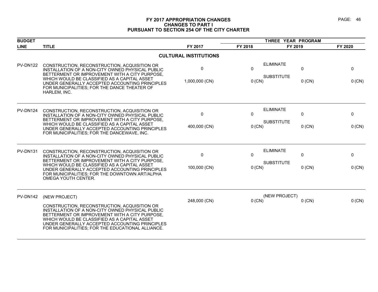# **FY 2017 APPROPRIATION CHANGES PAGE: 46 CHANGES TO PART I PURSUANT TO SECTION 254 OF THE CITY CHARTER**

| <b>BUDGET</b>   |                                                                                                                                                                                                                                                                                                                               |                              |                          | THREE YEAR PROGRAM                    |               |               |
|-----------------|-------------------------------------------------------------------------------------------------------------------------------------------------------------------------------------------------------------------------------------------------------------------------------------------------------------------------------|------------------------------|--------------------------|---------------------------------------|---------------|---------------|
| <b>LINE</b>     | <b>TITLE</b>                                                                                                                                                                                                                                                                                                                  | FY 2017                      | FY 2018                  | FY 2019                               |               | FY 2020       |
|                 |                                                                                                                                                                                                                                                                                                                               | <b>CULTURAL INSTITUTIONS</b> |                          |                                       |               |               |
| <b>PV-DN122</b> | CONSTRUCTION, RECONSTRUCTION, ACQUISITION OR<br>INSTALLATION OF A NON-CITY OWNED PHYSICAL PUBLIC<br>BETTERMENT OR IMPROVEMENT WITH A CITY PURPOSE,<br>WHICH WOULD BE CLASSIFIED AS A CAPITAL ASSET<br>UNDER GENERALLY ACCEPTED ACCOUNTING PRINCIPLES<br>FOR MUNICIPALITIES; FOR THE DANCE THEATER OF<br>HARLEM, INC.          | 0<br>1,000,000 (CN)          | $\mathbf{0}$<br>$0$ (CN) | <b>ELIMINATE</b><br><b>SUBSTITUTE</b> | 0<br>$0$ (CN) | 0<br>0 (CN)   |
| <b>PV-DN124</b> | CONSTRUCTION, RECONSTRUCTION, ACQUISITION OR<br>INSTALLATION OF A NON-CITY OWNED PHYSICAL PUBLIC<br>BETTERMENT OR IMPROVEMENT WITH A CITY PURPOSE,<br>WHICH WOULD BE CLASSIFIED AS A CAPITAL ASSET<br>UNDER GENERALLY ACCEPTED ACCOUNTING PRINCIPLES<br>FOR MUNICIPALITIES; FOR THE DANCEWAVE, INC.                           | $\mathbf{0}$<br>400,000 (CN) | $\mathbf{0}$<br>$0$ (CN) | <b>ELIMINATE</b><br><b>SUBSTITUTE</b> | 0<br>$0$ (CN) | 0<br>$0$ (CN) |
| <b>PV-DN131</b> | CONSTRUCTION, RECONSTRUCTION, ACQUISITION OR<br>INSTALLATION OF A NON-CITY OWNED PHYSICAL PUBLIC<br>BETTERMENT OR IMPROVEMENT WITH A CITY PURPOSE.<br>WHICH WOULD BE CLASSIFIED AS A CAPITAL ASSET<br>UNDER GENERALLY ACCEPTED ACCOUNTING PRINCIPLES<br>FOR MUNICIPALITIES; FOR THE DOWNTOWN ART/ALPHA<br>OMEGA YOUTH CENTER. | 0<br>100,000 (CN)            | $\Omega$<br>$0$ (CN)     | <b>ELIMINATE</b><br><b>SUBSTITUTE</b> | 0<br>$0$ (CN) | 0<br>0 (CN)   |
| <b>PV-DN142</b> | (NEW PROJECT)<br>CONSTRUCTION, RECONSTRUCTION, ACQUISITION OR<br>INSTALLATION OF A NON-CITY OWNED PHYSICAL PUBLIC<br>BETTERMENT OR IMPROVEMENT WITH A CITY PURPOSE,<br>WHICH WOULD BE CLASSIFIED AS A CAPITAL ASSET<br>UNDER GENERALLY ACCEPTED ACCOUNTING PRINCIPLES<br>FOR MUNICIPALITIES; FOR THE EDUCATIONAL ALLIANCE.    | 248,000 (CN)                 | $0$ (CN)                 | (NEW PROJECT)                         | $0$ (CN)      | 0 (CN)        |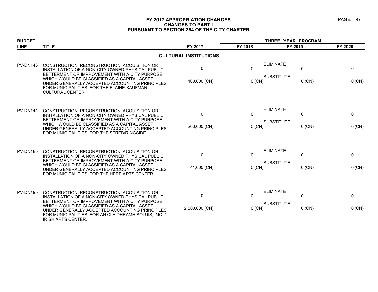# **FY 2017 APPROPRIATION CHANGES PAGE: 47 CHANGES TO PART I PURSUANT TO SECTION 254 OF THE CITY CHARTER**

| <b>BUDGET</b>   |                                                                                                                                                                                     |                              | THREE YEAR PROGRAM |                                                       |              |  |
|-----------------|-------------------------------------------------------------------------------------------------------------------------------------------------------------------------------------|------------------------------|--------------------|-------------------------------------------------------|--------------|--|
| <b>LINE</b>     | <b>TITLE</b>                                                                                                                                                                        | FY 2017                      | FY 2018            | FY 2019                                               | FY 2020      |  |
|                 |                                                                                                                                                                                     | <b>CULTURAL INSTITUTIONS</b> |                    |                                                       |              |  |
| PV-DN143        | CONSTRUCTION, RECONSTRUCTION, ACQUISITION OR<br>INSTALLATION OF A NON-CITY OWNED PHYSICAL PUBLIC<br>BETTERMENT OR IMPROVEMENT WITH A CITY PURPOSE,                                  | $\mathbf{0}$                 | $\mathbf{0}$       | <b>ELIMINATE</b><br>$\mathbf{0}$<br><b>SUBSTITUTE</b> | $\mathbf{0}$ |  |
|                 | WHICH WOULD BE CLASSIFIED AS A CAPITAL ASSET<br>UNDER GENERALLY ACCEPTED ACCOUNTING PRINCIPLES<br>FOR MUNICIPALITIES; FOR THE ELAINE KAUFMAN<br><b>CULTURAL CENTER.</b>             | 100,000 (CN)                 | $0$ (CN)           | $0$ (CN)                                              | $0$ (CN)     |  |
| PV-DN144        | CONSTRUCTION, RECONSTRUCTION, ACQUISITION OR<br>INSTALLATION OF A NON-CITY OWNED PHYSICAL PUBLIC<br>BETTERMENT OR IMPROVEMENT WITH A CITY PURPOSE,                                  | $\mathbf{0}$                 | 0                  | <b>ELIMINATE</b><br>0                                 | 0            |  |
|                 | WHICH WOULD BE CLASSIFIED AS A CAPITAL ASSET<br>UNDER GENERALLY ACCEPTED ACCOUNTING PRINCIPLES<br>FOR MUNICIPALITIES; FOR THE STREB/RINGSIDE.                                       | 200,000 (CN)                 | $0$ (CN)           | <b>SUBSTITUTE</b><br>$0$ (CN)                         | 0 (CN)       |  |
| <b>PV-DN185</b> | CONSTRUCTION, RECONSTRUCTION, ACQUISITION OR<br>INSTALLATION OF A NON-CITY OWNED PHYSICAL PUBLIC<br>BETTERMENT OR IMPROVEMENT WITH A CITY PURPOSE.                                  | $\mathbf{0}$                 | $\mathbf{0}$       | <b>ELIMINATE</b><br>0<br><b>SUBSTITUTE</b>            | 0            |  |
|                 | WHICH WOULD BE CLASSIFIED AS A CAPITAL ASSET<br>UNDER GENERALLY ACCEPTED ACCOUNTING PRINCIPLES<br>FOR MUNICIPALITIES; FOR THE HERE ARTS CENTER.                                     | 41,000 (CN)                  | 0 (CN)             | $0$ (CN)                                              | 0 (CN)       |  |
| PV-DN195        | CONSTRUCTION, RECONSTRUCTION, ACQUISITION OR<br>INSTALLATION OF A NON-CITY OWNED PHYSICAL PUBLIC<br>BETTERMENT OR IMPROVEMENT WITH A CITY PURPOSE,                                  | $\mathbf 0$                  | $\mathbf{0}$       | <b>ELIMINATE</b><br>0                                 | 0            |  |
|                 | WHICH WOULD BE CLASSIFIED AS A CAPITAL ASSET<br>UNDER GENERALLY ACCEPTED ACCOUNTING PRINCIPLES<br>FOR MUNICIPALITIES; FOR AN CLAIDHEAMH SOLUIS, INC. /<br><b>IRISH ARTS CENTER.</b> | 2,500,000 (CN)               | $0$ (CN)           | <b>SUBSTITUTE</b><br>$0$ (CN)                         | 0 (CN)       |  |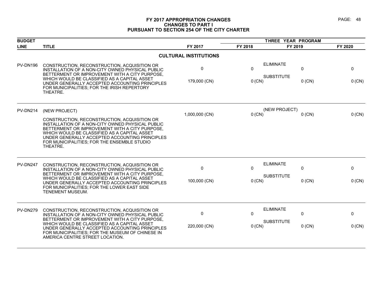# **FY 2017 APPROPRIATION CHANGES PAGE: 48 CHANGES TO PART I PURSUANT TO SECTION 254 OF THE CITY CHARTER**

| <b>BUDGET</b> |                                                                                                                                                                                                                                                                                                                 |                              | THREE YEAR PROGRAM |                                            |             |
|---------------|-----------------------------------------------------------------------------------------------------------------------------------------------------------------------------------------------------------------------------------------------------------------------------------------------------------------|------------------------------|--------------------|--------------------------------------------|-------------|
| <b>LINE</b>   | <b>TITLE</b>                                                                                                                                                                                                                                                                                                    | FY 2017                      | FY 2018            | FY 2019                                    | FY 2020     |
|               |                                                                                                                                                                                                                                                                                                                 | <b>CULTURAL INSTITUTIONS</b> |                    |                                            |             |
| PV-DN196      | CONSTRUCTION, RECONSTRUCTION, ACQUISITION OR<br>INSTALLATION OF A NON-CITY OWNED PHYSICAL PUBLIC<br>BETTERMENT OR IMPROVEMENT WITH A CITY PURPOSE,<br>WHICH WOULD BE CLASSIFIED AS A CAPITAL ASSET                                                                                                              | $\mathbf 0$                  | $\mathbf{0}$       | <b>ELIMINATE</b><br>0<br><b>SUBSTITUTE</b> | $\mathbf 0$ |
|               | UNDER GENERALLY ACCEPTED ACCOUNTING PRINCIPLES<br>FOR MUNICIPALITIES; FOR THE IRISH REPERTORY<br>THEATRE.                                                                                                                                                                                                       | 179,000 (CN)                 | 0 (CN)             | $0$ (CN)                                   | $0$ (CN)    |
| PV-DN214      | (NEW PROJECT)                                                                                                                                                                                                                                                                                                   |                              |                    | (NEW PROJECT)                              |             |
|               | CONSTRUCTION, RECONSTRUCTION, ACQUISITION OR<br>INSTALLATION OF A NON-CITY OWNED PHYSICAL PUBLIC<br>BETTERMENT OR IMPROVEMENT WITH A CITY PURPOSE,<br>WHICH WOULD BE CLASSIFIED AS A CAPITAL ASSET<br>UNDER GENERALLY ACCEPTED ACCOUNTING PRINCIPLES<br>FOR MUNICIPALITIES; FOR THE ENSEMBLE STUDIO<br>THEATRE. | 1,000,000 (CN)               | $0$ (CN)           | $0$ (CN)                                   | 0 (CN)      |
| PV-DN247      | CONSTRUCTION, RECONSTRUCTION, ACQUISITION OR<br>INSTALLATION OF A NON-CITY OWNED PHYSICAL PUBLIC<br>BETTERMENT OR IMPROVEMENT WITH A CITY PURPOSE.                                                                                                                                                              | $\mathbf 0$                  | $\mathbf{0}$       | <b>ELIMINATE</b><br>0                      | $\mathbf 0$ |
|               | WHICH WOULD BE CLASSIFIED AS A CAPITAL ASSET<br>UNDER GENERALLY ACCEPTED ACCOUNTING PRINCIPLES<br>FOR MUNICIPALITIES; FOR THE LOWER EAST SIDE<br><b>TENEMENT MUSEUM.</b>                                                                                                                                        | 100,000 (CN)                 | $0$ (CN)           | <b>SUBSTITUTE</b><br>$0$ (CN)              | 0 (CN)      |
| PV-DN279      | CONSTRUCTION, RECONSTRUCTION, ACQUISITION OR<br>INSTALLATION OF A NON-CITY OWNED PHYSICAL PUBLIC                                                                                                                                                                                                                | $\mathbf 0$                  | 0                  | <b>ELIMINATE</b><br>0                      | $\mathbf 0$ |
|               | BETTERMENT OR IMPROVEMENT WITH A CITY PURPOSE,<br>WHICH WOULD BE CLASSIFIED AS A CAPITAL ASSET<br>UNDER GENERALLY ACCEPTED ACCOUNTING PRINCIPLES<br>FOR MUNICIPALITIES; FOR THE MUSEUM OF CHINESE IN<br>AMERICA CENTRE STREET LOCATION.                                                                         | 220,000 (CN)                 | $0$ (CN)           | <b>SUBSTITUTE</b><br>$0$ (CN)              | $0$ (CN)    |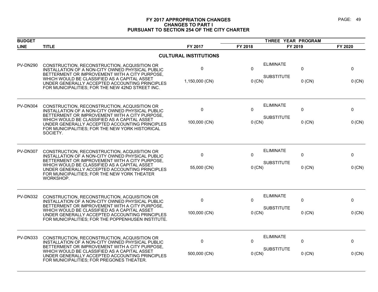# **FY 2017 APPROPRIATION CHANGES PAGE: 49 CHANGES TO PART I PURSUANT TO SECTION 254 OF THE CITY CHARTER**

| <b>BUDGET</b>   |                                                                                                                                                                                                               |                              | THREE YEAR PROGRAM |                               |         |
|-----------------|---------------------------------------------------------------------------------------------------------------------------------------------------------------------------------------------------------------|------------------------------|--------------------|-------------------------------|---------|
| <b>LINE</b>     | <b>TITLE</b>                                                                                                                                                                                                  | FY 2017                      | FY 2018            | FY 2019                       | FY 2020 |
|                 |                                                                                                                                                                                                               | <b>CULTURAL INSTITUTIONS</b> |                    |                               |         |
| <b>PV-DN290</b> | CONSTRUCTION, RECONSTRUCTION, ACQUISITION OR<br>INSTALLATION OF A NON-CITY OWNED PHYSICAL PUBLIC<br>BETTERMENT OR IMPROVEMENT WITH A CITY PURPOSE,                                                            | $\pmb{0}$                    | $\Omega$           | <b>ELIMINATE</b><br>0         | 0       |
|                 | WHICH WOULD BE CLASSIFIED AS A CAPITAL ASSET<br>UNDER GENERALLY ACCEPTED ACCOUNTING PRINCIPLES<br>FOR MUNICIPALITIES; FOR THE NEW 42ND STREET INC.                                                            | 1,150,000 (CN)               | $0$ (CN)           | <b>SUBSTITUTE</b><br>$0$ (CN) | 0 (CN)  |
| <b>PV-DN304</b> | CONSTRUCTION, RECONSTRUCTION, ACQUISITION OR<br>INSTALLATION OF A NON-CITY OWNED PHYSICAL PUBLIC<br>BETTERMENT OR IMPROVEMENT WITH A CITY PURPOSE,                                                            | $\mathbf 0$                  | $\Omega$           | <b>ELIMINATE</b><br>0         | 0       |
|                 | WHICH WOULD BE CLASSIFIED AS A CAPITAL ASSET<br>UNDER GENERALLY ACCEPTED ACCOUNTING PRINCIPLES<br>FOR MUNICIPALITIES; FOR THE NEW YORK HISTORICAL<br>SOCIETY.                                                 | 100,000 (CN)                 | $0$ (CN)           | <b>SUBSTITUTE</b><br>$0$ (CN) | 0 (CN)  |
| <b>PV-DN307</b> | CONSTRUCTION, RECONSTRUCTION, ACQUISITION OR<br>INSTALLATION OF A NON-CITY OWNED PHYSICAL PUBLIC                                                                                                              | $\mathbf 0$                  | $\Omega$           | <b>ELIMINATE</b><br>0         | 0       |
|                 | BETTERMENT OR IMPROVEMENT WITH A CITY PURPOSE,<br>WHICH WOULD BE CLASSIFIED AS A CAPITAL ASSET<br>UNDER GENERALLY ACCEPTED ACCOUNTING PRINCIPLES<br>FOR MUNICIPALITIES; FOR THE NEW YORK THEATER<br>WORKSHOP. | 55,000 (CN)                  | $0$ (CN)           | <b>SUBSTITUTE</b><br>$0$ (CN) | 0 (CN)  |
| <b>PV-DN332</b> | CONSTRUCTION, RECONSTRUCTION, ACQUISITION OR<br>INSTALLATION OF A NON-CITY OWNED PHYSICAL PUBLIC                                                                                                              | $\mathbf 0$                  | $\Omega$           | <b>ELIMINATE</b><br>0         | 0       |
|                 | BETTERMENT OR IMPROVEMENT WITH A CITY PURPOSE,<br>WHICH WOULD BE CLASSIFIED AS A CAPITAL ASSET<br>UNDER GENERALLY ACCEPTED ACCOUNTING PRINCIPLES<br>FOR MUNICIPALITIES; FOR THE POPPENHUSEN INSTITUTE.        | 100,000 (CN)                 | $0$ (CN)           | <b>SUBSTITUTE</b><br>$0$ (CN) | 0 (CN)  |
| <b>PV-DN333</b> | CONSTRUCTION, RECONSTRUCTION, ACQUISITION OR<br>INSTALLATION OF A NON-CITY OWNED PHYSICAL PUBLIC                                                                                                              | 0                            | $\mathbf{0}$       | <b>ELIMINATE</b><br>0         | 0       |
|                 | BETTERMENT OR IMPROVEMENT WITH A CITY PURPOSE,<br>WHICH WOULD BE CLASSIFIED AS A CAPITAL ASSET<br>UNDER GENERALLY ACCEPTED ACCOUNTING PRINCIPLES<br>FOR MUNICIPALITIES; FOR PREGONES THEATER.                 | 500,000 (CN)                 | 0 (CN)             | <b>SUBSTITUTE</b><br>$0$ (CN) | 0 (CN)  |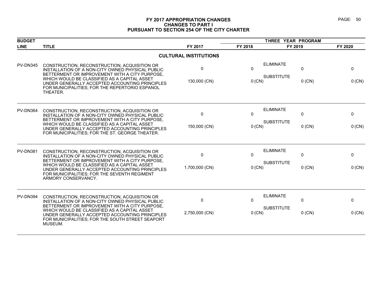# **FY 2017 APPROPRIATION CHANGES PAGE: 50 CHANGES TO PART I PURSUANT TO SECTION 254 OF THE CITY CHARTER**

| <b>BUDGET</b>   |                                                                                                                                                                                                                                                                                                                             |                              | THREE YEAR PROGRAM   |                                       |                          |                    |
|-----------------|-----------------------------------------------------------------------------------------------------------------------------------------------------------------------------------------------------------------------------------------------------------------------------------------------------------------------------|------------------------------|----------------------|---------------------------------------|--------------------------|--------------------|
| <b>LINE</b>     | <b>TITLE</b>                                                                                                                                                                                                                                                                                                                | FY 2017                      | FY 2018              | FY 2019                               |                          | FY 2020            |
|                 |                                                                                                                                                                                                                                                                                                                             | <b>CULTURAL INSTITUTIONS</b> |                      |                                       |                          |                    |
| PV-DN345        | CONSTRUCTION, RECONSTRUCTION, ACQUISITION OR<br>INSTALLATION OF A NON-CITY OWNED PHYSICAL PUBLIC<br>BETTERMENT OR IMPROVEMENT WITH A CITY PURPOSE,<br>WHICH WOULD BE CLASSIFIED AS A CAPITAL ASSET<br>UNDER GENERALLY ACCEPTED ACCOUNTING PRINCIPLES<br>FOR MUNICIPALITIES; FOR THE REPERTORIO ESPANOL<br>THEATER.          | 0<br>130,000 (CN)            | 0<br>0 (CN)          | <b>ELIMINATE</b><br><b>SUBSTITUTE</b> | $\mathbf 0$<br>$0$ (CN)  | 0<br>$0$ (CN)      |
| PV-DN364        | CONSTRUCTION, RECONSTRUCTION, ACQUISITION OR<br>INSTALLATION OF A NON-CITY OWNED PHYSICAL PUBLIC<br>BETTERMENT OR IMPROVEMENT WITH A CITY PURPOSE.<br>WHICH WOULD BE CLASSIFIED AS A CAPITAL ASSET<br>UNDER GENERALLY ACCEPTED ACCOUNTING PRINCIPLES<br>FOR MUNICIPALITIES; FOR THE ST. GEORGE THEATER.                     | 0<br>150,000 (CN)            | $\Omega$<br>0 (CN)   | <b>ELIMINATE</b><br><b>SUBSTITUTE</b> | 0<br>$0$ (CN)            | 0<br>$0$ (CN)      |
| <b>PV-DN381</b> | CONSTRUCTION, RECONSTRUCTION, ACQUISITION OR<br>INSTALLATION OF A NON-CITY OWNED PHYSICAL PUBLIC<br>BETTERMENT OR IMPROVEMENT WITH A CITY PURPOSE.<br>WHICH WOULD BE CLASSIFIED AS A CAPITAL ASSET<br>UNDER GENERALLY ACCEPTED ACCOUNTING PRINCIPLES<br>FOR MUNICIPALITIES; FOR THE SEVENTH REGIMENT<br>ARMORY CONSERVANCY. | 0<br>1,700,000 (CN)          | 0<br>0 (CN)          | <b>ELIMINATE</b><br><b>SUBSTITUTE</b> | 0<br>$0$ (CN)            | 0<br>$0$ (CN)      |
| PV-DN394        | CONSTRUCTION, RECONSTRUCTION, ACQUISITION OR<br>INSTALLATION OF A NON-CITY OWNED PHYSICAL PUBLIC<br>BETTERMENT OR IMPROVEMENT WITH A CITY PURPOSE,<br>WHICH WOULD BE CLASSIFIED AS A CAPITAL ASSET<br>UNDER GENERALLY ACCEPTED ACCOUNTING PRINCIPLES<br>FOR MUNICIPALITIES; FOR THE SOUTH STREET SEAPORT<br>MUSEUM.         | 0<br>2,750,000 (CN)          | $\Omega$<br>$0$ (CN) | <b>ELIMINATE</b><br><b>SUBSTITUTE</b> | $\mathbf{0}$<br>$0$ (CN) | $\Omega$<br>0 (CN) |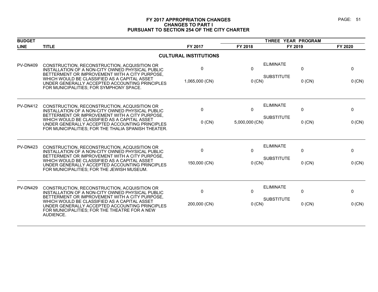# **FY 2017 APPROPRIATION CHANGES PAGE: 51 CHANGES TO PART I PURSUANT TO SECTION 254 OF THE CITY CHARTER**

| <b>BUDGET</b>   |                                                                                                                                                                                                                                                                                                 |                              |                      | THREE YEAR PROGRAM                                     |               |
|-----------------|-------------------------------------------------------------------------------------------------------------------------------------------------------------------------------------------------------------------------------------------------------------------------------------------------|------------------------------|----------------------|--------------------------------------------------------|---------------|
| <b>LINE</b>     | <b>TITLE</b>                                                                                                                                                                                                                                                                                    | FY 2017                      | FY 2018              | FY 2019                                                | FY 2020       |
|                 |                                                                                                                                                                                                                                                                                                 | <b>CULTURAL INSTITUTIONS</b> |                      |                                                        |               |
| <b>PV-DN409</b> | CONSTRUCTION, RECONSTRUCTION, ACQUISITION OR<br>INSTALLATION OF A NON-CITY OWNED PHYSICAL PUBLIC<br>BETTERMENT OR IMPROVEMENT WITH A CITY PURPOSE,<br>WHICH WOULD BE CLASSIFIED AS A CAPITAL ASSET<br>UNDER GENERALLY ACCEPTED ACCOUNTING PRINCIPLES<br>FOR MUNICIPALITIES; FOR SYMPHONY SPACE. | 0<br>1,065,000 (CN)          | $\Omega$<br>$0$ (CN) | <b>ELIMINATE</b><br>0<br><b>SUBSTITUTE</b><br>$0$ (CN) | 0<br>$0$ (CN) |
| <b>PV-DN412</b> | CONSTRUCTION, RECONSTRUCTION, ACQUISITION OR<br>INSTALLATION OF A NON-CITY OWNED PHYSICAL PUBLIC<br>BETTERMENT OR IMPROVEMENT WITH A CITY PURPOSE,<br>WHICH WOULD BE CLASSIFIED AS A CAPITAL ASSET                                                                                              | 0                            | $\mathbf{0}$         | <b>ELIMINATE</b><br>$\mathbf{0}$<br><b>SUBSTITUTE</b>  | 0             |
|                 | UNDER GENERALLY ACCEPTED ACCOUNTING PRINCIPLES<br>FOR MUNICIPALITIES; FOR THE THALIA SPANISH THEATER.                                                                                                                                                                                           | $0$ (CN)                     | 5,000,000 (CN)       | $0$ (CN)                                               | 0 (CN)        |
| <b>PV-DN423</b> | CONSTRUCTION, RECONSTRUCTION, ACQUISITION OR<br>INSTALLATION OF A NON-CITY OWNED PHYSICAL PUBLIC                                                                                                                                                                                                | 0                            | $\Omega$             | <b>ELIMINATE</b><br>$\mathbf{0}$                       | $\Omega$      |
|                 | BETTERMENT OR IMPROVEMENT WITH A CITY PURPOSE.<br>WHICH WOULD BE CLASSIFIED AS A CAPITAL ASSET<br>UNDER GENERALLY ACCEPTED ACCOUNTING PRINCIPLES<br>FOR MUNICIPALITIES; FOR THE JEWISH MUSEUM.                                                                                                  | 150,000 (CN)                 | $0$ (CN)             | <b>SUBSTITUTE</b><br>$0$ (CN)                          | $0$ (CN)      |
| <b>PV-DN429</b> | CONSTRUCTION, RECONSTRUCTION, ACQUISITION OR<br>INSTALLATION OF A NON-CITY OWNED PHYSICAL PUBLIC<br>BETTERMENT OR IMPROVEMENT WITH A CITY PURPOSE,                                                                                                                                              | 0                            | $\mathbf{0}$         | <b>ELIMINATE</b><br>$\mathbf{0}$                       | 0             |
|                 | WHICH WOULD BE CLASSIFIED AS A CAPITAL ASSET<br>UNDER GENERALLY ACCEPTED ACCOUNTING PRINCIPLES<br>FOR MUNICIPALITIES; FOR THE THEATRE FOR A NEW<br>AUDIENCE.                                                                                                                                    | 200,000 (CN)                 | $0$ (CN)             | <b>SUBSTITUTE</b><br>$0$ (CN)                          | $0$ (CN)      |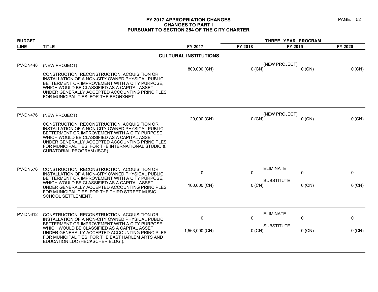# **FY 2017 APPROPRIATION CHANGES PAGE: 52 CHANGES TO PART I PURSUANT TO SECTION 254 OF THE CITY CHARTER**

| <b>BUDGET</b>   |                                                                                                                                                                                                                                                                                                                                          |                              | THREE YEAR PROGRAM |                               |         |
|-----------------|------------------------------------------------------------------------------------------------------------------------------------------------------------------------------------------------------------------------------------------------------------------------------------------------------------------------------------------|------------------------------|--------------------|-------------------------------|---------|
| <b>LINE</b>     | <b>TITLE</b>                                                                                                                                                                                                                                                                                                                             | FY 2017                      | FY 2018            | FY 2019                       | FY 2020 |
|                 |                                                                                                                                                                                                                                                                                                                                          | <b>CULTURAL INSTITUTIONS</b> |                    |                               |         |
| PV-DN448        | (NEW PROJECT)                                                                                                                                                                                                                                                                                                                            | 800,000 (CN)                 | $0$ (CN)           | (NEW PROJECT)<br>$0$ (CN)     | 0 (CN)  |
|                 | CONSTRUCTION, RECONSTRUCTION, ACQUISITION OR<br>INSTALLATION OF A NON-CITY OWNED PHYSICAL PUBLIC<br>BETTERMENT OR IMPROVEMENT WITH A CITY PURPOSE,<br>WHICH WOULD BE CLASSIFIED AS A CAPITAL ASSET<br>UNDER GENERALLY ACCEPTED ACCOUNTING PRINCIPLES<br>FOR MUNICIPALITIES: FOR THE BRONXNET                                             |                              |                    |                               |         |
| <b>PV-DN476</b> | (NEW PROJECT)                                                                                                                                                                                                                                                                                                                            |                              |                    | (NEW PROJECT)                 |         |
|                 | CONSTRUCTION, RECONSTRUCTION, ACQUISITION OR<br>INSTALLATION OF A NON-CITY OWNED PHYSICAL PUBLIC<br>BETTERMENT OR IMPROVEMENT WITH A CITY PURPOSE,<br>WHICH WOULD BE CLASSIFIED AS A CAPITAL ASSET<br>UNDER GENERALLY ACCEPTED ACCOUNTING PRINCIPLES<br>FOR MUNICIPALITIES; FOR THE INTERNATIONAL STUDIO &<br>CURATORIAL PROGRAM (ISCP). | 20,000 (CN)                  | $0$ (CN)           | $0$ (CN)                      | 0 (CN)  |
| <b>PV-DN576</b> | CONSTRUCTION, RECONSTRUCTION, ACQUISITION OR<br>INSTALLATION OF A NON-CITY OWNED PHYSICAL PUBLIC                                                                                                                                                                                                                                         | 0                            | $\Omega$           | <b>ELIMINATE</b><br>0         | 0       |
|                 | BETTERMENT OR IMPROVEMENT WITH A CITY PURPOSE,<br>WHICH WOULD BE CLASSIFIED AS A CAPITAL ASSET<br>UNDER GENERALLY ACCEPTED ACCOUNTING PRINCIPLES<br>FOR MUNICIPALITIES; FOR THE THIRD STREET MUSIC<br>SCHOOL SETTLEMENT.                                                                                                                 | 100,000 (CN)                 | $0$ (CN)           | <b>SUBSTITUTE</b><br>$0$ (CN) | 0 (CN)  |
| <b>PV-DN612</b> | CONSTRUCTION, RECONSTRUCTION, ACQUISITION OR<br>INSTALLATION OF A NON-CITY OWNED PHYSICAL PUBLIC                                                                                                                                                                                                                                         | 0                            | $\Omega$           | <b>ELIMINATE</b><br>0         | 0       |
|                 | BETTERMENT OR IMPROVEMENT WITH A CITY PURPOSE,<br>WHICH WOULD BE CLASSIFIED AS A CAPITAL ASSET<br>UNDER GENERALLY ACCEPTED ACCOUNTING PRINCIPLES<br>FOR MUNICIPALITIES; FOR THE EAST HARLEM ARTS AND<br>EDUCATION LDC (HECKSCHER BLDG.).                                                                                                 | 1,563,000 (CN)               | $0$ (CN)           | <b>SUBSTITUTE</b><br>$0$ (CN) | 0 (CN)  |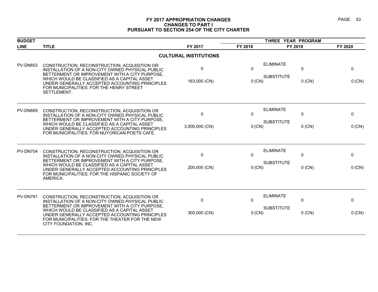# **FY 2017 APPROPRIATION CHANGES PAGE: 53 CHANGES TO PART I PURSUANT TO SECTION 254 OF THE CITY CHARTER**

| <b>BUDGET</b>   |                                                                                                                                                                                                                                                      |                              |                        |                                       |               |             |
|-----------------|------------------------------------------------------------------------------------------------------------------------------------------------------------------------------------------------------------------------------------------------------|------------------------------|------------------------|---------------------------------------|---------------|-------------|
| <b>LINE</b>     | <b>TITLE</b>                                                                                                                                                                                                                                         | FY 2017                      | FY 2018                | FY 2019                               |               | FY 2020     |
|                 |                                                                                                                                                                                                                                                      | <b>CULTURAL INSTITUTIONS</b> |                        |                                       |               |             |
| <b>PV-DN653</b> | CONSTRUCTION, RECONSTRUCTION, ACQUISITION OR<br>INSTALLATION OF A NON-CITY OWNED PHYSICAL PUBLIC<br>BETTERMENT OR IMPROVEMENT WITH A CITY PURPOSE,<br>WHICH WOULD BE CLASSIFIED AS A CAPITAL ASSET<br>UNDER GENERALLY ACCEPTED ACCOUNTING PRINCIPLES | 0<br>163,000 (CN)            | $\mathbf{0}$<br>0 (CN) | <b>ELIMINATE</b><br><b>SUBSTITUTE</b> | 0<br>$0$ (CN) | 0<br>0 (CN) |
|                 | FOR MUNICIPALITIES; FOR THE HENRY STREET<br>SETTLEMENT.                                                                                                                                                                                              |                              |                        |                                       |               |             |
| PV-DN669        | CONSTRUCTION, RECONSTRUCTION, ACQUISITION OR<br>INSTALLATION OF A NON-CITY OWNED PHYSICAL PUBLIC<br>BETTERMENT OR IMPROVEMENT WITH A CITY PURPOSE,                                                                                                   | 0                            | $\mathbf{0}$           | <b>ELIMINATE</b><br><b>SUBSTITUTE</b> | 0             | 0           |
|                 | WHICH WOULD BE CLASSIFIED AS A CAPITAL ASSET<br>UNDER GENERALLY ACCEPTED ACCOUNTING PRINCIPLES<br>FOR MUNICIPALITIES; FOR NUYORICAN POETS CAFE.                                                                                                      | 3,000,000 (CN)               | $0$ (CN)               |                                       | $0$ (CN)      | 0 (CN)      |
| PV-DN704        | CONSTRUCTION, RECONSTRUCTION, ACQUISITION OR<br>INSTALLATION OF A NON-CITY OWNED PHYSICAL PUBLIC<br>BETTERMENT OR IMPROVEMENT WITH A CITY PURPOSE,                                                                                                   | $\Omega$                     | $\Omega$               | <b>ELIMINATE</b><br><b>SUBSTITUTE</b> | $\Omega$      | 0           |
|                 | WHICH WOULD BE CLASSIFIED AS A CAPITAL ASSET<br>UNDER GENERALLY ACCEPTED ACCOUNTING PRINCIPLES<br>FOR MUNICIPALITIES; FOR THE HISPANIC SOCIETY OF<br>AMERICA.                                                                                        | 200,000 (CN)                 | $0$ (CN)               |                                       | $0$ (CN)      | 0 (CN)      |
| PV-DN791        | CONSTRUCTION, RECONSTRUCTION, ACQUISITION OR<br>INSTALLATION OF A NON-CITY OWNED PHYSICAL PUBLIC<br>BETTERMENT OR IMPROVEMENT WITH A CITY PURPOSE,                                                                                                   | $\mathbf 0$                  | $\Omega$               | <b>ELIMINATE</b>                      | 0             | 0           |
|                 | WHICH WOULD BE CLASSIFIED AS A CAPITAL ASSET<br>UNDER GENERALLY ACCEPTED ACCOUNTING PRINCIPLES<br>FOR MUNICIPALITIES; FOR THE THEATER FOR THE NEW<br>CITY FOUNDATION, INC.                                                                           | 300,000 (CN)                 | $0$ (CN)               | <b>SUBSTITUTE</b>                     | $0$ (CN)      | 0 (CN)      |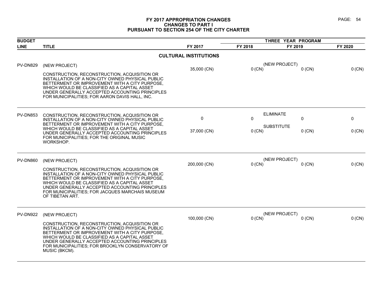# **FY 2017 APPROPRIATION CHANGES PAGE: 54 CHANGES TO PART I PURSUANT TO SECTION 254 OF THE CITY CHARTER**

| <b>BUDGET</b>   |                                                                                                                                                                                                                                                                                                                            |                              | THREE YEAR PROGRAM |                               |          |
|-----------------|----------------------------------------------------------------------------------------------------------------------------------------------------------------------------------------------------------------------------------------------------------------------------------------------------------------------------|------------------------------|--------------------|-------------------------------|----------|
| <b>LINE</b>     | <b>TITLE</b>                                                                                                                                                                                                                                                                                                               | FY 2017                      | FY 2018            | FY 2019                       | FY 2020  |
|                 |                                                                                                                                                                                                                                                                                                                            | <b>CULTURAL INSTITUTIONS</b> |                    |                               |          |
| <b>PV-DN829</b> | (NEW PROJECT)                                                                                                                                                                                                                                                                                                              | 35,000 (CN)                  | $0$ (CN)           | (NEW PROJECT)<br>$0$ (CN)     | 0 (CN)   |
|                 | CONSTRUCTION, RECONSTRUCTION, ACQUISITION OR<br>INSTALLATION OF A NON-CITY OWNED PHYSICAL PUBLIC<br>BETTERMENT OR IMPROVEMENT WITH A CITY PURPOSE,<br>WHICH WOULD BE CLASSIFIED AS A CAPITAL ASSET<br>UNDER GENERALLY ACCEPTED ACCOUNTING PRINCIPLES<br>FOR MUNICIPALITIES; FOR AARON DAVIS HALL, INC.                     |                              |                    |                               |          |
| PV-DN853        | CONSTRUCTION, RECONSTRUCTION, ACQUISITION OR                                                                                                                                                                                                                                                                               |                              |                    | <b>ELIMINATE</b>              |          |
|                 | INSTALLATION OF A NON-CITY OWNED PHYSICAL PUBLIC<br>BETTERMENT OR IMPROVEMENT WITH A CITY PURPOSE,                                                                                                                                                                                                                         | 0                            | $\Omega$           | $\mathbf{0}$                  | 0        |
|                 | WHICH WOULD BE CLASSIFIED AS A CAPITAL ASSET<br>UNDER GENERALLY ACCEPTED ACCOUNTING PRINCIPLES<br>FOR MUNICIPALITIES; FOR THE ORIGINAL MUSIC<br>WORKSHOP.                                                                                                                                                                  | 37,000 (CN)                  | $0$ (CN)           | <b>SUBSTITUTE</b><br>$0$ (CN) | $0$ (CN) |
| <b>PV-DN860</b> | (NEW PROJECT)                                                                                                                                                                                                                                                                                                              |                              |                    | (NEW PROJECT)                 |          |
|                 | CONSTRUCTION, RECONSTRUCTION, ACQUISITION OR<br>INSTALLATION OF A NON-CITY OWNED PHYSICAL PUBLIC<br>BETTERMENT OR IMPROVEMENT WITH A CITY PURPOSE,<br>WHICH WOULD BE CLASSIFIED AS A CAPITAL ASSET<br>UNDER GENERALLY ACCEPTED ACCOUNTING PRINCIPLES<br>FOR MUNICIPALITIES; FOR JACQUES MARCHAIS MUSEUM<br>OF TIBETAN ART. | 200,000 (CN)                 | $0$ (CN)           | $0$ (CN)                      | 0 (CN)   |
| <b>PV-DN922</b> | (NEW PROJECT)                                                                                                                                                                                                                                                                                                              |                              |                    | (NEW PROJECT)                 |          |
|                 | CONSTRUCTION, RECONSTRUCTION, ACQUISITION OR<br>INSTALLATION OF A NON-CITY OWNED PHYSICAL PUBLIC<br>BETTERMENT OR IMPROVEMENT WITH A CITY PURPOSE,<br>WHICH WOULD BE CLASSIFIED AS A CAPITAL ASSET<br>UNDER GENERALLY ACCEPTED ACCOUNTING PRINCIPLES<br>FOR MUNICIPALITIES; FOR BROOKLYN CONSERVATORY OF<br>MUSIC (BKCM).  | 100,000 (CN)                 | $0$ (CN)           | $0$ (CN)                      | $0$ (CN) |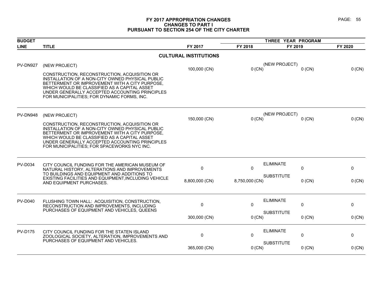# **FY 2017 APPROPRIATION CHANGES PAGE: 55 CHANGES TO PART I PURSUANT TO SECTION 254 OF THE CITY CHARTER**

| <b>BUDGET</b>  |                                                                                                                                                                                                                                                                                                     |                              | THREE YEAR PROGRAM |                                  |         |
|----------------|-----------------------------------------------------------------------------------------------------------------------------------------------------------------------------------------------------------------------------------------------------------------------------------------------------|------------------------------|--------------------|----------------------------------|---------|
| <b>LINE</b>    | <b>TITLE</b>                                                                                                                                                                                                                                                                                        | FY 2017                      | FY 2018            | FY 2019                          | FY 2020 |
|                |                                                                                                                                                                                                                                                                                                     | <b>CULTURAL INSTITUTIONS</b> |                    |                                  |         |
| PV-DN927       | (NEW PROJECT)                                                                                                                                                                                                                                                                                       | 100,000 (CN)                 | $0$ (CN)           | (NEW PROJECT)<br>$0$ (CN)        | 0 (CN)  |
|                | CONSTRUCTION, RECONSTRUCTION, ACQUISITION OR<br>INSTALLATION OF A NON-CITY OWNED PHYSICAL PUBLIC<br>BETTERMENT OR IMPROVEMENT WITH A CITY PURPOSE,<br>WHICH WOULD BE CLASSIFIED AS A CAPITAL ASSET<br>UNDER GENERALLY ACCEPTED ACCOUNTING PRINCIPLES<br>FOR MUNICIPALITIES; FOR DYNAMIC FORMS, INC. |                              |                    |                                  |         |
| PV-DN948       | (NEW PROJECT)                                                                                                                                                                                                                                                                                       |                              |                    | (NEW PROJECT)                    |         |
|                | CONSTRUCTION, RECONSTRUCTION, ACQUISITION OR<br>INSTALLATION OF A NON-CITY OWNED PHYSICAL PUBLIC<br>BETTERMENT OR IMPROVEMENT WITH A CITY PURPOSE,<br>WHICH WOULD BE CLASSIFIED AS A CAPITAL ASSET<br>UNDER GENERALLY ACCEPTED ACCOUNTING PRINCIPLES<br>FOR MUNICIPALITIES; FOR SPACEWORKS NYC INC. | 150,000 (CN)                 | $0$ (CN)           | $0$ (CN)                         | 0 (CN)  |
| <b>PV-D034</b> | CITY COUNCIL FUNDING FOR THE AMERICAN MUSEUM OF<br>NATURAL HISTORY, ALTERATIONS AND IMPROVEMENTS<br>TO BUILDINGS AND EQUIPMENT AND ADDITIONS TO                                                                                                                                                     | $\mathbf 0$                  | $\mathbf{0}$       | <b>ELIMINATE</b><br>0            | 0       |
|                | EXISTING FACILITIES AND EQUIPMENT, INCLUDING VEHICLE<br>AND EQUIPMENT PURCHASES.                                                                                                                                                                                                                    | 8,800,000 (CN)               | 8,750,000 (CN)     | <b>SUBSTITUTE</b><br>$0$ (CN)    | 0 (CN)  |
| <b>PV-D040</b> | FLUSHING TOWN HALL: ACQUISITION, CONSTRUCTION,<br>RECONSTRUCTION AND IMPROVEMENTS, INCLUDING                                                                                                                                                                                                        | $\mathbf 0$                  | $\mathbf{0}$       | <b>ELIMINATE</b><br>$\mathbf{0}$ | 0       |
|                | PURCHASES OF EQUIPMENT AND VEHICLES, QUEENS                                                                                                                                                                                                                                                         | 300,000 (CN)                 | $0$ (CN)           | <b>SUBSTITUTE</b><br>$0$ (CN)    | 0 (CN)  |
| <b>PV-D175</b> | CITY COUNCIL FUNDING FOR THE STATEN ISLAND<br>ZOOLOGICAL SOCIETY, ALTERATION, IMPROVEMENTS AND                                                                                                                                                                                                      | 0                            | 0                  | <b>ELIMINATE</b><br>0            | 0       |
|                | PURCHASES OF EQUIPMENT AND VEHICLES.                                                                                                                                                                                                                                                                | 365,000 (CN)                 | $0$ (CN)           | <b>SUBSTITUTE</b><br>$0$ (CN)    | 0 (CN)  |
|                |                                                                                                                                                                                                                                                                                                     |                              |                    |                                  |         |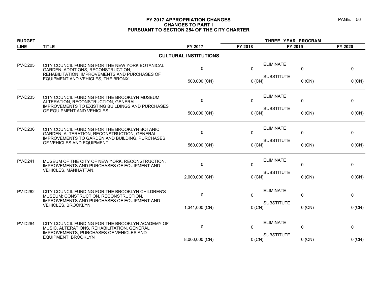# **FY 2017 APPROPRIATION CHANGES PAGE: 56 CHANGES TO PART I PURSUANT TO SECTION 254 OF THE CITY CHARTER**

| <b>BUDGET</b>  |                                                                                                                                        |                              |              | THREE YEAR PROGRAM |          |          |
|----------------|----------------------------------------------------------------------------------------------------------------------------------------|------------------------------|--------------|--------------------|----------|----------|
| <b>LINE</b>    | <b>TITLE</b>                                                                                                                           | FY 2017                      | FY 2018      | FY 2019            |          | FY 2020  |
|                |                                                                                                                                        | <b>CULTURAL INSTITUTIONS</b> |              |                    |          |          |
| <b>PV-D205</b> | CITY COUNCIL FUNDING FOR THE NEW YORK BOTANICAL<br>GARDEN, ADDITIONS, RECONSTRUCTION,<br>REHABILITATION, IMPROVEMENTS AND PURCHASES OF | 0                            | $\mathbf{0}$ | <b>ELIMINATE</b>   | 0        | 0        |
|                | EQUIPMENT AND VEHICLES, THE BRONX.                                                                                                     | 500,000 (CN)                 | $0$ (CN)     | <b>SUBSTITUTE</b>  | $0$ (CN) | 0 (CN)   |
| <b>PV-D235</b> | CITY COUNCIL FUNDING FOR THE BROOKLYN MUSEUM,<br>ALTERATION, RECONSTRUCTION, GENERAL                                                   | $\mathbf{0}$                 | $\mathbf{0}$ | <b>ELIMINATE</b>   | 0        | 0        |
|                | IMPROVEMENTS TO EXISTING BUILDINGS AND PURCHASES<br>OF EQUIPMENT AND VEHICLES                                                          | 500,000 (CN)                 | $0$ (CN)     | <b>SUBSTITUTE</b>  | $0$ (CN) | 0 (CN)   |
| <b>PV-D236</b> | CITY COUNCIL FUNDING FOR THE BROOKLYN BOTANIC<br>GARDEN, ALTERATION, RECONSTRUCTION, GENERAL                                           | 0                            | $\Omega$     | <b>ELIMINATE</b>   | 0        | 0        |
|                | IMPROVEMENTS TO GARDEN AND BUILDING, PURCHASES<br>OF VEHICLES AND EQUIPMENT.                                                           | 560,000 (CN)                 | $0$ (CN)     | <b>SUBSTITUTE</b>  | $0$ (CN) | $0$ (CN) |
| <b>PV-D241</b> | MUSEUM OF THE CITY OF NEW YORK, RECONSTRUCTION,<br>IMPROVEMENTS AND PURCHASES OF EQUIPMENT AND                                         | 0                            | $\Omega$     | <b>ELIMINATE</b>   | 0        | 0        |
|                | VEHICLES, MANHATTAN.                                                                                                                   | 2,000,000 (CN)               | $0$ (CN)     | <b>SUBSTITUTE</b>  | $0$ (CN) | 0 (CN)   |
| <b>PV-D262</b> | CITY COUNCIL FUNDING FOR THE BROOKLYN CHILDREN'S<br>MUSEUM: CONSTRUCTION, RECONSTRUCTION,                                              | $\Omega$                     | $\Omega$     | <b>ELIMINATE</b>   | $\Omega$ | 0        |
|                | IMPROVEMENTS AND PURCHASES OF EQUIPMENT AND<br>VEHICLES, BROOKLYN.                                                                     | 1,341,000 (CN)               | $0$ (CN)     | <b>SUBSTITUTE</b>  | $0$ (CN) | 0 (CN)   |
| <b>PV-D264</b> | CITY COUNCIL FUNDING FOR THE BROOKLYN ACADEMY OF<br>MUSIC, ALTERATIONS, REHABILITATION, GENERAL                                        | 0                            | $\mathbf{0}$ | <b>ELIMINATE</b>   | 0        | 0        |
|                | IMPROVEMENTS, PURCHASES OF VEHICLES AND<br>EQUIPMENT, BROOKLYN                                                                         | 8,000,000 (CN)               | $0$ (CN)     | <b>SUBSTITUTE</b>  | $0$ (CN) | 0 (CN)   |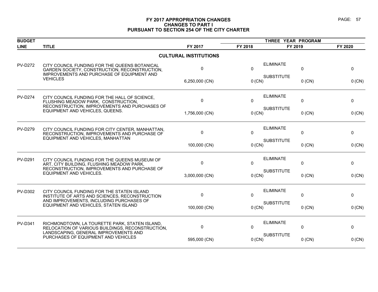# **FY 2017 APPROPRIATION CHANGES PAGE: 57 CHANGES TO PART I PURSUANT TO SECTION 254 OF THE CITY CHARTER**

| <b>BUDGET</b>  |                                                                                                                                              |                              | THREE YEAR PROGRAM |                   |          |          |
|----------------|----------------------------------------------------------------------------------------------------------------------------------------------|------------------------------|--------------------|-------------------|----------|----------|
| <b>LINE</b>    | <b>TITLE</b>                                                                                                                                 | FY 2017                      | FY 2018            | FY 2019           |          | FY 2020  |
|                |                                                                                                                                              | <b>CULTURAL INSTITUTIONS</b> |                    |                   |          |          |
| <b>PV-D272</b> | CITY COUNCIL FUNDING FOR THE QUEENS BOTANICAL<br>GARDEN SOCIETY, CONSTRUCTION, RECONSTRUCTION,<br>IMPROVEMENTS AND PURCHASE OF EQUIPMENT AND | 0                            | $\Omega$           | <b>ELIMINATE</b>  | $\Omega$ | 0        |
|                | <b>VEHICLES</b>                                                                                                                              | 6,250,000 (CN)               | 0 (CN)             | <b>SUBSTITUTE</b> | $0$ (CN) | 0 (CN)   |
| <b>PV-D274</b> | CITY COUNCIL FUNDING FOR THE HALL OF SCIENCE,<br>FLUSHING MEADOW PARK, CONSTRUCTION,<br>RECONSTRUCTION, IMPROVEMENTS AND PURCHASES OF        | $\mathbf 0$                  | $\Omega$           | <b>ELIMINATE</b>  | 0        | 0        |
|                | EQUIPMENT AND VEHICLES, QUEENS.                                                                                                              | 1,756,000 (CN)               | 0 (CN)             | <b>SUBSTITUTE</b> | $0$ (CN) | 0 (CN)   |
| <b>PV-D279</b> | CITY COUNCIL FUNDING FOR CITY CENTER, MANHATTAN,<br>RECONSTRUCTION, IMPROVEMENTS AND PURCHASE OF                                             | 0                            | $\mathbf{0}$       | <b>ELIMINATE</b>  | 0        | 0        |
|                | EQUIPMENT AND VEHICLES, MANHATTAN                                                                                                            | 100,000 (CN)                 | 0 (CN)             | <b>SUBSTITUTE</b> | $0$ (CN) | $0$ (CN) |
| <b>PV-D291</b> | CITY COUNCIL FUNDING FOR THE QUEENS MUSEUM OF<br>ART, CITY BUILDING, FLUSHING MEADOW PARK,                                                   | 0                            | $\mathbf{0}$       | <b>ELIMINATE</b>  | 0        | 0        |
|                | RECONSTRUCTION, IMPROVEMENTS AND PURCHASE OF<br><b>EQUIPMENT AND VEHICLES.</b>                                                               | 3,000,000 (CN)               | 0 (CN)             | <b>SUBSTITUTE</b> | $0$ (CN) | 0 (CN)   |
| <b>PV-D302</b> | CITY COUNCIL FUNDING FOR THE STATEN ISLAND<br>INSTITUTE OF ARTS AND SCIENCES, RECONSTRUCTION                                                 | $\mathbf{0}$                 | $\Omega$           | <b>ELIMINATE</b>  | 0        | 0        |
|                | AND IMPROVEMENTS, INCLUDING PURCHASES OF<br>EQUIPMENT AND VEHICLES, STATEN ISLAND                                                            | 100,000 (CN)                 | 0 (CN)             | <b>SUBSTITUTE</b> | $0$ (CN) | 0 (CN)   |
| <b>PV-D341</b> | RICHMONDTOWN, LA TOURETTE PARK, STATEN ISLAND,<br>RELOCATION OF VARIOUS BUILDINGS, RECONSTRUCTION,                                           | $\mathbf 0$                  | $\Omega$           | <b>ELIMINATE</b>  | 0        | 0        |
|                | LANDSCAPING, GENERAL IMPROVEMENTS AND<br>PURCHASES OF EQUIPMENT AND VEHICLES                                                                 | 595,000 (CN)                 | $0$ (CN)           | <b>SUBSTITUTE</b> | $0$ (CN) | $0$ (CN) |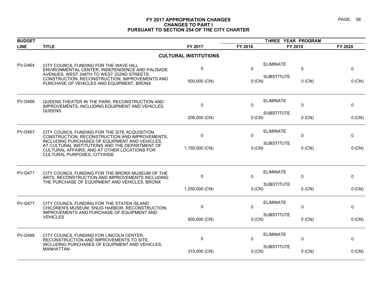# **FY 2017 APPROPRIATION CHANGES PAGE: 58 CHANGES TO PART I PURSUANT TO SECTION 254 OF THE CITY CHARTER**

| <b>BUDGET</b>  |                                                                                                                                                                                        |                              | THREE YEAR PROGRAM |                   |              |              |
|----------------|----------------------------------------------------------------------------------------------------------------------------------------------------------------------------------------|------------------------------|--------------------|-------------------|--------------|--------------|
| <b>LINE</b>    | <b>TITLE</b>                                                                                                                                                                           | FY 2017                      | FY 2018            | FY 2019           |              | FY 2020      |
|                |                                                                                                                                                                                        | <b>CULTURAL INSTITUTIONS</b> |                    |                   |              |              |
| <b>PV-D464</b> | CITY COUNCIL FUNDING FOR THE WAVE HILL<br>ENVIRONMENTAL CENTER, INDEPENDENCE AND PALISADE<br>AVENUES, WEST 248TH TO WEST 252ND STREETS,                                                | 0                            | $\mathbf{0}$       | <b>ELIMINATE</b>  | 0            | $\Omega$     |
|                | CONSTRUCTION, RECONSTRUCTION, IMPROVEMENTS AND<br>PURCHASE OF VEHICLES AND EQUIPMENT, BRONX                                                                                            | 500,000 (CN)                 | 0 (CN)             | <b>SUBSTITUTE</b> | $0$ (CN)     | 0 (CN)       |
| <b>PV-D466</b> | QUEENS THEATER IN THE PARK: RECONSTRUCTION AND<br>IMPROVEMENTS, INCLUDING EQUIPMENT AND VEHICLES,                                                                                      | 0                            | $\Omega$           | <b>ELIMINATE</b>  | 0            | $\Omega$     |
|                | <b>QUEENS</b>                                                                                                                                                                          | 206,000 (CN)                 | 0 (CN)             | <b>SUBSTITUTE</b> | $0$ (CN)     | $0$ (CN)     |
| <b>PV-D467</b> | CITY COUNCIL FUNDING FOR THE SITE ACQUISITION.<br>CONSTRUCTION, RECONSTRUCTION AND IMPROVEMENTS,                                                                                       | 0                            | $\Omega$           | <b>ELIMINATE</b>  | 0            | 0            |
|                | INCLUDING PURCHASES OF EQUIPMENT AND VEHICLES,<br>AT CULTURAL INSTITUTIONS AND THE DEPARTMENT OF<br>CULTURAL AFFAIRS, AND AT OTHER LOCATIONS FOR<br><b>CULTURAL PURPOSES, CITYWIDE</b> | 1,150,000 (CN)               | 0 (CN)             | <b>SUBSTITUTE</b> | $0$ (CN)     | 0 (CN)       |
| <b>PV-D471</b> | CITY COUNCIL FUNDING FOR THE BRONX MUSEUM OF THE<br>ARTS, RECONSTRUCTION AND IMPROVEMENTS INCLUDING<br>THE PURCHASE OF EQUIPMENT AND VEHICLES, BRONX                                   | 0                            | $\Omega$           | <b>ELIMINATE</b>  | 0            | $\mathbf{0}$ |
|                |                                                                                                                                                                                        | 1,250,000 (CN)               | 0 (CN)             | <b>SUBSTITUTE</b> | $0$ (CN)     | 0 (CN)       |
| <b>PV-D477</b> | CITY COUNCIL FUNDING FOR THE STATEN ISLAND<br>CHILDREN'S MUSEUM, SNUG HARBOR, RECONSTRUCTION,                                                                                          | 0                            | $\Omega$           | <b>ELIMINATE</b>  | $\mathbf{0}$ | $\Omega$     |
|                | IMPROVEMENTS AND PURCHASE OF EQUIPMENT AND<br><b>VEHICLES</b>                                                                                                                          | 500,000 (CN)                 | $0$ (CN)           | <b>SUBSTITUTE</b> | $0$ (CN)     | $0$ (CN)     |
| <b>PV-D489</b> | CITY COUNCIL FUNDING FOR LINCOLN CENTER,<br>RECONSTRUCTION AND IMPROVEMENTS TO SITE,                                                                                                   | $\mathbf 0$                  | $\Omega$           | <b>ELIMINATE</b>  | $\mathbf 0$  | 0            |
|                | INCLUDING PURCHASES OF EQUIPMENT AND VEHICLES.<br><b>MANHATTAN</b>                                                                                                                     | 315,000 (CN)                 | $0$ (CN)           | <b>SUBSTITUTE</b> | $0$ (CN)     | $0$ (CN)     |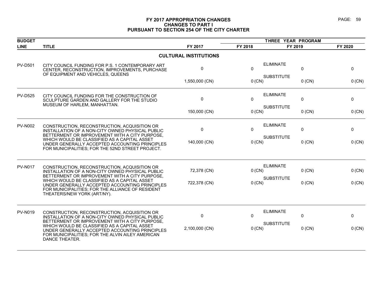# **FY 2017 APPROPRIATION CHANGES PAGE: 59 CHANGES TO PART I PURSUANT TO SECTION 254 OF THE CITY CHARTER**

| <b>BUDGET</b>  |                                                                                                                                                                                                                               |                              | THREE YEAR PROGRAM            |                   |          |          |
|----------------|-------------------------------------------------------------------------------------------------------------------------------------------------------------------------------------------------------------------------------|------------------------------|-------------------------------|-------------------|----------|----------|
| <b>LINE</b>    | <b>TITLE</b>                                                                                                                                                                                                                  | FY 2017                      | FY 2018                       | FY 2019           |          | FY 2020  |
|                |                                                                                                                                                                                                                               | <b>CULTURAL INSTITUTIONS</b> |                               |                   |          |          |
| <b>PV-D501</b> | CITY COUNCIL FUNDING FOR P.S. 1 CONTEMPORARY ART<br>CENTER, RECONSTRUCTION, IMPROVEMENTS, PURCHASE<br>OF EQUIPMENT AND VEHICLES, QUEENS                                                                                       | 0                            | $\mathbf{0}$                  | <b>ELIMINATE</b>  | 0        | 0        |
|                |                                                                                                                                                                                                                               | 1,550,000 (CN)               | 0 (CN)                        | <b>SUBSTITUTE</b> | $0$ (CN) | 0 (CN)   |
| <b>PV-D525</b> | CITY COUNCIL FUNDING FOR THE CONSTRUCTION OF<br>SCULPTURE GARDEN AND GALLERY FOR THE STUDIO<br>MUSEUM OF HARLEM, MANHATTAN.                                                                                                   | 0                            | $\mathbf{0}$                  | <b>ELIMINATE</b>  | 0        | 0        |
|                |                                                                                                                                                                                                                               | 150,000 (CN)                 | $0$ (CN)                      | <b>SUBSTITUTE</b> | $0$ (CN) | $0$ (CN) |
| <b>PV-N002</b> | CONSTRUCTION, RECONSTRUCTION, ACQUISITION OR<br>INSTALLATION OF A NON-CITY OWNED PHYSICAL PUBLIC<br>BETTERMENT OR IMPROVEMENT WITH A CITY PURPOSE,                                                                            | $\pmb{0}$                    | $\mathbf{0}$                  | <b>ELIMINATE</b>  | 0        | 0        |
|                | WHICH WOULD BE CLASSIFIED AS A CAPITAL ASSET<br>UNDER GENERALLY ACCEPTED ACCOUNTING PRINCIPLES<br>FOR MUNICIPALITIES; FOR THE 52ND STREET PROJECT.                                                                            | 140,000 (CN)                 | <b>SUBSTITUTE</b><br>$0$ (CN) |                   | $0$ (CN) | $0$ (CN) |
| <b>PV-N017</b> | CONSTRUCTION, RECONSTRUCTION, ACQUISITION OR<br>INSTALLATION OF A NON-CITY OWNED PHYSICAL PUBLIC<br>BETTERMENT OR IMPROVEMENT WITH A CITY PURPOSE,                                                                            | 72,378 (CN)                  | 0 (CN)                        | <b>ELIMINATE</b>  | $0$ (CN) | 0 (CN)   |
|                | WHICH WOULD BE CLASSIFIED AS A CAPITAL ASSET<br>UNDER GENERALLY ACCEPTED ACCOUNTING PRINCIPLES<br>FOR MUNICIPALITIES; FOR THE ALLIANCE OF RESIDENT<br>THEATERS/NEW YORK (ART/NY).                                             | 722,378 (CN)                 | 0 (CN)                        | <b>SUBSTITUTE</b> | $0$ (CN) | 0 (CN)   |
| <b>PV-N019</b> | CONSTRUCTION, RECONSTRUCTION, ACQUISITION OR<br>INSTALLATION OF A NON-CITY OWNED PHYSICAL PUBLIC                                                                                                                              | 0                            | $\mathbf{0}$                  | <b>ELIMINATE</b>  | 0        | 0        |
|                | BETTERMENT OR IMPROVEMENT WITH A CITY PURPOSE,<br>WHICH WOULD BE CLASSIFIED AS A CAPITAL ASSET<br>UNDER GENERALLY ACCEPTED ACCOUNTING PRINCIPLES<br>FOR MUNICIPALITIES; FOR THE ALVIN AILEY AMERICAN<br><b>DANCE THEATER.</b> | 2,100,000 (CN)               | 0 (CN)                        | <b>SUBSTITUTE</b> | $0$ (CN) | $0$ (CN) |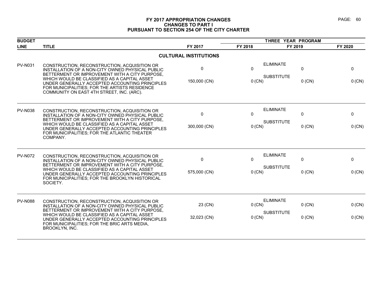# **FY 2017 APPROPRIATION CHANGES PAGE: 60 CHANGES TO PART I PURSUANT TO SECTION 254 OF THE CITY CHARTER**

| <b>BUDGET</b>  |                                                                                                                                                                                                                                                                                                                                                    |                              |                  |                                                               |                  |
|----------------|----------------------------------------------------------------------------------------------------------------------------------------------------------------------------------------------------------------------------------------------------------------------------------------------------------------------------------------------------|------------------------------|------------------|---------------------------------------------------------------|------------------|
| <b>LINE</b>    | <b>TITLE</b>                                                                                                                                                                                                                                                                                                                                       | FY 2017                      | FY 2018          | FY 2019                                                       | FY 2020          |
|                |                                                                                                                                                                                                                                                                                                                                                    | <b>CULTURAL INSTITUTIONS</b> |                  |                                                               |                  |
| <b>PV-N031</b> | CONSTRUCTION, RECONSTRUCTION, ACQUISITION OR<br>INSTALLATION OF A NON-CITY OWNED PHYSICAL PUBLIC<br>BETTERMENT OR IMPROVEMENT WITH A CITY PURPOSE,<br>WHICH WOULD BE CLASSIFIED AS A CAPITAL ASSET<br>UNDER GENERALLY ACCEPTED ACCOUNTING PRINCIPLES<br>FOR MUNICIPALITIES; FOR THE ARTISTS RESIDENCE<br>COMMUNITY ON EAST 4TH STREET, INC. (ARC). | 0<br>150,000 (CN)            | 0<br>0 (CN)      | <b>ELIMINATE</b><br>0<br><b>SUBSTITUTE</b><br>$0$ (CN)        | 0<br>0 (CN)      |
| <b>PV-N038</b> | CONSTRUCTION, RECONSTRUCTION, ACQUISITION OR<br>INSTALLATION OF A NON-CITY OWNED PHYSICAL PUBLIC<br>BETTERMENT OR IMPROVEMENT WITH A CITY PURPOSE.<br>WHICH WOULD BE CLASSIFIED AS A CAPITAL ASSET<br>UNDER GENERALLY ACCEPTED ACCOUNTING PRINCIPLES<br>FOR MUNICIPALITIES; FOR THE ATLANTIC THEATER<br>COMPANY.                                   | $\pmb{0}$<br>300,000 (CN)    | 0<br>0 (CN)      | <b>ELIMINATE</b><br>0<br><b>SUBSTITUTE</b><br>$0$ (CN)        | 0<br>0 (CN)      |
| <b>PV-N072</b> | CONSTRUCTION, RECONSTRUCTION, ACQUISITION OR<br>INSTALLATION OF A NON-CITY OWNED PHYSICAL PUBLIC<br>BETTERMENT OR IMPROVEMENT WITH A CITY PURPOSE,<br>WHICH WOULD BE CLASSIFIED AS A CAPITAL ASSET<br>UNDER GENERALLY ACCEPTED ACCOUNTING PRINCIPLES<br>FOR MUNICIPALITIES; FOR THE BROOKLYN HISTORICAL<br>SOCIETY.                                | 0<br>575,000 (CN)            | 0<br>0 (CN)      | <b>ELIMINATE</b><br>0<br><b>SUBSTITUTE</b><br>$0$ (CN)        | 0<br>0 (CN)      |
| <b>PV-N088</b> | CONSTRUCTION, RECONSTRUCTION, ACQUISITION OR<br>INSTALLATION OF A NON-CITY OWNED PHYSICAL PUBLIC<br>BETTERMENT OR IMPROVEMENT WITH A CITY PURPOSE,<br>WHICH WOULD BE CLASSIFIED AS A CAPITAL ASSET<br>UNDER GENERALLY ACCEPTED ACCOUNTING PRINCIPLES<br>FOR MUNICIPALITIES; FOR THE BRIC ARTS MEDIA,<br><b>BROOKLYN, INC.</b>                      | 23 (CN)<br>32,023 (CN)       | 0 (CN)<br>0 (CN) | <b>ELIMINATE</b><br>$0$ (CN)<br><b>SUBSTITUTE</b><br>$0$ (CN) | 0 (CN)<br>0 (CN) |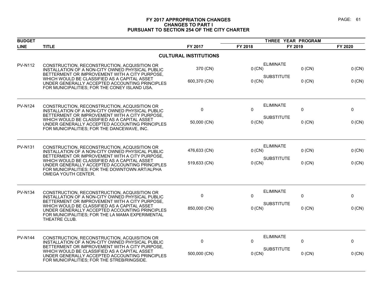# **FY 2017 APPROPRIATION CHANGES PAGE: 61 CHANGES TO PART I PURSUANT TO SECTION 254 OF THE CITY CHARTER**

| <b>BUDGET</b>  |                                                                                                                                                                                                                           |                              |              |                                 |          |
|----------------|---------------------------------------------------------------------------------------------------------------------------------------------------------------------------------------------------------------------------|------------------------------|--------------|---------------------------------|----------|
| <b>LINE</b>    | <b>TITLE</b>                                                                                                                                                                                                              | FY 2017                      | FY 2018      | FY 2019                         | FY 2020  |
|                |                                                                                                                                                                                                                           | <b>CULTURAL INSTITUTIONS</b> |              |                                 |          |
| <b>PV-N112</b> | CONSTRUCTION, RECONSTRUCTION, ACQUISITION OR<br>INSTALLATION OF A NON-CITY OWNED PHYSICAL PUBLIC<br>BETTERMENT OR IMPROVEMENT WITH A CITY PURPOSE,                                                                        | 370 (CN)                     | $0$ (CN)     | <b>ELIMINATE</b><br>$0$ (CN)    | $0$ (CN) |
|                | WHICH WOULD BE CLASSIFIED AS A CAPITAL ASSET<br>UNDER GENERALLY ACCEPTED ACCOUNTING PRINCIPLES<br>FOR MUNICIPALITIES; FOR THE CONEY ISLAND USA.                                                                           | 600,370 (CN)                 | 0 (CN)       | <b>SUBSTITUTE</b><br>$0$ (CN)   | 0 (CN)   |
| <b>PV-N124</b> | CONSTRUCTION, RECONSTRUCTION, ACQUISITION OR<br>INSTALLATION OF A NON-CITY OWNED PHYSICAL PUBLIC<br>BETTERMENT OR IMPROVEMENT WITH A CITY PURPOSE,                                                                        | 0                            | $\Omega$     | <b>ELIMINATE</b><br>$\pmb{0}$   | 0        |
|                | WHICH WOULD BE CLASSIFIED AS A CAPITAL ASSET<br>UNDER GENERALLY ACCEPTED ACCOUNTING PRINCIPLES<br>FOR MUNICIPALITIES; FOR THE DANCEWAVE, INC.                                                                             | 50,000 (CN)                  | 0 (CN)       | <b>SUBSTITUTE</b><br>$0$ (CN)   | 0 (CN)   |
| <b>PV-N131</b> | CONSTRUCTION, RECONSTRUCTION, ACQUISITION OR<br>INSTALLATION OF A NON-CITY OWNED PHYSICAL PUBLIC                                                                                                                          | 476,633 (CN)                 | 0(CN)        | <b>ELIMINATE</b><br>$0$ (CN)    | 0 (CN)   |
|                | BETTERMENT OR IMPROVEMENT WITH A CITY PURPOSE,<br>WHICH WOULD BE CLASSIFIED AS A CAPITAL ASSET<br>UNDER GENERALLY ACCEPTED ACCOUNTING PRINCIPLES<br>FOR MUNICIPALITIES; FOR THE DOWNTOWN ART/ALPHA<br>OMEGA YOUTH CENTER. | 519,633 (CN)                 | $0$ (CN)     | <b>SUBSTITUTE</b><br>$0$ (CN)   | 0 (CN)   |
| <b>PV-N134</b> | CONSTRUCTION, RECONSTRUCTION, ACQUISITION OR<br>INSTALLATION OF A NON-CITY OWNED PHYSICAL PUBLIC                                                                                                                          | $\mathbf 0$                  | $\mathbf{0}$ | <b>ELIMINATE</b><br>$\mathbf 0$ | 0        |
|                | BETTERMENT OR IMPROVEMENT WITH A CITY PURPOSE,<br>WHICH WOULD BE CLASSIFIED AS A CAPITAL ASSET<br>UNDER GENERALLY ACCEPTED ACCOUNTING PRINCIPLES<br>FOR MUNICIPALITIES; FOR THE LA MAMA EXPERIMENTAL<br>THEATRE CLUB.     | 850,000 (CN)                 | $0$ (CN)     | <b>SUBSTITUTE</b><br>$0$ (CN)   | 0 (CN)   |
| <b>PV-N144</b> | CONSTRUCTION, RECONSTRUCTION, ACQUISITION OR<br>INSTALLATION OF A NON-CITY OWNED PHYSICAL PUBLIC<br>BETTERMENT OR IMPROVEMENT WITH A CITY PURPOSE,                                                                        | 0                            | $\mathbf{0}$ | <b>ELIMINATE</b><br>0           | 0        |
|                | WHICH WOULD BE CLASSIFIED AS A CAPITAL ASSET<br>UNDER GENERALLY ACCEPTED ACCOUNTING PRINCIPLES<br>FOR MUNICIPALITIES; FOR THE STREB/RINGSIDE.                                                                             | 500,000 (CN)                 | 0 (CN)       | <b>SUBSTITUTE</b><br>$0$ (CN)   | 0 (CN)   |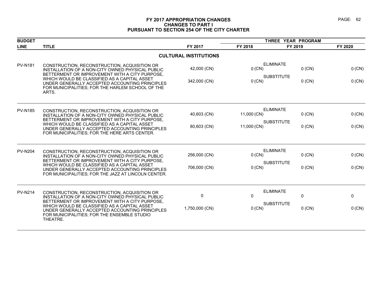# **FY 2017 APPROPRIATION CHANGES PAGE: 62 CHANGES TO PART I PURSUANT TO SECTION 254 OF THE CITY CHARTER**

| <b>BUDGET</b>  |                                                                                                                                                             |                              | THREE YEAR PROGRAM |                                                   |          |  |
|----------------|-------------------------------------------------------------------------------------------------------------------------------------------------------------|------------------------------|--------------------|---------------------------------------------------|----------|--|
| <b>LINE</b>    | <b>TITLE</b>                                                                                                                                                | FY 2017                      | FY 2018            | FY 2019                                           | FY 2020  |  |
|                |                                                                                                                                                             | <b>CULTURAL INSTITUTIONS</b> |                    |                                                   |          |  |
| <b>PV-N181</b> | CONSTRUCTION, RECONSTRUCTION, ACQUISITION OR<br>INSTALLATION OF A NON-CITY OWNED PHYSICAL PUBLIC<br>BETTERMENT OR IMPROVEMENT WITH A CITY PURPOSE.          | 42,000 (CN)                  | $0$ (CN)           | <b>ELIMINATE</b><br>$0$ (CN)                      | 0 (CN)   |  |
|                | WHICH WOULD BE CLASSIFIED AS A CAPITAL ASSET<br>UNDER GENERALLY ACCEPTED ACCOUNTING PRINCIPLES<br>FOR MUNICIPALITIES; FOR THE HARLEM SCHOOL OF THE<br>ARTS. | 342,000 (CN)                 | $0$ (CN)           | <b>SUBSTITUTE</b><br>$0$ (CN)                     | $0$ (CN) |  |
| <b>PV-N185</b> | CONSTRUCTION, RECONSTRUCTION, ACQUISITION OR<br>INSTALLATION OF A NON-CITY OWNED PHYSICAL PUBLIC<br>BETTERMENT OR IMPROVEMENT WITH A CITY PURPOSE,          | 40,603 (CN)                  | 11,000 (CN)        | <b>ELIMINATE</b><br>$0$ (CN)                      | 0 (CN)   |  |
|                | WHICH WOULD BE CLASSIFIED AS A CAPITAL ASSET<br>UNDER GENERALLY ACCEPTED ACCOUNTING PRINCIPLES<br>FOR MUNICIPALITIES; FOR THE HERE ARTS CENTER.             | 80,603 (CN)                  | 11,000 (CN)        | <b>SUBSTITUTE</b><br>$0$ (CN)                     | $0$ (CN) |  |
| <b>PV-N204</b> | CONSTRUCTION, RECONSTRUCTION, ACQUISITION OR<br>INSTALLATION OF A NON-CITY OWNED PHYSICAL PUBLIC<br>BETTERMENT OR IMPROVEMENT WITH A CITY PURPOSE.          | 256,000 (CN)                 | $0$ (CN)           | <b>ELIMINATE</b><br>$0$ (CN)<br><b>SUBSTITUTE</b> | $0$ (CN) |  |
|                | WHICH WOULD BE CLASSIFIED AS A CAPITAL ASSET<br>UNDER GENERALLY ACCEPTED ACCOUNTING PRINCIPLES<br>FOR MUNICIPALITIES; FOR THE JAZZ AT LINCOLN CENTER.       | 706,000 (CN)                 | $0$ (CN)           | $0$ (CN)                                          | $0$ (CN) |  |
| <b>PV-N214</b> | CONSTRUCTION, RECONSTRUCTION, ACQUISITION OR<br>INSTALLATION OF A NON-CITY OWNED PHYSICAL PUBLIC<br>BETTERMENT OR IMPROVEMENT WITH A CITY PURPOSE,          | 0                            | $\mathbf{0}$       | <b>ELIMINATE</b><br>0                             | 0        |  |
|                | WHICH WOULD BE CLASSIFIED AS A CAPITAL ASSET<br>UNDER GENERALLY ACCEPTED ACCOUNTING PRINCIPLES<br>FOR MUNICIPALITIES; FOR THE ENSEMBLE STUDIO<br>THEATRE.   | 1,750,000 (CN)               | $0$ (CN)           | <b>SUBSTITUTE</b><br>$0$ (CN)                     | $0$ (CN) |  |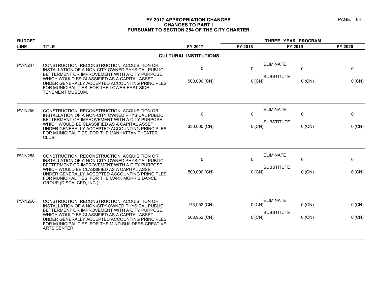# **FY 2017 APPROPRIATION CHANGES PAGE: 63 CHANGES TO PART I PURSUANT TO SECTION 254 OF THE CITY CHARTER**

| <b>BUDGET</b>  |                                                                                                                                                                                                                                                                                                                                   |                              |                        | THREE YEAR PROGRAM                    |                          |                          |  |
|----------------|-----------------------------------------------------------------------------------------------------------------------------------------------------------------------------------------------------------------------------------------------------------------------------------------------------------------------------------|------------------------------|------------------------|---------------------------------------|--------------------------|--------------------------|--|
| <b>LINE</b>    | <b>TITLE</b>                                                                                                                                                                                                                                                                                                                      | FY 2017                      | FY 2018                | FY 2019                               |                          | FY 2020                  |  |
|                |                                                                                                                                                                                                                                                                                                                                   | <b>CULTURAL INSTITUTIONS</b> |                        |                                       |                          |                          |  |
| <b>PV-N247</b> | CONSTRUCTION, RECONSTRUCTION, ACQUISITION OR<br>INSTALLATION OF A NON-CITY OWNED PHYSICAL PUBLIC<br>BETTERMENT OR IMPROVEMENT WITH A CITY PURPOSE,<br>WHICH WOULD BE CLASSIFIED AS A CAPITAL ASSET<br>UNDER GENERALLY ACCEPTED ACCOUNTING PRINCIPLES<br>FOR MUNICIPALITIES; FOR THE LOWER EAST SIDE<br><b>TENEMENT MUSEUM.</b>    | 0<br>500,000 (CN)            | 0<br>0 (CN)            | <b>ELIMINATE</b><br><b>SUBSTITUTE</b> | 0<br>$0$ (CN)            | 0<br>$0$ (CN)            |  |
| <b>PV-N256</b> | CONSTRUCTION, RECONSTRUCTION, ACQUISITION OR<br>INSTALLATION OF A NON-CITY OWNED PHYSICAL PUBLIC<br>BETTERMENT OR IMPROVEMENT WITH A CITY PURPOSE,<br>WHICH WOULD BE CLASSIFIED AS A CAPITAL ASSET<br>UNDER GENERALLY ACCEPTED ACCOUNTING PRINCIPLES<br>FOR MUNICIPALITIES; FOR THE MANHATTAN THEATER<br>CLUB.                    | 0<br>330,000 (CN)            | $\mathbf 0$<br>0 (CN)  | <b>ELIMINATE</b><br><b>SUBSTITUTE</b> | 0<br>$0$ (CN)            | 0<br>0 (CN)              |  |
| <b>PV-N258</b> | CONSTRUCTION, RECONSTRUCTION, ACQUISITION OR<br>INSTALLATION OF A NON-CITY OWNED PHYSICAL PUBLIC<br>BETTERMENT OR IMPROVEMENT WITH A CITY PURPOSE,<br>WHICH WOULD BE CLASSIFIED AS A CAPITAL ASSET<br>UNDER GENERALLY ACCEPTED ACCOUNTING PRINCIPLES<br>FOR MUNICIPALITIES: FOR THE MARK MORRIS DANCE<br>GROUP (DISCALCED, INC.). | $\mathbf{0}$<br>500,000 (CN) | $\mathbf{0}$<br>0 (CN) | <b>ELIMINATE</b><br><b>SUBSTITUTE</b> | $\mathbf{0}$<br>$0$ (CN) | $\mathbf{0}$<br>$0$ (CN) |  |
| <b>PV-N266</b> | CONSTRUCTION, RECONSTRUCTION, ACQUISITION OR<br>INSTALLATION OF A NON-CITY OWNED PHYSICAL PUBLIC<br>BETTERMENT OR IMPROVEMENT WITH A CITY PURPOSE,<br>WHICH WOULD BE CLASSIFIED AS A CAPITAL ASSET<br>UNDER GENERALLY ACCEPTED ACCOUNTING PRINCIPLES<br>FOR MUNICIPALITIES; FOR THE MIND-BUILDERS CREATIVE<br>ARTS CENTER.        | 173,952 (CN)<br>568,952 (CN) | 0 (CN)<br>0 (CN)       | <b>ELIMINATE</b><br><b>SUBSTITUTE</b> | $0$ (CN)<br>$0$ (CN)     | $0$ (CN)<br>$0$ (CN)     |  |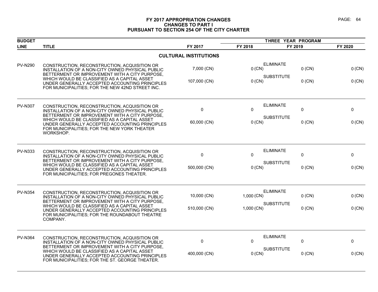# **FY 2017 APPROPRIATION CHANGES PAGE: 64 CHANGES TO PART I PURSUANT TO SECTION 254 OF THE CITY CHARTER**

| <b>BUDGET</b>  |                                                                                                                                                                                                                |                              | THREE YEAR PROGRAM                |             |          |
|----------------|----------------------------------------------------------------------------------------------------------------------------------------------------------------------------------------------------------------|------------------------------|-----------------------------------|-------------|----------|
| <b>LINE</b>    | <b>TITLE</b>                                                                                                                                                                                                   | FY 2017                      | FY 2018                           | FY 2019     | FY 2020  |
|                |                                                                                                                                                                                                                | <b>CULTURAL INSTITUTIONS</b> |                                   |             |          |
| <b>PV-N290</b> | CONSTRUCTION, RECONSTRUCTION, ACQUISITION OR<br>INSTALLATION OF A NON-CITY OWNED PHYSICAL PUBLIC<br>BETTERMENT OR IMPROVEMENT WITH A CITY PURPOSE,                                                             | 7,000 (CN)                   | <b>ELIMINATE</b><br>$0$ (CN)      | $0$ (CN)    | 0 (CN)   |
|                | WHICH WOULD BE CLASSIFIED AS A CAPITAL ASSET<br>UNDER GENERALLY ACCEPTED ACCOUNTING PRINCIPLES<br>FOR MUNICIPALITIES; FOR THE NEW 42ND STREET INC.                                                             | 107,000 (CN)                 | <b>SUBSTITUTE</b><br>$0$ (CN)     | $0$ (CN)    | 0 (CN)   |
| <b>PV-N307</b> | CONSTRUCTION, RECONSTRUCTION, ACQUISITION OR<br>INSTALLATION OF A NON-CITY OWNED PHYSICAL PUBLIC<br>BETTERMENT OR IMPROVEMENT WITH A CITY PURPOSE,                                                             | 0                            | <b>ELIMINATE</b><br>0             | 0           | 0        |
|                | WHICH WOULD BE CLASSIFIED AS A CAPITAL ASSET<br>UNDER GENERALLY ACCEPTED ACCOUNTING PRINCIPLES<br>FOR MUNICIPALITIES; FOR THE NEW YORK THEATER<br>WORKSHOP.                                                    | 60,000 (CN)                  | <b>SUBSTITUTE</b><br>$0$ (CN)     | $0$ (CN)    | 0 (CN)   |
| <b>PV-N333</b> | CONSTRUCTION, RECONSTRUCTION, ACQUISITION OR<br>INSTALLATION OF A NON-CITY OWNED PHYSICAL PUBLIC                                                                                                               | $\mathbf 0$                  | <b>ELIMINATE</b><br>$\mathbf{0}$  | 0           | 0        |
|                | BETTERMENT OR IMPROVEMENT WITH A CITY PURPOSE,<br>WHICH WOULD BE CLASSIFIED AS A CAPITAL ASSET<br>UNDER GENERALLY ACCEPTED ACCOUNTING PRINCIPLES<br>FOR MUNICIPALITIES; FOR PREGONES THEATER.                  | 500,000 (CN)                 | <b>SUBSTITUTE</b><br>$0$ (CN)     | $0$ (CN)    | $0$ (CN) |
| <b>PV-N354</b> | CONSTRUCTION, RECONSTRUCTION, ACQUISITION OR<br>INSTALLATION OF A NON-CITY OWNED PHYSICAL PUBLIC                                                                                                               | 10,000 (CN)                  | <b>ELIMINATE</b><br>$1,000$ (CN)  | $0$ (CN)    | 0 (CN)   |
|                | BETTERMENT OR IMPROVEMENT WITH A CITY PURPOSE,<br>WHICH WOULD BE CLASSIFIED AS A CAPITAL ASSET<br>UNDER GENERALLY ACCEPTED ACCOUNTING PRINCIPLES<br>FOR MUNICIPALITIES; FOR THE ROUNDABOUT THEATRE<br>COMPANY. | 510,000 (CN)                 | <b>SUBSTITUTE</b><br>$1,000$ (CN) | $0$ (CN)    | 0 (CN)   |
| <b>PV-N364</b> | CONSTRUCTION, RECONSTRUCTION, ACQUISITION OR<br>INSTALLATION OF A NON-CITY OWNED PHYSICAL PUBLIC                                                                                                               | $\mathbf 0$                  | <b>ELIMINATE</b><br>$\Omega$      | $\mathbf 0$ | 0        |
|                | BETTERMENT OR IMPROVEMENT WITH A CITY PURPOSE,<br>WHICH WOULD BE CLASSIFIED AS A CAPITAL ASSET<br>UNDER GENERALLY ACCEPTED ACCOUNTING PRINCIPLES<br>FOR MUNICIPALITIES; FOR THE ST. GEORGE THEATER.            | 400,000 (CN)                 | <b>SUBSTITUTE</b><br>0 (CN)       | $0$ (CN)    | 0 (CN)   |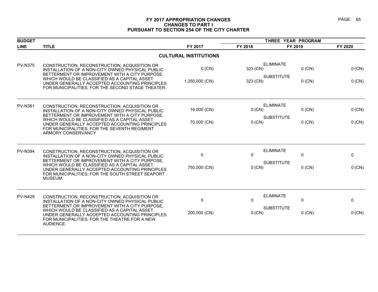# **FY 2017 APPROPRIATION CHANGES PAGE: 65 CHANGES TO PART I PURSUANT TO SECTION 254 OF THE CITY CHARTER**

| <b>BUDGET</b>  |                                                                                                                                                                                                                                                                                                                            |                              |                          | THREE YEAR PROGRAM                                               |                  |
|----------------|----------------------------------------------------------------------------------------------------------------------------------------------------------------------------------------------------------------------------------------------------------------------------------------------------------------------------|------------------------------|--------------------------|------------------------------------------------------------------|------------------|
| <b>LINE</b>    | <b>TITLE</b>                                                                                                                                                                                                                                                                                                               | FY 2017                      | FY 2018                  | FY 2019                                                          | FY 2020          |
|                |                                                                                                                                                                                                                                                                                                                            | <b>CULTURAL INSTITUTIONS</b> |                          |                                                                  |                  |
| <b>PV-N375</b> | CONSTRUCTION, RECONSTRUCTION, ACQUISITION OR<br>INSTALLATION OF A NON-CITY OWNED PHYSICAL PUBLIC<br>BETTERMENT OR IMPROVEMENT WITH A CITY PURPOSE,<br>WHICH WOULD BE CLASSIFIED AS A CAPITAL ASSET<br>UNDER GENERALLY ACCEPTED ACCOUNTING PRINCIPLES<br>FOR MUNICIPALITIES; FOR THE SECOND STAGE THEATER.                  | $0$ (CN)<br>1,250,000 (CN)   | 323 (CN)<br>323 (CN)     | <b>ELIMINATE</b><br>$0$ (CN)<br><b>SUBSTITUTE</b><br>$0$ (CN)    | 0 (CN)<br>0 (CN) |
| <b>PV-N381</b> | CONSTRUCTION, RECONSTRUCTION, ACQUISITION OR<br>INSTALLATION OF A NON-CITY OWNED PHYSICAL PUBLIC<br>BETTERMENT OR IMPROVEMENT WITH A CITY PURPOSE,<br>WHICH WOULD BE CLASSIFIED AS A CAPITAL ASSET<br>UNDER GENERALLY ACCEPTED ACCOUNTING PRINCIPLES<br>FOR MUNICIPALITIES; FOR THE SEVENTH REGIMENT<br>ARMORY CONSERVANCY | 16,000 (CN)<br>70,000 (CN)   | 0(CN)<br>$0$ (CN)        | <b>ELIMINATE</b><br>$0$ (CN)<br><b>SUBSTITUTE</b><br>$0$ (CN)    | 0 (CN)<br>0 (CN) |
| <b>PV-N394</b> | CONSTRUCTION, RECONSTRUCTION, ACQUISITION OR<br>INSTALLATION OF A NON-CITY OWNED PHYSICAL PUBLIC<br>BETTERMENT OR IMPROVEMENT WITH A CITY PURPOSE,<br>WHICH WOULD BE CLASSIFIED AS A CAPITAL ASSET<br>UNDER GENERALLY ACCEPTED ACCOUNTING PRINCIPLES<br>FOR MUNICIPALITIES; FOR THE SOUTH STREET SEAPORT<br>MUSEUM.        | 0<br>750,000 (CN)            | $\mathbf{0}$<br>$0$ (CN) | <b>ELIMINATE</b><br>$\mathbf 0$<br><b>SUBSTITUTE</b><br>$0$ (CN) | 0<br>$0$ (CN)    |
| <b>PV-N429</b> | CONSTRUCTION, RECONSTRUCTION, ACQUISITION OR<br>INSTALLATION OF A NON-CITY OWNED PHYSICAL PUBLIC<br>BETTERMENT OR IMPROVEMENT WITH A CITY PURPOSE,<br>WHICH WOULD BE CLASSIFIED AS A CAPITAL ASSET<br>UNDER GENERALLY ACCEPTED ACCOUNTING PRINCIPLES<br>FOR MUNICIPALITIES; FOR THE THEATRE FOR A NEW<br>AUDIENCE.         | 0<br>200,000 (CN)            | $\Omega$<br>$0$ (CN)     | <b>ELIMINATE</b><br>$\Omega$<br><b>SUBSTITUTE</b><br>$0$ (CN)    | 0<br>0 (CN)      |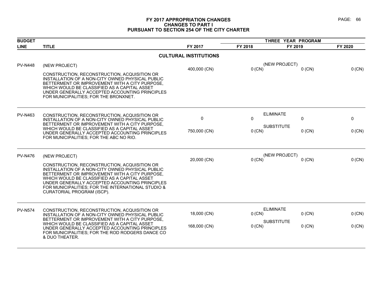# **FY 2017 APPROPRIATION CHANGES PAGE: 66 CHANGES TO PART I PURSUANT TO SECTION 254 OF THE CITY CHARTER**

| <b>BUDGET</b>  |                                                                                                                                                                                                                                                                                                                                          |                              | THREE YEAR PROGRAM |                               |          |
|----------------|------------------------------------------------------------------------------------------------------------------------------------------------------------------------------------------------------------------------------------------------------------------------------------------------------------------------------------------|------------------------------|--------------------|-------------------------------|----------|
| <b>LINE</b>    | <b>TITLE</b>                                                                                                                                                                                                                                                                                                                             | FY 2017                      | FY 2018            | FY 2019                       | FY 2020  |
|                |                                                                                                                                                                                                                                                                                                                                          | <b>CULTURAL INSTITUTIONS</b> |                    |                               |          |
| <b>PV-N448</b> | (NEW PROJECT)                                                                                                                                                                                                                                                                                                                            | 400,000 (CN)                 | 0 (CN)             | (NEW PROJECT)<br>$0$ (CN)     | 0 (CN)   |
|                | CONSTRUCTION, RECONSTRUCTION, ACQUISITION OR<br>INSTALLATION OF A NON-CITY OWNED PHYSICAL PUBLIC<br>BETTERMENT OR IMPROVEMENT WITH A CITY PURPOSE,<br>WHICH WOULD BE CLASSIFIED AS A CAPITAL ASSET<br>UNDER GENERALLY ACCEPTED ACCOUNTING PRINCIPLES<br>FOR MUNICIPALITIES; FOR THE BRONXNET.                                            |                              |                    |                               |          |
| <b>PV-N463</b> | CONSTRUCTION, RECONSTRUCTION, ACQUISITION OR<br>INSTALLATION OF A NON-CITY OWNED PHYSICAL PUBLIC<br>BETTERMENT OR IMPROVEMENT WITH A CITY PURPOSE,                                                                                                                                                                                       | $\mathbf 0$                  | $\mathbf{0}$       | <b>ELIMINATE</b><br>0         | 0        |
|                | WHICH WOULD BE CLASSIFIED AS A CAPITAL ASSET<br>UNDER GENERALLY ACCEPTED ACCOUNTING PRINCIPLES<br>FOR MUNICIPALITIES; FOR THE ABC NO RIO.                                                                                                                                                                                                | 750,000 (CN)                 | $0$ (CN)           | <b>SUBSTITUTE</b><br>$0$ (CN) | 0 (CN)   |
| <b>PV-N476</b> | (NEW PROJECT)                                                                                                                                                                                                                                                                                                                            | 20,000 (CN)                  | $0$ (CN)           | (NEW PROJECT)<br>$0$ (CN)     | 0 (CN)   |
|                | CONSTRUCTION, RECONSTRUCTION, ACQUISITION OR<br>INSTALLATION OF A NON-CITY OWNED PHYSICAL PUBLIC<br>BETTERMENT OR IMPROVEMENT WITH A CITY PURPOSE,<br>WHICH WOULD BE CLASSIFIED AS A CAPITAL ASSET<br>UNDER GENERALLY ACCEPTED ACCOUNTING PRINCIPLES<br>FOR MUNICIPALITIES; FOR THE INTERNATIONAL STUDIO &<br>CURATORIAL PROGRAM (ISCP). |                              |                    |                               |          |
| <b>PV-N574</b> | CONSTRUCTION, RECONSTRUCTION, ACQUISITION OR<br>INSTALLATION OF A NON-CITY OWNED PHYSICAL PUBLIC<br>BETTERMENT OR IMPROVEMENT WITH A CITY PURPOSE,                                                                                                                                                                                       | 18,000 (CN)                  | $0$ (CN)           | <b>ELIMINATE</b><br>$0$ (CN)  | 0 (CN)   |
|                | WHICH WOULD BE CLASSIFIED AS A CAPITAL ASSET<br>UNDER GENERALLY ACCEPTED ACCOUNTING PRINCIPLES<br>FOR MUNICIPALITIES; FOR THE ROD RODGERS DANCE CO.<br>& DUO THEATER.                                                                                                                                                                    | 168,000 (CN)                 | $0$ (CN)           | <b>SUBSTITUTE</b><br>$0$ (CN) | $0$ (CN) |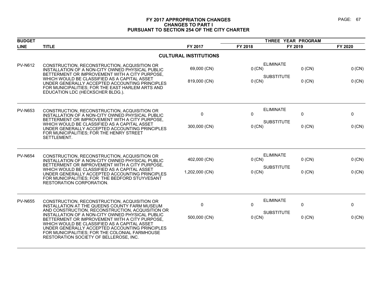# **FY 2017 APPROPRIATION CHANGES PAGE: 67 CHANGES TO PART I PURSUANT TO SECTION 254 OF THE CITY CHARTER**

| <b>BUDGET</b>  |                                                                                                                                                                                                                                                                                                                                                                                                                                                       |                                |                    | THREE YEAR PROGRAM                         |                                          |
|----------------|-------------------------------------------------------------------------------------------------------------------------------------------------------------------------------------------------------------------------------------------------------------------------------------------------------------------------------------------------------------------------------------------------------------------------------------------------------|--------------------------------|--------------------|--------------------------------------------|------------------------------------------|
| <b>LINE</b>    | <b>TITLE</b>                                                                                                                                                                                                                                                                                                                                                                                                                                          | FY 2017                        | FY 2018            | FY 2019                                    | FY 2020                                  |
|                |                                                                                                                                                                                                                                                                                                                                                                                                                                                       | <b>CULTURAL INSTITUTIONS</b>   |                    |                                            |                                          |
| <b>PV-N612</b> | CONSTRUCTION, RECONSTRUCTION, ACQUISITION OR<br>INSTALLATION OF A NON-CITY OWNED PHYSICAL PUBLIC<br>BETTERMENT OR IMPROVEMENT WITH A CITY PURPOSE,<br>WHICH WOULD BE CLASSIFIED AS A CAPITAL ASSET<br>UNDER GENERALLY ACCEPTED ACCOUNTING PRINCIPLES<br>FOR MUNICIPALITIES; FOR THE EAST HARLEM ARTS AND<br>EDUCATION LDC (HECKSCHER BLDG.).                                                                                                          | 69,000 (CN)<br>819,000 (CN)    | 0 (CN)<br>0 (CN)   | <b>ELIMINATE</b><br><b>SUBSTITUTE</b>      | $0$ (CN)<br>0 (CN)<br>$0$ (CN)<br>0 (CN) |
| <b>PV-N653</b> | CONSTRUCTION, RECONSTRUCTION, ACQUISITION OR<br>INSTALLATION OF A NON-CITY OWNED PHYSICAL PUBLIC<br>BETTERMENT OR IMPROVEMENT WITH A CITY PURPOSE,<br>WHICH WOULD BE CLASSIFIED AS A CAPITAL ASSET<br>UNDER GENERALLY ACCEPTED ACCOUNTING PRINCIPLES<br>FOR MUNICIPALITIES; FOR THE HENRY STREET<br>SETTLEMENT.                                                                                                                                       | 0<br>300,000 (CN)              | 0<br>$0$ (CN)      | <b>ELIMINATE</b><br>0<br><b>SUBSTITUTE</b> | 0<br>$0$ (CN)<br>0 (CN)                  |
| <b>PV-N654</b> | CONSTRUCTION, RECONSTRUCTION, ACQUISITION OR<br>INSTALLATION OF A NON-CITY OWNED PHYSICAL PUBLIC<br>BETTERMENT OR IMPROVEMENT WITH A CITY PURPOSE,<br>WHICH WOULD BE CLASSIFIED AS A CAPITAL ASSET<br>UNDER GENERALLY ACCEPTED ACCOUNTING PRINCIPLES<br>FOR MUNICIPALITIES; FOR THE BEDFORD STUYVESANT<br>RESTORATION CORPORATION.                                                                                                                    | 402,000 (CN)<br>1,202,000 (CN) | 0 (CN)<br>$0$ (CN) | <b>ELIMINATE</b><br><b>SUBSTITUTE</b>      | $0$ (CN)<br>0 (CN)<br>0 (CN)<br>$0$ (CN) |
| <b>PV-N655</b> | CONSTRUCTION, RECONSTRUCTION, ACQUISITION OR<br>INSTALLATION AT THE QUEENS COUNTY FARM MUSEUM<br>AND CONSTRUCTION, RECONSTRUCTION, ACQUISITION OR<br>INSTALLATION OF A NON-CITY OWNED PHYSICAL PUBLIC<br>BETTERMENT OR IMPROVEMENT WITH A CITY PURPOSE.<br>WHICH WOULD BE CLASSIFIED AS A CAPITAL ASSET<br>UNDER GENERALLY ACCEPTED ACCOUNTING PRINCIPLES<br>FOR MUNICIPALITIES; FOR THE COLONIAL FARMHOUSE<br>RESTORATION SOCIETY OF BELLEROSE, INC. | 0<br>500,000 (CN)              | 0<br>0 (CN)        | <b>ELIMINATE</b><br>0<br><b>SUBSTITUTE</b> | 0<br>0 (CN)<br>$0$ (CN)                  |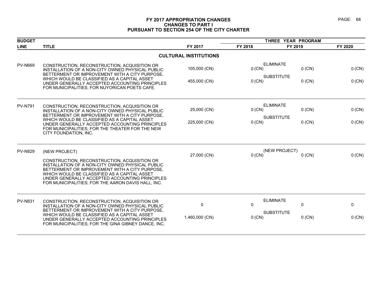# **FY 2017 APPROPRIATION CHANGES PAGE: 68 CHANGES TO PART I PURSUANT TO SECTION 254 OF THE CITY CHARTER**

| <b>BUDGET</b>  |                                                                                                                                                                                                                                                                                                                                  |                              |                    |                                                               |                  |
|----------------|----------------------------------------------------------------------------------------------------------------------------------------------------------------------------------------------------------------------------------------------------------------------------------------------------------------------------------|------------------------------|--------------------|---------------------------------------------------------------|------------------|
| <b>LINE</b>    | <b>TITLE</b>                                                                                                                                                                                                                                                                                                                     | FY 2017                      | FY 2018            | FY 2019                                                       | FY 2020          |
|                |                                                                                                                                                                                                                                                                                                                                  | <b>CULTURAL INSTITUTIONS</b> |                    |                                                               |                  |
| <b>PV-N669</b> | CONSTRUCTION, RECONSTRUCTION, ACQUISITION OR<br>INSTALLATION OF A NON-CITY OWNED PHYSICAL PUBLIC<br>BETTERMENT OR IMPROVEMENT WITH A CITY PURPOSE,<br>WHICH WOULD BE CLASSIFIED AS A CAPITAL ASSET<br>UNDER GENERALLY ACCEPTED ACCOUNTING PRINCIPLES<br>FOR MUNICIPALITIES; FOR NUYORICAN POETS CAFE.                            | 105,000 (CN)<br>455,000 (CN) | $0$ (CN)<br>0 (CN) | <b>ELIMINATE</b><br>$0$ (CN)<br><b>SUBSTITUTE</b><br>$0$ (CN) | 0 (CN)<br>0 (CN) |
| <b>PV-N791</b> | CONSTRUCTION, RECONSTRUCTION, ACQUISITION OR<br>INSTALLATION OF A NON-CITY OWNED PHYSICAL PUBLIC<br>BETTERMENT OR IMPROVEMENT WITH A CITY PURPOSE.<br>WHICH WOULD BE CLASSIFIED AS A CAPITAL ASSET<br>UNDER GENERALLY ACCEPTED ACCOUNTING PRINCIPLES<br>FOR MUNICIPALITIES; FOR THE THEATER FOR THE NEW<br>CITY FOUNDATION, INC. | 25,000 (CN)<br>225,000 (CN)  | 0 (CN)<br>0 (CN)   | <b>ELIMINATE</b><br>$0$ (CN)<br><b>SUBSTITUTE</b><br>$0$ (CN) | 0 (CN)<br>0 (CN) |
| <b>PV-N829</b> | (NEW PROJECT)<br>CONSTRUCTION, RECONSTRUCTION, ACQUISITION OR<br>INSTALLATION OF A NON-CITY OWNED PHYSICAL PUBLIC<br>BETTERMENT OR IMPROVEMENT WITH A CITY PURPOSE.<br>WHICH WOULD BE CLASSIFIED AS A CAPITAL ASSET<br>UNDER GENERALLY ACCEPTED ACCOUNTING PRINCIPLES<br>FOR MUNICIPALITIES; FOR THE AARON DAVIS HALL, INC.      | 27,000 (CN)                  | $0$ (CN)           | (NEW PROJECT)<br>$0$ (CN)                                     | 0 (CN)           |
| <b>PV-N831</b> | CONSTRUCTION, RECONSTRUCTION, ACQUISITION OR<br>INSTALLATION OF A NON-CITY OWNED PHYSICAL PUBLIC<br>BETTERMENT OR IMPROVEMENT WITH A CITY PURPOSE.<br>WHICH WOULD BE CLASSIFIED AS A CAPITAL ASSET<br>UNDER GENERALLY ACCEPTED ACCOUNTING PRINCIPLES<br>FOR MUNICIPALITIES; FOR THE GINA GIBNEY DANCE, INC.                      | 0<br>1,460,000 (CN)          | 0<br>0 (CN)        | <b>ELIMINATE</b><br>0<br><b>SUBSTITUTE</b><br>$0$ (CN)        | 0<br>$0$ (CN)    |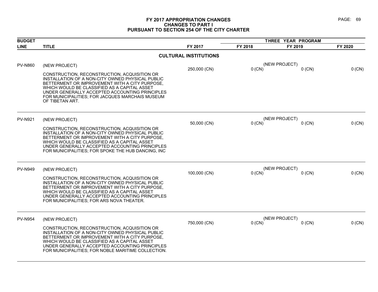# **FY 2017 APPROPRIATION CHANGES PAGE: 69 CHANGES TO PART I PURSUANT TO SECTION 254 OF THE CITY CHARTER**

| <b>BUDGET</b>  |                                                                                                                                                                                                                                                                                                                            |                              | THREE YEAR PROGRAM |                           |          |
|----------------|----------------------------------------------------------------------------------------------------------------------------------------------------------------------------------------------------------------------------------------------------------------------------------------------------------------------------|------------------------------|--------------------|---------------------------|----------|
| <b>LINE</b>    | <b>TITLE</b>                                                                                                                                                                                                                                                                                                               | FY 2017                      | FY 2018            | FY 2019                   | FY 2020  |
|                |                                                                                                                                                                                                                                                                                                                            | <b>CULTURAL INSTITUTIONS</b> |                    |                           |          |
| <b>PV-N860</b> | (NEW PROJECT)                                                                                                                                                                                                                                                                                                              |                              |                    | (NEW PROJECT)             |          |
|                | CONSTRUCTION, RECONSTRUCTION, ACQUISITION OR<br>INSTALLATION OF A NON-CITY OWNED PHYSICAL PUBLIC<br>BETTERMENT OR IMPROVEMENT WITH A CITY PURPOSE,<br>WHICH WOULD BE CLASSIFIED AS A CAPITAL ASSET<br>UNDER GENERALLY ACCEPTED ACCOUNTING PRINCIPLES<br>FOR MUNICIPALITIES; FOR JACQUES MARCHAIS MUSEUM<br>OF TIBETAN ART. | 250,000 (CN)                 | $0$ (CN)           | $0$ (CN)                  | 0 (CN)   |
| <b>PV-N921</b> | (NEW PROJECT)                                                                                                                                                                                                                                                                                                              |                              |                    | (NEW PROJECT)             |          |
|                | CONSTRUCTION, RECONSTRUCTION, ACQUISITION OR<br>INSTALLATION OF A NON-CITY OWNED PHYSICAL PUBLIC<br>BETTERMENT OR IMPROVEMENT WITH A CITY PURPOSE,<br>WHICH WOULD BE CLASSIFIED AS A CAPITAL ASSET<br>UNDER GENERALLY ACCEPTED ACCOUNTING PRINCIPLES<br>FOR MUNICIPALITIES; FOR SPOKE THE HUB DANCING, INC                 | 50,000 (CN)                  | $0$ (CN)           | $0$ (CN)                  | 0 (CN)   |
| <b>PV-N949</b> | (NEW PROJECT)                                                                                                                                                                                                                                                                                                              | 100,000 (CN)                 | $0$ (CN)           | (NEW PROJECT)<br>$0$ (CN) | $0$ (CN) |
|                | CONSTRUCTION, RECONSTRUCTION, ACQUISITION OR<br>INSTALLATION OF A NON-CITY OWNED PHYSICAL PUBLIC<br>BETTERMENT OR IMPROVEMENT WITH A CITY PURPOSE.<br>WHICH WOULD BE CLASSIFIED AS A CAPITAL ASSET<br>UNDER GENERALLY ACCEPTED ACCOUNTING PRINCIPLES<br>FOR MUNICIPALITIES; FOR ARS NOVA THEATER.                          |                              |                    |                           |          |
| <b>PV-N954</b> | (NEW PROJECT)                                                                                                                                                                                                                                                                                                              |                              |                    | (NEW PROJECT)             |          |
|                | CONSTRUCTION, RECONSTRUCTION, ACQUISITION OR<br>INSTALLATION OF A NON-CITY OWNED PHYSICAL PUBLIC<br>BETTERMENT OR IMPROVEMENT WITH A CITY PURPOSE.<br>WHICH WOULD BE CLASSIFIED AS A CAPITAL ASSET<br>UNDER GENERALLY ACCEPTED ACCOUNTING PRINCIPLES<br>FOR MUNICIPALITIES; FOR NOBLE MARITIME COLLECTION.                 | 750,000 (CN)                 | $0$ (CN)           | $0$ (CN)                  | 0 (CN)   |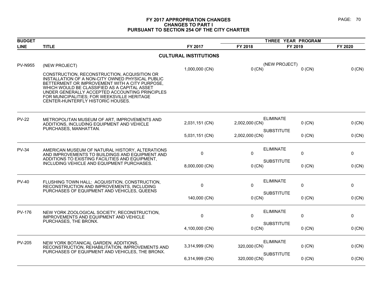### **FY 2017 APPROPRIATION CHANGES PAGE: 70 CHANGES TO PART I PURSUANT TO SECTION 254 OF THE CITY CHARTER**

| <b>BUDGET</b>  |                                                                                                                                                                                                                                                                                                                                          |                              | THREE YEAR PROGRAM                 |                               |         |
|----------------|------------------------------------------------------------------------------------------------------------------------------------------------------------------------------------------------------------------------------------------------------------------------------------------------------------------------------------------|------------------------------|------------------------------------|-------------------------------|---------|
| <b>LINE</b>    | <b>TITLE</b>                                                                                                                                                                                                                                                                                                                             | FY 2017                      | FY 2018                            | FY 2019                       | FY 2020 |
|                |                                                                                                                                                                                                                                                                                                                                          | <b>CULTURAL INSTITUTIONS</b> |                                    |                               |         |
| <b>PV-N955</b> | (NEW PROJECT)                                                                                                                                                                                                                                                                                                                            | 1,000,000 (CN)               | $0$ (CN)                           | (NEW PROJECT)<br>$0$ (CN)     | 0 (CN)  |
|                | CONSTRUCTION, RECONSTRUCTION, ACQUISITION OR<br>INSTALLATION OF A NON-CITY OWNED PHYSICAL PUBLIC<br>BETTERMENT OR IMPROVEMENT WITH A CITY PURPOSE,<br>WHICH WOULD BE CLASSIFIED AS A CAPITAL ASSET<br>UNDER GENERALLY ACCEPTED ACCOUNTING PRINCIPLES<br>FOR MUNICIPALITIES; FOR WEEKSVILLE HERITAGE<br>CENTER-HUNTERFLY HISTORIC HOUSES. |                              |                                    |                               |         |
| <b>PV-22</b>   | METROPOLITAN MUSEUM OF ART, IMPROVEMENTS AND<br>ADDITIONS, INCLUDING EQUIPMENT AND VEHICLE<br>PURCHASES, MANHATTAN.                                                                                                                                                                                                                      | 2,031,151 (CN)               | <b>ELIMINATE</b><br>2,002,000 (CN) | $0$ (CN)                      | 0 (CN)  |
|                |                                                                                                                                                                                                                                                                                                                                          | 5,031,151 (CN)               | 2,002,000 (CN)                     | <b>SUBSTITUTE</b><br>$0$ (CN) | 0 (CN)  |
| <b>PV-34</b>   | AMERICAN MUSEUM OF NATURAL HISTORY, ALTERATIONS<br>AND IMPROVEMENTS TO BUILDINGS AND EQUIPMENT AND<br>ADDITIONS TO EXISTING FACILITIES AND EQUIPMENT.                                                                                                                                                                                    | $\pmb{0}$                    | <b>ELIMINATE</b><br>$\mathbf 0$    | 0                             | 0       |
|                | INCLUDING VEHICLE AND EQUIPMENT PURCHASES.                                                                                                                                                                                                                                                                                               | 8,000,000 (CN)               | 0 (CN)                             | <b>SUBSTITUTE</b><br>$0$ (CN) | 0 (CN)  |
| <b>PV-40</b>   | FLUSHING TOWN HALL: ACQUISITION, CONSTRUCTION,<br>RECONSTRUCTION AND IMPROVEMENTS, INCLUDING<br>PURCHASES OF EQUIPMENT AND VEHICLES, QUEENS                                                                                                                                                                                              | $\mathbf 0$                  | <b>ELIMINATE</b><br>$\Omega$       | 0                             | 0       |
|                |                                                                                                                                                                                                                                                                                                                                          | 140,000 (CN)                 | 0 (CN)                             | <b>SUBSTITUTE</b><br>$0$ (CN) | 0 (CN)  |
| <b>PV-176</b>  | NEW YORK ZOOLOGICAL SOCIETY, RECONSTRUCTION,<br>IMPROVEMENTS AND EQUIPMENT AND VEHICLE<br>PURCHASES, THE BRONX.                                                                                                                                                                                                                          | $\mathbf 0$                  | <b>ELIMINATE</b><br>$\Omega$       | 0                             | 0       |
|                |                                                                                                                                                                                                                                                                                                                                          | 4,100,000 (CN)               | $0$ (CN)                           | <b>SUBSTITUTE</b><br>$0$ (CN) | 0 (CN)  |
| <b>PV-205</b>  | NEW YORK BOTANICAL GARDEN, ADDITIONS,<br>RECONSTRUCTION, REHABILITATION, IMPROVEMENTS AND<br>PURCHASES OF EQUIPMENT AND VEHICLES, THE BRONX.                                                                                                                                                                                             | 3,314,999 (CN)               | <b>ELIMINATE</b><br>320,000 (CN)   | $0$ (CN)                      | 0(CN)   |
|                |                                                                                                                                                                                                                                                                                                                                          | 6,314,999 (CN)               | 320,000 (CN)                       | <b>SUBSTITUTE</b><br>$0$ (CN) | 0 (CN)  |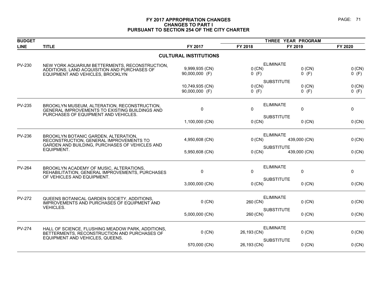### **FY 2017 APPROPRIATION CHANGES PAGE: 71 CHANGES TO PART I PURSUANT TO SECTION 254 OF THE CITY CHARTER**

| <b>BUDGET</b> |                                                                                                                                                 |                              | THREE YEAR PROGRAM |                              |             |
|---------------|-------------------------------------------------------------------------------------------------------------------------------------------------|------------------------------|--------------------|------------------------------|-------------|
| <b>LINE</b>   | <b>TITLE</b>                                                                                                                                    | FY 2017                      | FY 2018            | FY 2019                      | FY 2020     |
|               |                                                                                                                                                 | <b>CULTURAL INSTITUTIONS</b> |                    |                              |             |
| PV-230        | NEW YORK AQUARIUM BETTERMENTS, RECONSTRUCTION,<br>ADDITIONS, LAND ACQUISITION AND PURCHASES OF                                                  | 9,999,935 (CN)               | 0 (CN)             | <b>ELIMINATE</b><br>$0$ (CN) | $0$ (CN)    |
|               | EQUIPMENT AND VEHICLES, BROOKLYN                                                                                                                | 90,000,000 (F)               | $0$ (F)            | $0$ (F)                      | $0$ (F)     |
|               |                                                                                                                                                 |                              |                    | <b>SUBSTITUTE</b>            |             |
|               |                                                                                                                                                 | 10,749,935 (CN)              | $0$ (CN)           | $0$ (CN)                     | 0 (CN)      |
|               |                                                                                                                                                 | 90,000,000 (F)               | $0$ (F)            | $0$ (F)                      | $0$ (F)     |
| <b>PV-235</b> | BROOKLYN MUSEUM, ALTERATION, RECONSTRUCTION,                                                                                                    |                              |                    | <b>ELIMINATE</b>             |             |
|               | GENERAL IMPROVEMENTS TO EXISTING BUILDINGS AND                                                                                                  | 0                            | $\Omega$           | 0                            | $\mathbf 0$ |
|               | PURCHASES OF EQUIPMENT AND VEHICLES.                                                                                                            |                              |                    | <b>SUBSTITUTE</b>            |             |
|               |                                                                                                                                                 | 1,100,000 (CN)               | 0 (CN)             | $0$ (CN)                     | 0 (CN)      |
| <b>PV-236</b> | BROOKLYN BOTANIC GARDEN, ALTERATION,<br>RECONSTRUCTION, GENERAL IMPROVEMENTS TO<br>GARDEN AND BUILDING, PURCHASES OF VEHICLES AND<br>EQUIPMENT. |                              |                    | <b>ELIMINATE</b>             |             |
|               |                                                                                                                                                 | 4,950,608 (CN)               | $0$ (CN)           | 439,000 (CN)                 | $0$ (CN)    |
|               |                                                                                                                                                 |                              |                    | <b>SUBSTITUTE</b>            |             |
|               |                                                                                                                                                 | 5,950,608 (CN)               | $0$ (CN)           | 439,000 (CN)                 | 0 (CN)      |
|               |                                                                                                                                                 |                              |                    | <b>ELIMINATE</b>             |             |
| <b>PV-264</b> | BROOKLYN ACADEMY OF MUSIC, ALTERATIONS,<br>REHABILITATION, GENERAL IMPROVEMENTS, PURCHASES                                                      | 0                            | $\Omega$           | 0                            | 0           |
|               | OF VEHICLES AND EQUIPMENT.                                                                                                                      |                              |                    | <b>SUBSTITUTE</b>            |             |
|               |                                                                                                                                                 | 3,000,000 (CN)               | 0 (CN)             | $0$ (CN)                     | 0 (CN)      |
| <b>PV-272</b> |                                                                                                                                                 |                              |                    | <b>ELIMINATE</b>             |             |
|               | QUEENS BOTANICAL GARDEN SOCIETY, ADDITIONS,<br>IMPROVEMENTS AND PURCHASES OF EQUIPMENT AND                                                      | $0$ (CN)                     | 260 (CN)           | $0$ (CN)                     | 0 (CN)      |
|               | VEHICLES.                                                                                                                                       |                              |                    | <b>SUBSTITUTE</b>            |             |
|               |                                                                                                                                                 | 5,000,000 (CN)               | 260 (CN)           | $0$ (CN)                     | $0$ (CN)    |
| <b>PV-274</b> | HALL OF SCIENCE, FLUSHING MEADOW PARK, ADDITIONS,                                                                                               |                              |                    | <b>ELIMINATE</b>             |             |
|               | BETTERMENTS, RECONSTRUCTION AND PURCHASES OF                                                                                                    | $0$ (CN)                     | 26,193 (CN)        | $0$ (CN)                     | $0$ (CN)    |
|               | EQUIPMENT AND VEHICLES, QUEENS.                                                                                                                 |                              |                    | <b>SUBSTITUTE</b>            |             |
|               |                                                                                                                                                 | 570,000 (CN)                 | 26,193 (CN)        | $0$ (CN)                     | 0 (CN)      |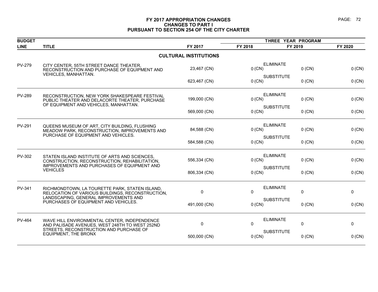### **FY 2017 APPROPRIATION CHANGES PAGE: 72 CHANGES TO PART I PURSUANT TO SECTION 254 OF THE CITY CHARTER**

| <b>BUDGET</b> |                                                                                                                                               |                              | THREE YEAR PROGRAM |                               |              |
|---------------|-----------------------------------------------------------------------------------------------------------------------------------------------|------------------------------|--------------------|-------------------------------|--------------|
| <b>LINE</b>   | <b>TITLE</b>                                                                                                                                  | FY 2017                      | FY 2018            | FY 2019                       | FY 2020      |
|               |                                                                                                                                               | <b>CULTURAL INSTITUTIONS</b> |                    |                               |              |
| <b>PV-279</b> | CITY CENTER, 55TH STREET DANCE THEATER,<br>RECONSTRUCTION AND PURCHASE OF EQUIPMENT AND                                                       | 23,467 (CN)                  | 0 (CN)             | <b>ELIMINATE</b><br>$0$ (CN)  | 0 (CN)       |
|               | VEHICLES, MANHATTAN.                                                                                                                          | 623,467 (CN)                 | 0 (CN)             | <b>SUBSTITUTE</b><br>$0$ (CN) | 0 (CN)       |
| <b>PV-289</b> | RECONSTRUCTION, NEW YORK SHAKESPEARE FESTIVAL<br>PUBLIC THEATER AND DELACORTE THEATER, PURCHASE<br>OF EQUIPMENT AND VEHICLES, MANHATTAN.      | 199,000 (CN)                 | 0 (CN)             | <b>ELIMINATE</b><br>$0$ (CN)  | 0 (CN)       |
|               |                                                                                                                                               | 569,000 (CN)                 | 0 (CN)             | <b>SUBSTITUTE</b><br>$0$ (CN) | 0 (CN)       |
| <b>PV-291</b> | QUEENS MUSEUM OF ART, CITY BUILDING, FLUSHING<br>MEADOW PARK, RECONSTRUCTION, IMPROVEMENTS AND<br>PURCHASE OF EQUIPMENT AND VEHICLES.         | 84,588 (CN)                  | 0 (CN)             | <b>ELIMINATE</b><br>$0$ (CN)  | $0$ (CN)     |
|               |                                                                                                                                               | 584,588 (CN)                 | 0 (CN)             | <b>SUBSTITUTE</b><br>$0$ (CN) | 0 (CN)       |
| <b>PV-302</b> | STATEN ISLAND INSTITUTE OF ARTS AND SCIENCES,<br>CONSTRUCTION, RECONSTRUCTION, REHABILITATION,<br>IMPROVEMENTS AND PURCHASES OF EQUIPMENT AND | 556,334 (CN)                 | 0 (CN)             | <b>ELIMINATE</b><br>$0$ (CN)  | 0(CN)        |
|               | <b>VEHICLES</b>                                                                                                                               | 806,334 (CN)                 | 0 (CN)             | <b>SUBSTITUTE</b><br>$0$ (CN) | 0 (CN)       |
| PV-341        | RICHMONDTOWN, LA TOURETTE PARK, STATEN ISLAND,<br>RELOCATION OF VARIOUS BUILDINGS, RECONSTRUCTION,                                            | $\mathbf{0}$                 | $\mathbf{0}$       | <b>ELIMINATE</b><br>0         | $\mathbf{0}$ |
|               | LANDSCAPING, GENERAL IMPROVEMENTS AND<br>PURCHASES OF EQUIPMENT AND VEHICLES.                                                                 | 491,000 (CN)                 | 0 (CN)             | <b>SUBSTITUTE</b><br>$0$ (CN) | 0 (CN)       |
| <b>PV-464</b> | WAVE HILL ENVIRONMENTAL CENTER, INDEPENDENCE<br>AND PALISADE AVENUES, WEST 248TH TO WEST 252ND<br>STREETS, RECONSTRUCTION AND PURCHASE OF     | 0                            | 0                  | <b>ELIMINATE</b><br>$\pmb{0}$ | 0            |
|               | EQUIPMENT, THE BRONX                                                                                                                          | 500,000 (CN)                 | $0$ (CN)           | <b>SUBSTITUTE</b><br>$0$ (CN) | $0$ (CN)     |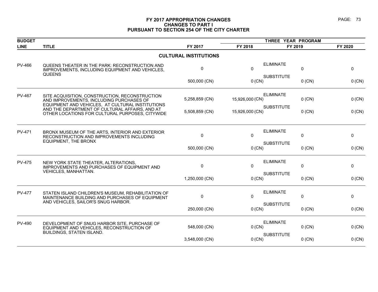### **FY 2017 APPROPRIATION CHANGES PAGE: 73 CHANGES TO PART I PURSUANT TO SECTION 254 OF THE CITY CHARTER**

| <b>BUDGET</b> |                                                                                                                                                                                                                                                     |                              | THREE YEAR PROGRAM |                               |         |
|---------------|-----------------------------------------------------------------------------------------------------------------------------------------------------------------------------------------------------------------------------------------------------|------------------------------|--------------------|-------------------------------|---------|
| <b>LINE</b>   | <b>TITLE</b>                                                                                                                                                                                                                                        | FY 2017                      | FY 2018            | FY 2019                       | FY 2020 |
|               |                                                                                                                                                                                                                                                     | <b>CULTURAL INSTITUTIONS</b> |                    |                               |         |
| <b>PV-466</b> | QUEENS THEATER IN THE PARK: RECONSTRUCTION AND<br>IMPROVEMENTS, INCLUDING EQUIPMENT AND VEHICLES,<br><b>QUEENS</b>                                                                                                                                  | $\mathbf{0}$                 | $\mathbf{0}$       | <b>ELIMINATE</b><br>0         | 0       |
|               |                                                                                                                                                                                                                                                     | 500,000 (CN)                 | 0 (CN)             | <b>SUBSTITUTE</b><br>$0$ (CN) | 0 (CN)  |
| <b>PV-467</b> | SITE ACQUISITION, CONSTRUCTION, RECONSTRUCTION<br>AND IMPROVEMENTS, INCLUDING PURCHASES OF<br>EQUIPMENT AND VEHICLES, AT CULTURAL INSTITUTIONS<br>AND THE DEPARTMENT OF CULTURAL AFFAIRS, AND AT<br>OTHER LOCATIONS FOR CULTURAL PURPOSES, CITYWIDE | 5,258,859 (CN)               | 15,926,000 (CN)    | <b>ELIMINATE</b><br>$0$ (CN)  | 0 (CN)  |
|               |                                                                                                                                                                                                                                                     | 5,508,859 (CN)               | 15,926,000 (CN)    | <b>SUBSTITUTE</b><br>$0$ (CN) | 0 (CN)  |
| PV-471        | BRONX MUSEUM OF THE ARTS, INTERIOR AND EXTERIOR<br>RECONSTRUCTION AND IMPROVEMENTS INCLUDING                                                                                                                                                        | $\mathbf 0$                  | $\Omega$           | <b>ELIMINATE</b><br>0         | 0       |
|               | <b>EQUIPMENT, THE BRONX</b>                                                                                                                                                                                                                         | 500,000 (CN)                 | 0 (CN)             | <b>SUBSTITUTE</b><br>$0$ (CN) | 0 (CN)  |
| <b>PV-475</b> | NEW YORK STATE THEATER, ALTERATIONS,<br>IMPROVEMENTS AND PURCHASES OF EQUIPMENT AND<br>VEHICLES, MANHATTAN.                                                                                                                                         | $\mathbf 0$                  | $\Omega$           | <b>ELIMINATE</b><br>0         | 0       |
|               |                                                                                                                                                                                                                                                     | 1,250,000 (CN)               | 0 (CN)             | <b>SUBSTITUTE</b><br>$0$ (CN) | 0 (CN)  |
| <b>PV-477</b> | STATEN ISLAND CHILDREN'S MUSEUM, REHABILITATION OF<br>MAINTENANCE BUILDING AND PURCHASES OF EQUIPMENT                                                                                                                                               | $\mathbf 0$                  | 0                  | <b>ELIMINATE</b><br>0         | 0       |
|               | AND VEHICLES, SAILOR'S SNUG HARBOR.                                                                                                                                                                                                                 | 250,000 (CN)                 | $0$ (CN)           | <b>SUBSTITUTE</b><br>$0$ (CN) | 0 (CN)  |
| <b>PV-490</b> | DEVELOPMENT OF SNUG HARBOR SITE, PURCHASE OF<br>EQUIPMENT AND VEHICLES, RECONSTRUCTION OF<br>BUILDINGS, STATEN ISLAND.                                                                                                                              | 548,000 (CN)                 | $0$ (CN)           | <b>ELIMINATE</b><br>$0$ (CN)  | 0 (CN)  |
|               |                                                                                                                                                                                                                                                     | 3,548,000 (CN)               | $0$ (CN)           | <b>SUBSTITUTE</b><br>$0$ (CN) | 0 (CN)  |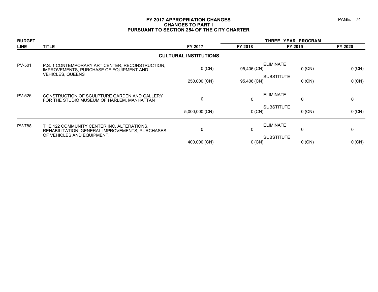### **FY 2017 APPROPRIATION CHANGES PAGE: 74 CHANGES TO PART I PURSUANT TO SECTION 254 OF THE CITY CHARTER**

| <b>BUDGET</b> |                                                                                                                       |                              | <b>THREE</b> | YEAR PROGRAM                  |         |
|---------------|-----------------------------------------------------------------------------------------------------------------------|------------------------------|--------------|-------------------------------|---------|
| <b>LINE</b>   | <b>TITLE</b>                                                                                                          | FY 2017                      | FY 2018      | FY 2019                       | FY 2020 |
|               |                                                                                                                       | <b>CULTURAL INSTITUTIONS</b> |              |                               |         |
| <b>PV-501</b> | P.S. 1 CONTEMPORARY ART CENTER, RECONSTRUCTION,<br>IMPROVEMENTS, PURCHASE OF EQUIPMENT AND<br><b>VEHICLES, QUEENS</b> | $0$ (CN)                     | 95,406 (CN)  | <b>ELIMINATE</b><br>$0$ (CN)  | 0 (CN)  |
|               |                                                                                                                       | 250,000 (CN)                 | 95,406 (CN)  | <b>SUBSTITUTE</b><br>$0$ (CN) | 0 (CN)  |
| <b>PV-525</b> | CONSTRUCTION OF SCULPTURE GARDEN AND GALLERY<br>FOR THE STUDIO MUSEUM OF HARLEM, MANHATTAN                            | $\mathbf{0}$                 | 0            | <b>ELIMINATE</b><br>0         | 0       |
|               |                                                                                                                       | 5,000,000 (CN)               | $0$ (CN)     | <b>SUBSTITUTE</b><br>$0$ (CN) | 0 (CN)  |
| <b>PV-788</b> | THE 122 COMMUNITY CENTER INC, ALTERATIONS,<br>REHABILITATION, GENERAL IMPROVEMENTS, PURCHASES                         | $\mathbf{0}$                 | 0            | <b>ELIMINATE</b><br>0         | 0       |
|               | OF VEHICLES AND EQUIPMENT.                                                                                            | 400,000 (CN)                 | $0$ (CN)     | <b>SUBSTITUTE</b><br>$0$ (CN) | 0 (CN)  |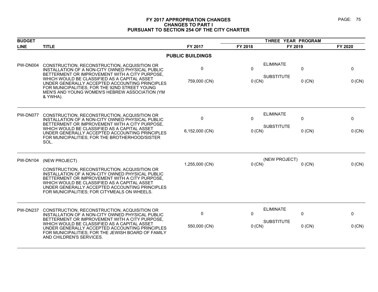### **FY 2017 APPROPRIATION CHANGES PAGE: 75 CHANGES TO PART I PURSUANT TO SECTION 254 OF THE CITY CHARTER**

| <b>BUDGET</b>   |                                                                                                                                                                                                                                                                                                                                                                     |                         | THREE YEAR PROGRAM |                                       |               |             |
|-----------------|---------------------------------------------------------------------------------------------------------------------------------------------------------------------------------------------------------------------------------------------------------------------------------------------------------------------------------------------------------------------|-------------------------|--------------------|---------------------------------------|---------------|-------------|
| <b>LINE</b>     | <b>TITLE</b>                                                                                                                                                                                                                                                                                                                                                        | FY 2017                 | FY 2018            | FY 2019                               |               | FY 2020     |
|                 |                                                                                                                                                                                                                                                                                                                                                                     | <b>PUBLIC BUILDINGS</b> |                    |                                       |               |             |
| PW-DN004        | CONSTRUCTION, RECONSTRUCTION, ACQUISITION OR<br>INSTALLATION OF A NON-CITY OWNED PHYSICAL PUBLIC<br>BETTERMENT OR IMPROVEMENT WITH A CITY PURPOSE,<br>WHICH WOULD BE CLASSIFIED AS A CAPITAL ASSET<br>UNDER GENERALLY ACCEPTED ACCOUNTING PRINCIPLES<br>FOR MUNICIPALITIES; FOR THE 92ND STREET YOUNG<br>MEN'S AND YOUNG WOMEN'S HEBREW ASSOCIATION (YM<br>& YWHA). | 0<br>759,000 (CN)       | 0<br>0 (CN)        | <b>ELIMINATE</b><br><b>SUBSTITUTE</b> | 0<br>$0$ (CN) | 0<br>0 (CN) |
| PW-DN077        | CONSTRUCTION, RECONSTRUCTION, ACQUISITION OR<br>INSTALLATION OF A NON-CITY OWNED PHYSICAL PUBLIC<br>BETTERMENT OR IMPROVEMENT WITH A CITY PURPOSE,<br>WHICH WOULD BE CLASSIFIED AS A CAPITAL ASSET<br>UNDER GENERALLY ACCEPTED ACCOUNTING PRINCIPLES<br>FOR MUNICIPALITIES; FOR THE BROTHERHOOD/SISTER<br>SOL.                                                      | 0<br>6,152,000 (CN)     | 0<br>0 (CN)        | <b>ELIMINATE</b><br><b>SUBSTITUTE</b> | 0<br>$0$ (CN) | 0<br>0 (CN) |
| <b>PW-DN104</b> | (NEW PROJECT)<br>CONSTRUCTION, RECONSTRUCTION, ACQUISITION OR<br>INSTALLATION OF A NON-CITY OWNED PHYSICAL PUBLIC<br>BETTERMENT OR IMPROVEMENT WITH A CITY PURPOSE,<br>WHICH WOULD BE CLASSIFIED AS A CAPITAL ASSET<br>UNDER GENERALLY ACCEPTED ACCOUNTING PRINCIPLES<br>FOR MUNICIPALITIES; FOR CITYMEALS ON WHEELS.                                               | 1,255,000 (CN)          | 0 (CN)             | (NEW PROJECT)                         | $0$ (CN)      | 0 (CN)      |
| <b>PW-DN237</b> | CONSTRUCTION, RECONSTRUCTION, ACQUISITION OR<br>INSTALLATION OF A NON-CITY OWNED PHYSICAL PUBLIC<br>BETTERMENT OR IMPROVEMENT WITH A CITY PURPOSE,<br>WHICH WOULD BE CLASSIFIED AS A CAPITAL ASSET<br>UNDER GENERALLY ACCEPTED ACCOUNTING PRINCIPLES<br>FOR MUNICIPALITIES; FOR THE JEWISH BOARD OF FAMILY<br>AND CHILDREN'S SERVICES.                              | 0<br>550,000 (CN)       | 0<br>0 (CN)        | <b>ELIMINATE</b><br><b>SUBSTITUTE</b> | 0<br>$0$ (CN) | 0<br>0 (CN) |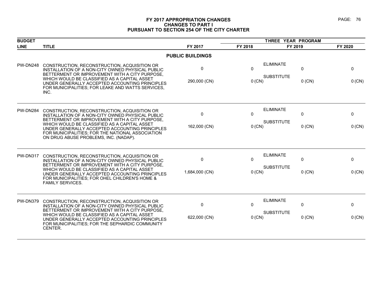### **FY 2017 APPROPRIATION CHANGES PAGE: 76 CHANGES TO PART I PURSUANT TO SECTION 254 OF THE CITY CHARTER**

| <b>BUDGET</b>   |                                                                                                                                                                                                                                                                                                                                                   |                         |                      | THREE YEAR PROGRAM                    |                      |                    |
|-----------------|---------------------------------------------------------------------------------------------------------------------------------------------------------------------------------------------------------------------------------------------------------------------------------------------------------------------------------------------------|-------------------------|----------------------|---------------------------------------|----------------------|--------------------|
| <b>LINE</b>     | <b>TITLE</b>                                                                                                                                                                                                                                                                                                                                      | FY 2017                 | FY 2018              | FY 2019                               |                      | FY 2020            |
|                 |                                                                                                                                                                                                                                                                                                                                                   | <b>PUBLIC BUILDINGS</b> |                      |                                       |                      |                    |
| <b>PW-DN248</b> | CONSTRUCTION, RECONSTRUCTION, ACQUISITION OR<br>INSTALLATION OF A NON-CITY OWNED PHYSICAL PUBLIC<br>BETTERMENT OR IMPROVEMENT WITH A CITY PURPOSE,<br>WHICH WOULD BE CLASSIFIED AS A CAPITAL ASSET<br>UNDER GENERALLY ACCEPTED ACCOUNTING PRINCIPLES<br>FOR MUNICIPALITIES; FOR LEAKE AND WATTS SERVICES,<br>INC.                                 | 0<br>290,000 (CN)       | $\Omega$<br>$0$ (CN) | <b>ELIMINATE</b><br><b>SUBSTITUTE</b> | 0<br>$0$ (CN)        | 0<br>0 (CN)        |
| PW-DN284        | CONSTRUCTION, RECONSTRUCTION, ACQUISITION OR<br>INSTALLATION OF A NON-CITY OWNED PHYSICAL PUBLIC<br>BETTERMENT OR IMPROVEMENT WITH A CITY PURPOSE,<br>WHICH WOULD BE CLASSIFIED AS A CAPITAL ASSET<br>UNDER GENERALLY ACCEPTED ACCOUNTING PRINCIPLES<br>FOR MUNICIPALITIES; FOR THE NATIONAL ASSOCIATION<br>ON DRUG ABUSE PROBLEMS, INC. (NADAP). | 0<br>162,000 (CN)       | $\Omega$<br>0 (CN)   | <b>ELIMINATE</b><br><b>SUBSTITUTE</b> | 0<br>$0$ (CN)        | 0<br>0 (CN)        |
| <b>PW-DN317</b> | CONSTRUCTION, RECONSTRUCTION, ACQUISITION OR<br>INSTALLATION OF A NON-CITY OWNED PHYSICAL PUBLIC<br>BETTERMENT OR IMPROVEMENT WITH A CITY PURPOSE.<br>WHICH WOULD BE CLASSIFIED AS A CAPITAL ASSET<br>UNDER GENERALLY ACCEPTED ACCOUNTING PRINCIPLES<br>FOR MUNICIPALITIES; FOR OHEL CHILDREN'S HOME &<br><b>FAMILY SERVICES.</b>                 | 0<br>1,684,000 (CN)     | $\Omega$<br>0 (CN)   | <b>ELIMINATE</b><br><b>SUBSTITUTE</b> | 0<br>$0$ (CN)        | $\Omega$<br>0 (CN) |
| <b>PW-DN379</b> | CONSTRUCTION, RECONSTRUCTION, ACQUISITION OR<br>INSTALLATION OF A NON-CITY OWNED PHYSICAL PUBLIC<br>BETTERMENT OR IMPROVEMENT WITH A CITY PURPOSE,<br>WHICH WOULD BE CLASSIFIED AS A CAPITAL ASSET<br>UNDER GENERALLY ACCEPTED ACCOUNTING PRINCIPLES<br>FOR MUNICIPALITIES; FOR THE SEPHARDIC COMMUNITY<br>CENTER.                                | 0<br>622,000 (CN)       | $\Omega$<br>$0$ (CN) | <b>ELIMINATE</b><br><b>SUBSTITUTE</b> | $\Omega$<br>$0$ (CN) | 0<br>0 (CN)        |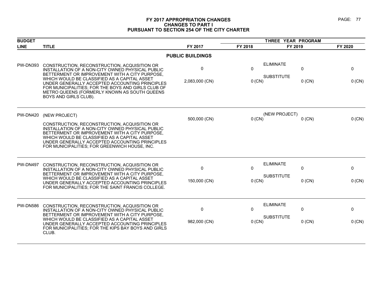### **FY 2017 APPROPRIATION CHANGES PAGE: 77 CHANGES TO PART I PURSUANT TO SECTION 254 OF THE CITY CHARTER**

| <b>BUDGET</b>   |                                                                                                                                                                                                                                                                                                                                                                                     |                         | THREE YEAR PROGRAM       |                                       |                          |                          |
|-----------------|-------------------------------------------------------------------------------------------------------------------------------------------------------------------------------------------------------------------------------------------------------------------------------------------------------------------------------------------------------------------------------------|-------------------------|--------------------------|---------------------------------------|--------------------------|--------------------------|
| <b>LINE</b>     | <b>TITLE</b>                                                                                                                                                                                                                                                                                                                                                                        | FY 2017                 | FY 2018                  | FY 2019                               |                          | FY 2020                  |
|                 |                                                                                                                                                                                                                                                                                                                                                                                     | <b>PUBLIC BUILDINGS</b> |                          |                                       |                          |                          |
| <b>PW-DN393</b> | CONSTRUCTION, RECONSTRUCTION, ACQUISITION OR<br>INSTALLATION OF A NON-CITY OWNED PHYSICAL PUBLIC<br>BETTERMENT OR IMPROVEMENT WITH A CITY PURPOSE,<br>WHICH WOULD BE CLASSIFIED AS A CAPITAL ASSET<br>UNDER GENERALLY ACCEPTED ACCOUNTING PRINCIPLES<br>FOR MUNICIPALITIES; FOR THE BOYS AND GIRLS CLUB OF<br>METRO QUEENS (FORMERLY KNOWN AS SOUTH QUEENS<br>BOYS AND GIRLS CLUB). | 0<br>2,083,000 (CN)     | $\mathbf{0}$<br>$0$ (CN) | <b>ELIMINATE</b><br><b>SUBSTITUTE</b> | 0<br>$0$ (CN)            | $\mathbf 0$<br>$0$ (CN)  |
| <b>PW-DN420</b> | (NEW PROJECT)<br>CONSTRUCTION, RECONSTRUCTION, ACQUISITION OR<br>INSTALLATION OF A NON-CITY OWNED PHYSICAL PUBLIC<br>BETTERMENT OR IMPROVEMENT WITH A CITY PURPOSE,<br>WHICH WOULD BE CLASSIFIED AS A CAPITAL ASSET<br>UNDER GENERALLY ACCEPTED ACCOUNTING PRINCIPLES<br>FOR MUNICIPALITIES; FOR GREENWICH HOUSE, INC.                                                              | 500,000 (CN)            | 0 (CN)                   | (NEW PROJECT)                         | $0$ (CN)                 | 0 (CN)                   |
| <b>PW-DN497</b> | CONSTRUCTION, RECONSTRUCTION, ACQUISITION OR<br>INSTALLATION OF A NON-CITY OWNED PHYSICAL PUBLIC<br>BETTERMENT OR IMPROVEMENT WITH A CITY PURPOSE,<br>WHICH WOULD BE CLASSIFIED AS A CAPITAL ASSET<br>UNDER GENERALLY ACCEPTED ACCOUNTING PRINCIPLES<br>FOR MUNICIPALITIES; FOR THE SAINT FRANCIS COLLEGE.                                                                          | 0<br>150,000 (CN)       | $\mathbf{0}$<br>$0$ (CN) | <b>ELIMINATE</b><br><b>SUBSTITUTE</b> | $\mathbf{0}$<br>$0$ (CN) | $\mathbf{0}$<br>$0$ (CN) |
| <b>PW-DN586</b> | CONSTRUCTION, RECONSTRUCTION, ACQUISITION OR<br>INSTALLATION OF A NON-CITY OWNED PHYSICAL PUBLIC<br>BETTERMENT OR IMPROVEMENT WITH A CITY PURPOSE.<br>WHICH WOULD BE CLASSIFIED AS A CAPITAL ASSET<br>UNDER GENERALLY ACCEPTED ACCOUNTING PRINCIPLES<br>FOR MUNICIPALITIES; FOR THE KIPS BAY BOYS AND GIRLS<br>CLUB.                                                                | 0<br>982,000 (CN)       | $\Omega$<br>$0$ (CN)     | <b>ELIMINATE</b><br><b>SUBSTITUTE</b> | $\pmb{0}$<br>$0$ (CN)    | 0<br>$0$ (CN)            |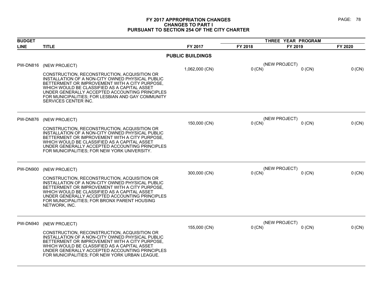### **FY 2017 APPROPRIATION CHANGES PAGE: 78 CHANGES TO PART I PURSUANT TO SECTION 254 OF THE CITY CHARTER**

| <b>BUDGET</b>   |                                                                                                                                                                                                                                                                                                                                   |                         | THREE YEAR PROGRAM |                           |         |
|-----------------|-----------------------------------------------------------------------------------------------------------------------------------------------------------------------------------------------------------------------------------------------------------------------------------------------------------------------------------|-------------------------|--------------------|---------------------------|---------|
| <b>LINE</b>     | <b>TITLE</b>                                                                                                                                                                                                                                                                                                                      | FY 2017                 | FY 2018            | FY 2019                   | FY 2020 |
|                 |                                                                                                                                                                                                                                                                                                                                   | <b>PUBLIC BUILDINGS</b> |                    |                           |         |
| <b>PW-DN816</b> | (NEW PROJECT)                                                                                                                                                                                                                                                                                                                     | 1,062,000 (CN)          | 0 (CN)             | (NEW PROJECT)<br>$0$ (CN) | 0 (CN)  |
|                 | CONSTRUCTION, RECONSTRUCTION, ACQUISITION OR<br>INSTALLATION OF A NON-CITY OWNED PHYSICAL PUBLIC<br>BETTERMENT OR IMPROVEMENT WITH A CITY PURPOSE,<br>WHICH WOULD BE CLASSIFIED AS A CAPITAL ASSET<br>UNDER GENERALLY ACCEPTED ACCOUNTING PRINCIPLES<br>FOR MUNICIPALITIES; FOR LESBIAN AND GAY COMMUNITY<br>SERVICES CENTER INC. |                         |                    |                           |         |
| <b>PW-DN876</b> | (NEW PROJECT)                                                                                                                                                                                                                                                                                                                     |                         |                    | (NEW PROJECT)             |         |
|                 | CONSTRUCTION, RECONSTRUCTION, ACQUISITION OR<br>INSTALLATION OF A NON-CITY OWNED PHYSICAL PUBLIC<br>BETTERMENT OR IMPROVEMENT WITH A CITY PURPOSE,<br>WHICH WOULD BE CLASSIFIED AS A CAPITAL ASSET<br>UNDER GENERALLY ACCEPTED ACCOUNTING PRINCIPLES<br>FOR MUNICIPALITIES; FOR NEW YORK UNIVERSITY.                              | 150,000 (CN)            | 0 (CN)             | $0$ (CN)                  | 0 (CN)  |
| <b>PW-DN900</b> | (NEW PROJECT)                                                                                                                                                                                                                                                                                                                     | 300,000 (CN)            | 0 (CN)             | (NEW PROJECT)<br>$0$ (CN) | 0 (CN)  |
|                 | CONSTRUCTION, RECONSTRUCTION, ACQUISITION OR<br>INSTALLATION OF A NON-CITY OWNED PHYSICAL PUBLIC<br>BETTERMENT OR IMPROVEMENT WITH A CITY PURPOSE.<br>WHICH WOULD BE CLASSIFIED AS A CAPITAL ASSET<br>UNDER GENERALLY ACCEPTED ACCOUNTING PRINCIPLES<br>FOR MUNICIPALITIES; FOR BRONX PARENT HOUSING<br>NETWORK, INC.             |                         |                    |                           |         |
| PW-DN940        | (NEW PROJECT)                                                                                                                                                                                                                                                                                                                     |                         |                    | (NEW PROJECT)             |         |
|                 | CONSTRUCTION, RECONSTRUCTION, ACQUISITION OR<br>INSTALLATION OF A NON-CITY OWNED PHYSICAL PUBLIC<br>BETTERMENT OR IMPROVEMENT WITH A CITY PURPOSE,<br>WHICH WOULD BE CLASSIFIED AS A CAPITAL ASSET<br>UNDER GENERALLY ACCEPTED ACCOUNTING PRINCIPLES<br>FOR MUNICIPALITIES; FOR NEW YORK URBAN LEAGUE.                            | 155,000 (CN)            | 0 (CN)             | $0$ (CN)                  | 0 (CN)  |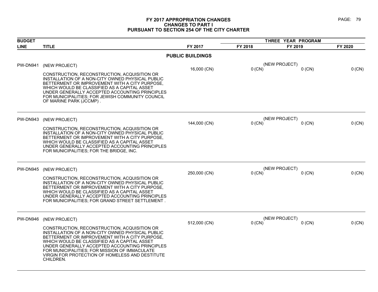### **FY 2017 APPROPRIATION CHANGES PAGE: 79 CHANGES TO PART I PURSUANT TO SECTION 254 OF THE CITY CHARTER**

| <b>BUDGET</b>   |                                                                                                                                                                                                                                                                                                                                                                       |                         | THREE YEAR PROGRAM |                           |          |
|-----------------|-----------------------------------------------------------------------------------------------------------------------------------------------------------------------------------------------------------------------------------------------------------------------------------------------------------------------------------------------------------------------|-------------------------|--------------------|---------------------------|----------|
| <b>LINE</b>     | <b>TITLE</b>                                                                                                                                                                                                                                                                                                                                                          | FY 2017                 | FY 2018            | FY 2019                   | FY 2020  |
|                 |                                                                                                                                                                                                                                                                                                                                                                       | <b>PUBLIC BUILDINGS</b> |                    |                           |          |
| <b>PW-DN941</b> | (NEW PROJECT)                                                                                                                                                                                                                                                                                                                                                         | 16,000 (CN)             | $0$ (CN)           | (NEW PROJECT)<br>$0$ (CN) | 0 (CN)   |
|                 | CONSTRUCTION, RECONSTRUCTION, ACQUISITION OR<br>INSTALLATION OF A NON-CITY OWNED PHYSICAL PUBLIC<br>BETTERMENT OR IMPROVEMENT WITH A CITY PURPOSE,<br>WHICH WOULD BE CLASSIFIED AS A CAPITAL ASSET<br>UNDER GENERALLY ACCEPTED ACCOUNTING PRINCIPLES<br>FOR MUNICIPALITIES: FOR JEWISH COMMUNITY COUNCIL<br>OF MARINE PARK (JCCMP).                                   |                         |                    |                           |          |
| PW-DN943        | (NEW PROJECT)                                                                                                                                                                                                                                                                                                                                                         |                         |                    | (NEW PROJECT)             |          |
|                 | CONSTRUCTION, RECONSTRUCTION, ACQUISITION OR<br>INSTALLATION OF A NON-CITY OWNED PHYSICAL PUBLIC<br>BETTERMENT OR IMPROVEMENT WITH A CITY PURPOSE,<br>WHICH WOULD BE CLASSIFIED AS A CAPITAL ASSET<br>UNDER GENERALLY ACCEPTED ACCOUNTING PRINCIPLES<br>FOR MUNICIPALITIES; FOR THE BRIDGE, INC.                                                                      | 144,000 (CN)            | 0 (CN)             | $0$ (CN)                  | $0$ (CN) |
| PW-DN945        | (NEW PROJECT)                                                                                                                                                                                                                                                                                                                                                         |                         | (NEW PROJECT)      |                           |          |
|                 | CONSTRUCTION, RECONSTRUCTION, ACQUISITION OR<br>INSTALLATION OF A NON-CITY OWNED PHYSICAL PUBLIC<br>BETTERMENT OR IMPROVEMENT WITH A CITY PURPOSE,<br>WHICH WOULD BE CLASSIFIED AS A CAPITAL ASSET<br>UNDER GENERALLY ACCEPTED ACCOUNTING PRINCIPLES<br>FOR MUNICIPALITIES; FOR GRAND STREET SETTLEMENT.                                                              | 250,000 (CN)            | $0$ (CN)           | $0$ (CN)                  | 0 (CN)   |
| PW-DN946        | (NEW PROJECT)                                                                                                                                                                                                                                                                                                                                                         | 512,000 (CN)            | $0$ (CN)           | (NEW PROJECT)<br>$0$ (CN) | 0 (CN)   |
|                 | CONSTRUCTION, RECONSTRUCTION, ACQUISITION OR<br>INSTALLATION OF A NON-CITY OWNED PHYSICAL PUBLIC<br>BETTERMENT OR IMPROVEMENT WITH A CITY PURPOSE,<br>WHICH WOULD BE CLASSIFIED AS A CAPITAL ASSET<br>UNDER GENERALLY ACCEPTED ACCOUNTING PRINCIPLES<br>FOR MUNICIPALITIES: FOR MISSION OF IMMACULATE<br>VIRGIN FOR PROTECTION OF HOMELESS AND DESTITUTE<br>CHILDREN. |                         |                    |                           |          |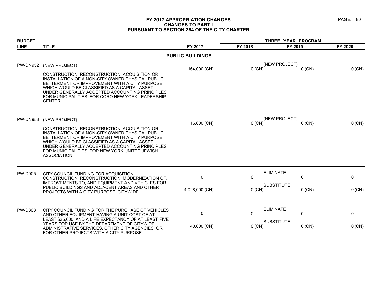### **FY 2017 APPROPRIATION CHANGES PAGE: 80 CHANGES TO PART I PURSUANT TO SECTION 254 OF THE CITY CHARTER**

| <b>BUDGET</b>   |                                                                                                                                                                                                                                                                                                                     |                         | THREE YEAR PROGRAM |                               |          |
|-----------------|---------------------------------------------------------------------------------------------------------------------------------------------------------------------------------------------------------------------------------------------------------------------------------------------------------------------|-------------------------|--------------------|-------------------------------|----------|
| <b>LINE</b>     | <b>TITLE</b>                                                                                                                                                                                                                                                                                                        | FY 2017                 | FY 2018            | FY 2019                       | FY 2020  |
|                 |                                                                                                                                                                                                                                                                                                                     | <b>PUBLIC BUILDINGS</b> |                    |                               |          |
| PW-DN952        | (NEW PROJECT)                                                                                                                                                                                                                                                                                                       |                         |                    | (NEW PROJECT)                 |          |
|                 |                                                                                                                                                                                                                                                                                                                     | 164,000 (CN)            | $0$ (CN)           | $0$ (CN)                      | 0 (CN)   |
|                 | CONSTRUCTION, RECONSTRUCTION, ACQUISITION OR<br>INSTALLATION OF A NON-CITY OWNED PHYSICAL PUBLIC<br>BETTERMENT OR IMPROVEMENT WITH A CITY PURPOSE,<br>WHICH WOULD BE CLASSIFIED AS A CAPITAL ASSET<br>UNDER GENERALLY ACCEPTED ACCOUNTING PRINCIPLES<br>FOR MUNICIPALITIES; FOR CORO NEW YORK LEADERSHIP<br>CENTER. |                         |                    |                               |          |
| <b>PW-DN953</b> | (NEW PROJECT)                                                                                                                                                                                                                                                                                                       | 16,000 (CN)             | $0$ (CN)           | (NEW PROJECT)<br>$0$ (CN)     | 0 (CN)   |
|                 | CONSTRUCTION, RECONSTRUCTION, ACQUISITION OR                                                                                                                                                                                                                                                                        |                         |                    |                               |          |
|                 | INSTALLATION OF A NON-CITY OWNED PHYSICAL PUBLIC                                                                                                                                                                                                                                                                    |                         |                    |                               |          |
|                 | BETTERMENT OR IMPROVEMENT WITH A CITY PURPOSE,<br>WHICH WOULD BE CLASSIFIED AS A CAPITAL ASSET                                                                                                                                                                                                                      |                         |                    |                               |          |
|                 | UNDER GENERALLY ACCEPTED ACCOUNTING PRINCIPLES<br>FOR MUNICIPALITIES; FOR NEW YORK UNITED JEWISH<br>ASSOCIATION.                                                                                                                                                                                                    |                         |                    |                               |          |
| <b>PW-D005</b>  | CITY COUNCIL FUNDING FOR ACQUISITION,                                                                                                                                                                                                                                                                               |                         |                    | <b>ELIMINATE</b>              |          |
|                 | CONSTRUCTION, RECONSTRUCTION, MODERNIZATION OF,<br>IMPROVEMENTS TO, AND EQUIPMENT AND VEHICLES FOR,                                                                                                                                                                                                                 | 0                       | $\Omega$           | $\mathbf{0}$                  | 0        |
|                 | PUBLIC BUILDINGS AND ADJACENT AREAS AND OTHER                                                                                                                                                                                                                                                                       | 4,028,000 (CN)          | $0$ (CN)           | <b>SUBSTITUTE</b><br>$0$ (CN) | $0$ (CN) |
|                 | PROJECTS WITH A CITY PURPOSE, CITYWIDE.                                                                                                                                                                                                                                                                             |                         |                    |                               |          |
| <b>PW-D308</b>  | CITY COUNCIL FUNDING FOR THE PURCHASE OF VEHICLES                                                                                                                                                                                                                                                                   |                         |                    | <b>ELIMINATE</b>              |          |
|                 | AND OTHER EQUIPMENT HAVING A UNIT COST OF AT<br>LEAST \$35,000 AND A LIFE EXPECTANCY OF AT LEAST FIVE                                                                                                                                                                                                               | 0                       | $\Omega$           | $\mathbf{0}$                  | 0        |
|                 | YEARS FOR USE BY THE DEPARTMENT OF CITYWIDE                                                                                                                                                                                                                                                                         | 40,000 (CN)             | $0$ (CN)           | <b>SUBSTITUTE</b><br>$0$ (CN) | 0 (CN)   |
|                 | ADMINISTRATIVE SERVICES, OTHER CITY AGENCIES, OR<br>FOR OTHER PROJECTS WITH A CITY PURPOSE.                                                                                                                                                                                                                         |                         |                    |                               |          |
|                 |                                                                                                                                                                                                                                                                                                                     |                         |                    |                               |          |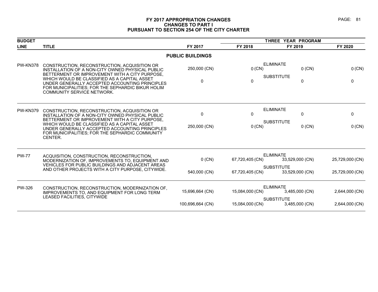### **FY 2017 APPROPRIATION CHANGES PAGE: 81 CHANGES TO PART I PURSUANT TO SECTION 254 OF THE CITY CHARTER**

| <b>BUDGET</b>   |                                                                                                                                                                                                                                                                                                                                                |                              |                          | THREE YEAR PROGRAM                                       |                        |
|-----------------|------------------------------------------------------------------------------------------------------------------------------------------------------------------------------------------------------------------------------------------------------------------------------------------------------------------------------------------------|------------------------------|--------------------------|----------------------------------------------------------|------------------------|
| <b>LINE</b>     | <b>TITLE</b>                                                                                                                                                                                                                                                                                                                                   | FY 2017                      | FY 2018                  | FY 2019                                                  | FY 2020                |
|                 |                                                                                                                                                                                                                                                                                                                                                | <b>PUBLIC BUILDINGS</b>      |                          |                                                          |                        |
| PW-KN378        | CONSTRUCTION, RECONSTRUCTION, ACQUISITION OR<br>INSTALLATION OF A NON-CITY OWNED PHYSICAL PUBLIC<br>BETTERMENT OR IMPROVEMENT WITH A CITY PURPOSE,<br>WHICH WOULD BE CLASSIFIED AS A CAPITAL ASSET<br>UNDER GENERALLY ACCEPTED ACCOUNTING PRINCIPLES<br>FOR MUNICIPALITIES; FOR THE SEPHARDIC BIKUR HOLIM<br><b>COMMUNITY SERVICE NETWORK.</b> | 250,000 (CN)<br>$\mathbf{0}$ | $0$ (CN)<br>$\mathbf{0}$ | <b>ELIMINATE</b><br>$0$ (CN)<br><b>SUBSTITUTE</b><br>0   | 0 (CN)<br>$\mathbf{0}$ |
| <b>PW-KN379</b> | CONSTRUCTION, RECONSTRUCTION, ACQUISITION OR<br>INSTALLATION OF A NON-CITY OWNED PHYSICAL PUBLIC<br>BETTERMENT OR IMPROVEMENT WITH A CITY PURPOSE,<br>WHICH WOULD BE CLASSIFIED AS A CAPITAL ASSET<br>UNDER GENERALLY ACCEPTED ACCOUNTING PRINCIPLES<br>FOR MUNICIPALITIES; FOR THE SEPHARDIC COMMUNITY<br>CENTER.                             | $\mathbf 0$<br>250,000 (CN)  | 0<br>$0$ (CN)            | <b>ELIMINATE</b><br>0<br><b>SUBSTITUTE</b><br>$0$ (CN)   | 0<br>0 (CN)            |
| <b>PW-77</b>    | ACQUISITION, CONSTRUCTION, RECONSTRUCTION,<br>MODERNIZATION OF, IMPROVEMENTS TO, EQUIPMENT AND<br>VEHICLES FOR PUBLIC BUILDINGS AND ADJACENT AREAS                                                                                                                                                                                             | $0$ (CN)                     | 67,720,405 (CN)          | <b>ELIMINATE</b><br>33,529,000 (CN)<br><b>SUBSTITUTE</b> | 25,729,000 (CN)        |
|                 | AND OTHER PROJECTS WITH A CITY PURPOSE, CITYWIDE.                                                                                                                                                                                                                                                                                              | 540,000 (CN)                 | 67,720,405 (CN)          | 33,529,000 (CN)                                          | 25,729,000 (CN)        |
| PW-326          | CONSTRUCTION, RECONSTRUCTION, MODERNIZATION OF,<br>IMPROVEMENTS TO, AND EQUIPMENT FOR LONG TERM                                                                                                                                                                                                                                                | 15,696,664 (CN)              | 15,084,000 (CN)          | <b>ELIMINATE</b><br>3,485,000 (CN)                       | 2,644,000 (CN)         |
|                 | LEASED FACILITIES, CITYWIDE                                                                                                                                                                                                                                                                                                                    | 100,696,664 (CN)             | 15,084,000 (CN)          | <b>SUBSTITUTE</b><br>3,485,000 (CN)                      | 2,644,000 (CN)         |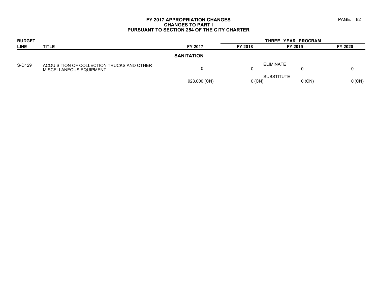### **FY 2017 APPROPRIATION CHANGES PAGE: 82 CHANGES TO PART I PURSUANT TO SECTION 254 OF THE CITY CHARTER**

| <b>BUDGET</b> |                                                                       |                   | THREE YEAR PROGRAM |                   |          |          |
|---------------|-----------------------------------------------------------------------|-------------------|--------------------|-------------------|----------|----------|
| <b>LINE</b>   | <b>TITLE</b>                                                          | FY 2017           | FY 2018            | FY 2019           |          | FY 2020  |
|               |                                                                       | <b>SANITATION</b> |                    |                   |          |          |
| S-D129        | ACQUISITION OF COLLECTION TRUCKS AND OTHER<br>MISCELLANEOUS EQUIPMENT | 0                 | 0                  | <b>ELIMINATE</b>  |          |          |
|               |                                                                       | 923,000 (CN)      | $0$ (CN)           | <b>SUBSTITUTE</b> | $0$ (CN) | $0$ (CN) |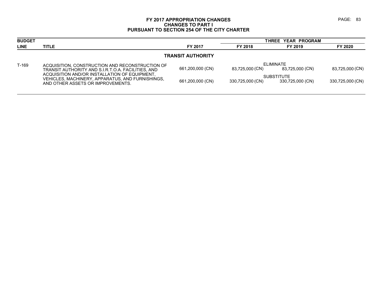### **FY 2017 APPROPRIATION CHANGES PAGE: 83 CHANGES TO PART I PURSUANT TO SECTION 254 OF THE CITY CHARTER**

| <b>BUDGET</b>            |                                                                                                                                        |                  | THREE YEAR PROGRAM |                                       |                  |  |  |
|--------------------------|----------------------------------------------------------------------------------------------------------------------------------------|------------------|--------------------|---------------------------------------|------------------|--|--|
| <b>LINE</b>              | <b>TITLE</b>                                                                                                                           | FY 2017          | FY 2018            | FY 2019                               | FY 2020          |  |  |
| <b>TRANSIT AUTHORITY</b> |                                                                                                                                        |                  |                    |                                       |                  |  |  |
| $T-169$                  | ACQUISITION, CONSTRUCTION AND RECONSTRUCTION OF<br>TRANSIT AUTHORITY AND S.I.R.T.O.A. FACILITIES, AND                                  | 661,200,000 (CN) | 83,725,000 (CN)    | ELIMINATE<br>83,725,000 (CN)          | 83,725,000 (CN)  |  |  |
|                          | ACQUISITION AND/OR INSTALLATION OF EQUIPMENT.<br>VEHICLES, MACHINERY, APPARATUS, AND FURNISHINGS,<br>AND OTHER ASSETS OR IMPROVEMENTS. | 661,200,000 (CN) | 330,725,000 (CN)   | <b>SUBSTITUTE</b><br>330,725,000 (CN) | 330,725,000 (CN) |  |  |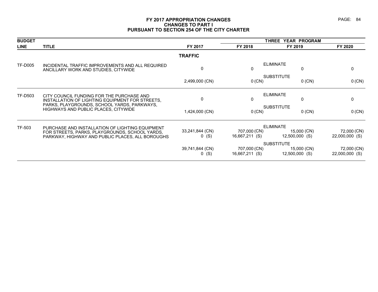### **FY 2017 APPROPRIATION CHANGES PAGE: 84 CHANGES TO PART I PURSUANT TO SECTION 254 OF THE CITY CHARTER**

| <b>BUDGET</b>  |                                                                                                    |                            | THREE YEAR PROGRAM             |                                 |                               |  |
|----------------|----------------------------------------------------------------------------------------------------|----------------------------|--------------------------------|---------------------------------|-------------------------------|--|
| <b>LINE</b>    | <b>TITLE</b>                                                                                       | FY 2017                    | FY 2018                        | FY 2019                         | FY 2020                       |  |
|                |                                                                                                    | <b>TRAFFIC</b>             |                                |                                 |                               |  |
| <b>TF-D005</b> | INCIDENTAL TRAFFIC IMPROVEMENTS AND ALL REQUIRED<br>ANCILLARY WORK AND STUDIES, CITYWIDE           | 0                          | 0                              | <b>ELIMINATE</b><br>0           | 0                             |  |
|                |                                                                                                    | 2,499,000 (CN)             | 0 (CN)                         | <b>SUBSTITUTE</b><br>$0$ (CN)   | 0 (CN)                        |  |
| TF-D503        | CITY COUNCIL FUNDING FOR THE PURCHASE AND<br>INSTALLATION OF LIGHTING EQUIPMENT FOR STREETS.       | 0                          | 0                              | <b>ELIMINATE</b><br>0           | 0                             |  |
|                | PARKS, PLAYGROUNDS, SCHOOL YARDS, PARKWAYS,<br><b>HIGHWAYS AND PUBLIC PLACES, CITYWIDE</b>         | 1,424,000 (CN)             | 0 (CN)                         | <b>SUBSTITUTE</b><br>$0$ (CN)   | 0 (CN)                        |  |
| TF-503         | PURCHASE AND INSTALLATION OF LIGHTING EQUIPMENT                                                    |                            |                                | <b>ELIMINATE</b>                |                               |  |
|                | FOR STREETS, PARKS, PLAYGROUNDS, SCHOOL YARDS,<br>PARKWAY, HIGHWAY AND PUBLIC PLACES, ALL BOROUGHS | 33,241,844 (CN)<br>$0$ (S) | 707,000 (CN)<br>16,667,211 (S) | 15,000 (CN)<br>$12,500,000$ (S) | 72,000 (CN)<br>22,000,000 (S) |  |
|                |                                                                                                    |                            | <b>SUBSTITUTE</b>              |                                 |                               |  |
|                |                                                                                                    | 39,741,844 (CN)<br>$0$ (S) | 707,000 (CN)<br>16,667,211 (S) | 15,000 (CN)<br>12,500,000 (S)   | 72,000 (CN)<br>22,000,000 (S) |  |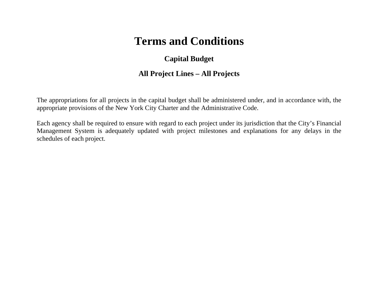## **Capital Budget**

### **All Project Lines – All Projects**

The appropriations for all projects in the capital budget shall be administered under, and in accordance with, the appropriate provisions of the New York City Charter and the Administrative Code.

Each agency shall be required to ensure with regard to each project under its jurisdiction that the City's Financial Management System is adequately updated with project milestones and explanations for any delays in the schedules of each project.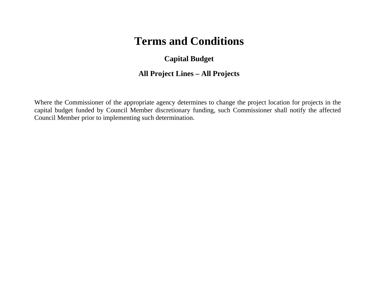## **Capital Budget**

## **All Project Lines – All Projects**

Where the Commissioner of the appropriate agency determines to change the project location for projects in the capital budget funded by Council Member discretionary funding, such Commissioner shall notify the affected Council Member prior to implementing such determination.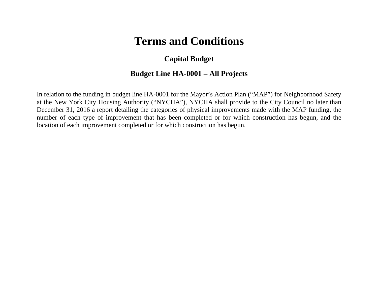### **Capital Budget**

### **Budget Line HA-0001 – All Projects**

In relation to the funding in budget line HA-0001 for the Mayor's Action Plan ("MAP") for Neighborhood Safety at the New York City Housing Authority ("NYCHA"), NYCHA shall provide to the City Council no later than December 31, 2016 a report detailing the categories of physical improvements made with the MAP funding, the number of each type of improvement that has been completed or for which construction has begun, and the location of each improvement completed or for which construction has begun.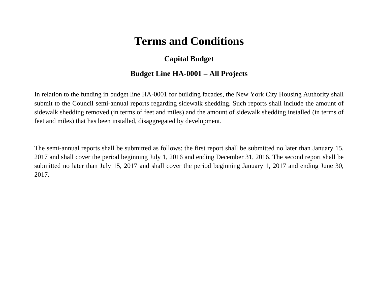## **Capital Budget**

### **Budget Line HA-0001 – All Projects**

In relation to the funding in budget line HA-0001 for building facades, the New York City Housing Authority shall submit to the Council semi-annual reports regarding sidewalk shedding. Such reports shall include the amount of sidewalk shedding removed (in terms of feet and miles) and the amount of sidewalk shedding installed (in terms of feet and miles) that has been installed, disaggregated by development.

The semi-annual reports shall be submitted as follows: the first report shall be submitted no later than January 15, 2017 and shall cover the period beginning July 1, 2016 and ending December 31, 2016. The second report shall be submitted no later than July 15, 2017 and shall cover the period beginning January 1, 2017 and ending June 30, 2017.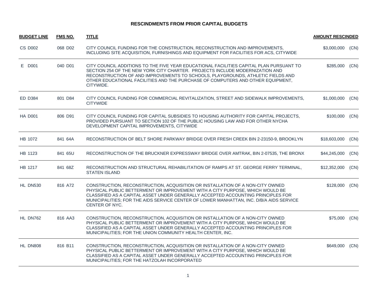### **RESCINDMENTS FROM PRIOR CAPITAL BUDGETS**

| <b>BUDGET LINE</b> | <b>FMS NO.</b> | <b>TITLE</b>                                                                                                                                                                                                                                                                                                                                                    | <b>AMOUNT RESCINDED</b> |      |
|--------------------|----------------|-----------------------------------------------------------------------------------------------------------------------------------------------------------------------------------------------------------------------------------------------------------------------------------------------------------------------------------------------------------------|-------------------------|------|
| <b>CS D002</b>     | 068 D02        | CITY COUNCIL FUNDING FOR THE CONSTRUCTION, RECONSTRUCTION AND IMPROVEMENTS,<br>INCLUDING SITE ACQUISITION, FURNISHINGS AND EQUIPMENT FOR FACILITIES FOR ACS, CITYWIDE                                                                                                                                                                                           | \$3,000,000             | (CN) |
| E D001             | 040 D01        | CITY COUNCIL ADDITIONS TO THE FIVE YEAR EDUCATIONAL FACILITIES CAPITAL PLAN PURSUANT TO<br>SECTION 254 OF THE NEW YORK CITY CHARTER. PROJECTS INCLUDE MODERNIZATION AND<br>RECONSTRUCTION OF AND IMPROVEMENTS TO SCHOOLS, PLAYGROUNDS, ATHLETIC FIELDS AND<br>OTHER EDUCATIONAL FACILITIES AND THE PURCHASE OF COMPUTERS AND OTHER EQUIPMENT,<br>CITYWIDE.      | \$285,000               | (CN) |
| <b>ED D384</b>     | 801 D84        | CITY COUNCIL FUNDING FOR COMMERCIAL REVITALIZATION, STREET AND SIDEWALK IMPROVEMENTS,<br><b>CITYWIDE</b>                                                                                                                                                                                                                                                        | \$1,000,000             | (CN) |
| <b>HA D001</b>     | 806 D91        | CITY COUNCIL FUNDING FOR CAPITAL SUBSIDIES TO HOUSING AUTHORITY FOR CAPITAL PROJECTS,<br>PROVIDED PURSUANT TO SECTION 102 OF THE PUBLIC HOUSING LAW AND FOR OTHER NYCHA<br>DEVELOPMENT CAPITAL IMPROVEMENTS, CITYWIDE                                                                                                                                           | \$100,000               | (CN) |
| HB 1072            | 841 64A        | RECONSTRUCTION OF BELT SHORE PARKWAY BRIDGE OVER FRESH CREEK BIN 2-23150-9, BROOKLYN                                                                                                                                                                                                                                                                            | \$18,603,000            | (CN) |
| HB 1123            | 841 65U        | RECONSTRUCTION OF THE BRUCKNER EXPRESSWAY BRIDGE OVER AMTRAK, BIN 2-07535, THE BRONX                                                                                                                                                                                                                                                                            | \$44,245,000            | (CN) |
| HB 1217            | 841 68Z        | RECONSTRUCTION AND STRUCTURAL REHABILITATION OF RAMPS AT ST. GEORGE FERRY TERMINAL,<br><b>STATEN ISLAND</b>                                                                                                                                                                                                                                                     | \$12,352,000            | (CN) |
| HL DN530           | 816 A72        | CONSTRUCTION, RECONSTRUCTION, ACQUISITION OR INSTALLATION OF A NON-CITY OWNED<br>PHYSICAL PUBLIC BETTERMENT OR IMPROVEMENT WITH A CITY PURPOSE, WHICH WOULD BE<br>CLASSIFIED AS A CAPITAL ASSET UNDER GENERALLY ACCEPTED ACCOUNTING PRINCIPLES FOR<br>MUNICIPALITIES; FOR THE AIDS SERVICE CENTER OF LOWER MANHATTAN, INC. D/B/A AIDS SERVICE<br>CENTER OF NYC. | \$128,000               | (CN) |
| HL DN762           | 816 AA3        | CONSTRUCTION, RECONSTRUCTION, ACQUISITION OR INSTALLATION OF A NON-CITY OWNED<br>PHYSICAL PUBLIC BETTERMENT OR IMPROVEMENT WITH A CITY PURPOSE, WHICH WOULD BE<br>CLASSIFIED AS A CAPITAL ASSET UNDER GENERALLY ACCEPTED ACCOUNTING PRINCIPLES FOR<br>MUNICIPALITIES; FOR THE UNION COMMUNITY HEALTH CENTER, INC.                                               | \$75,000 (CN)           |      |
| HL DN808           | 816 B11        | CONSTRUCTION, RECONSTRUCTION, ACQUISITION OR INSTALLATION OF A NON-CITY OWNED<br>PHYSICAL PUBLIC BETTERMENT OR IMPROVEMENT WITH A CITY PURPOSE, WHICH WOULD BE<br>CLASSIFIED AS A CAPITAL ASSET UNDER GENERALLY ACCEPTED ACCOUNTING PRINCIPLES FOR<br>MUNICIPALITIES; FOR THE HATZOLAH INCORPORATED                                                             | \$649,000               | (CN) |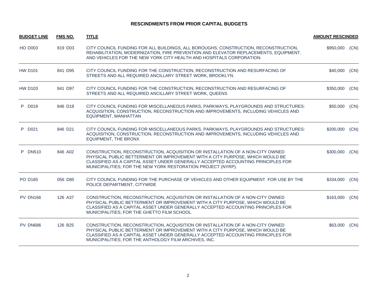### **RESCINDMENTS FROM PRIOR CAPITAL BUDGETS**

| <b>BUDGET LINE</b> | <b>FMS NO.</b> | <b>TITLE</b>                                                                                                                                                                                                                                                                                                       | <b>AMOUNT RESCINDED</b> |      |
|--------------------|----------------|--------------------------------------------------------------------------------------------------------------------------------------------------------------------------------------------------------------------------------------------------------------------------------------------------------------------|-------------------------|------|
| <b>HO D003</b>     | 819 D03        | CITY COUNCIL FUNDING FOR ALL BUILDINGS, ALL BOROUGHS, CONSTRUCTION, RECONSTRUCTION,<br>REHABILITATION, MODERNIZATION, FIRE PREVENTION AND ELEVATOR REPLACEMENTS, EQUIPMENT,<br>AND VEHICLES FOR THE NEW YORK CITY HEALTH AND HOSPITALS CORPORATION.                                                                | \$950,000               | (CN) |
| <b>HW D101</b>     | 841 D95        | CITY COUNCIL FUNDING FOR THE CONSTRUCTION, RECONSTRUCTION AND RESURFACING OF<br>STREETS AND ALL REQUIRED ANCILLARY STREET WORK, BROOKLYN.                                                                                                                                                                          | \$40,000                | (CN) |
| <b>HW D103</b>     | 841 D97        | CITY COUNCIL FUNDING FOR THE CONSTRUCTION, RECONSTRUCTION AND RESURFACING OF<br>STREETS AND ALL REQUIRED ANCILLARY STREET WORK, QUEENS                                                                                                                                                                             | \$350,000               | (CN) |
| P D018             | 846 D18        | CITY COUNCIL FUNDING FOR MISCELLANEOUS PARKS, PARKWAYS, PLAYGROUNDS AND STRUCTURES:<br>ACQUISITION, CONSTRUCTION, RECONSTRUCTION AND IMPROVEMENTS, INCLUDING VEHICLES AND<br>EQUIPMENT, MANHATTAN                                                                                                                  | \$50,000                | (CN) |
| P D021             | 846 D21        | CITY COUNCIL FUNDING FOR MISCELLANEOUS PARKS, PARKWAYS, PLAYGROUNDS AND STRUCTURES:<br>ACQUISITION, CONSTRUCTION, RECONSTRUCTION AND IMPROVEMENTS, INCLUDING VEHICLES AND<br>EQUIPMENT, THE BRONX                                                                                                                  | \$200,000               | (CN) |
| P DN510            | 846 A02        | CONSTRUCTION, RECONSTRUCTION, ACQUISITION OR INSTALLATION OF A NON-CITY OWNED<br>PHYSICAL PUBLIC BETTERMENT OR IMPROVEMENT WITH A CITY PURPOSE, WHICH WOULD BE<br>CLASSIFIED AS A CAPITAL ASSET UNDER GENERALLY ACCEPTED ACCOUNTING PRINCIPLES FOR<br>MUNICIPALITIES; FOR THE NEW YORK RESTORATION PROJECT (NYRP). | \$300,000               | (CN) |
| PO D185            | 056 D85        | CITY COUNCIL FUNDING FOR THE PURCHASE OF VEHICLES AND OTHER EQUIPMENT FOR USE BY THE<br>POLICE DEPARTMENT, CITYWIDE                                                                                                                                                                                                | \$334,000               | (CN) |
| <b>PV DN166</b>    | 126 A37        | CONSTRUCTION, RECONSTRUCTION, ACQUISITION OR INSTALLATION OF A NON-CITY OWNED<br>PHYSICAL PUBLIC BETTERMENT OR IMPROVEMENT WITH A CITY PURPOSE, WHICH WOULD BE<br>CLASSIFIED AS A CAPITAL ASSET UNDER GENERALLY ACCEPTED ACCOUNTING PRINCIPLES FOR<br>MUNICIPALITIES; FOR THE GHETTO FILM SCHOOL.                  | \$163,000               | (CN) |
| PV DN686           | 126 B25        | CONSTRUCTION, RECONSTRUCTION, ACQUISITION OR INSTALLATION OF A NON-CITY OWNED<br>PHYSICAL PUBLIC BETTERMENT OR IMPROVEMENT WITH A CITY PURPOSE, WHICH WOULD BE<br>CLASSIFIED AS A CAPITAL ASSET UNDER GENERALLY ACCEPTED ACCOUNTING PRINCIPLES FOR<br>MUNICIPALITIES; FOR THE ANTHOLOGY FILM ARCHIVES, INC.        | \$63,000 (CN)           |      |